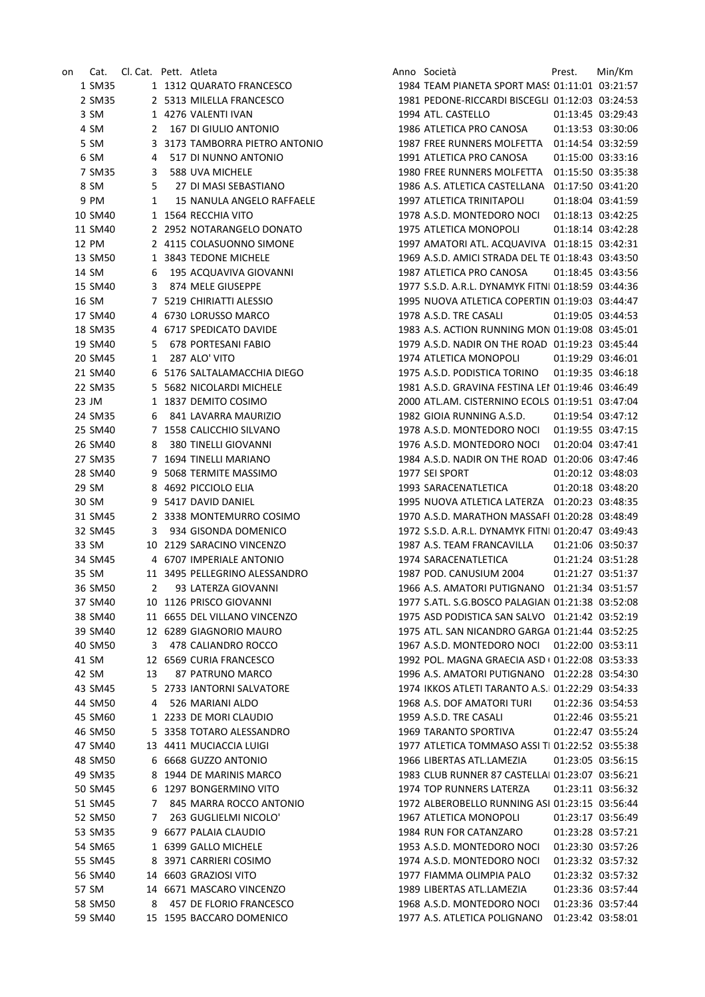| on | Cat.    | Cl. Cat. Pett. Atleta |             |                                | Anno Società                                       | Prest. | Min/Km            |
|----|---------|-----------------------|-------------|--------------------------------|----------------------------------------------------|--------|-------------------|
|    | 1 SM35  |                       |             | 1 1312 QUARATO FRANCESCO       | 1984 TEAM PIANETA SPORT MASS 01:11:01 03:21:57     |        |                   |
|    | 2 SM35  |                       |             | 2 5313 MILELLA FRANCESCO       | 1981 PEDONE-RICCARDI BISCEGLI 01:12:03 03:24:53    |        |                   |
|    | 3 SM    |                       |             | 1 4276 VALENTI IVAN            | 1994 ATL. CASTELLO                                 |        | 01:13:45 03:29:43 |
|    | 4 SM    | 2                     |             | 167 DI GIULIO ANTONIO          | 1986 ATLETICA PRO CANOSA                           |        | 01:13:53 03:30:06 |
|    | 5 SM    |                       |             | 3 3173 TAMBORRA PIETRO ANTONIO | 1987 FREE RUNNERS MOLFETTA    01:14:54    03:32:59 |        |                   |
|    | 6 SM    | 4                     |             | 517 DI NUNNO ANTONIO           | 1991 ATLETICA PRO CANOSA                           |        | 01:15:00 03:33:16 |
|    | 7 SM35  | 3                     |             | 588 UVA MICHELE                | 1980 FREE RUNNERS MOLFETTA  01:15:50  03:35:38     |        |                   |
|    | 8 SM    | 5                     |             | 27 DI MASI SEBASTIANO          | 1986 A.S. ATLETICA CASTELLANA 01:17:50 03:41:20    |        |                   |
|    | 9 PM    | 1                     |             | 15 NANULA ANGELO RAFFAELE      | 1997 ATLETICA TRINITAPOLI                          |        | 01:18:04 03:41:59 |
|    | 10 SM40 |                       |             | 1 1564 RECCHIA VITO            | 1978 A.S.D. MONTEDORO NOCI                         |        | 01:18:13 03:42:25 |
|    | 11 SM40 |                       |             | 2 2952 NOTARANGELO DONATO      | 1975 ATLETICA MONOPOLI                             |        | 01:18:14 03:42:28 |
|    | 12 PM   |                       |             | 2 4115 COLASUONNO SIMONE       | 1997 AMATORI ATL. ACQUAVIVA 01:18:15 03:42:31      |        |                   |
|    | 13 SM50 |                       |             | 1 3843 TEDONE MICHELE          | 1969 A.S.D. AMICI STRADA DEL TE 01:18:43 03:43:50  |        |                   |
|    | 14 SM   | 6                     |             | 195 ACQUAVIVA GIOVANNI         | 1987 ATLETICA PRO CANOSA                           |        | 01:18:45 03:43:56 |
|    | 15 SM40 | 3                     |             | 874 MELE GIUSEPPE              | 1977 S.S.D. A.R.L. DYNAMYK FITNI 01:18:59 03:44:36 |        |                   |
|    | 16 SM   |                       |             | 7 5219 CHIRIATTI ALESSIO       | 1995 NUOVA ATLETICA COPERTIN 01:19:03 03:44:47     |        |                   |
|    | 17 SM40 |                       |             | 4 6730 LORUSSO MARCO           | 1978 A.S.D. TRE CASALI                             |        | 01:19:05 03:44:53 |
|    | 18 SM35 |                       |             | 4 6717 SPEDICATO DAVIDE        | 1983 A.S. ACTION RUNNING MON 01:19:08 03:45:01     |        |                   |
|    | 19 SM40 | 5                     |             | 678 PORTESANI FABIO            | 1979 A.S.D. NADIR ON THE ROAD 01:19:23 03:45:44    |        |                   |
|    | 20 SM45 | 1                     |             | 287 ALO' VITO                  | 1974 ATLETICA MONOPOLI                             |        | 01:19:29 03:46:01 |
|    | 21 SM40 |                       |             | 6 5176 SALTALAMACCHIA DIEGO    | 1975 A.S.D. PODISTICA TORINO                       |        | 01:19:35 03:46:18 |
|    | 22 SM35 |                       |             | 5 5682 NICOLARDI MICHELE       | 1981 A.S.D. GRAVINA FESTINA LEI 01:19:46 03:46:49  |        |                   |
|    | 23 JM   |                       |             | 1 1837 DEMITO COSIMO           | 2000 ATL.AM. CISTERNINO ECOLS 01:19:51 03:47:04    |        |                   |
|    | 24 SM35 | 6                     |             | 841 LAVARRA MAURIZIO           | 1982 GIOIA RUNNING A.S.D.                          |        | 01:19:54 03:47:12 |
|    | 25 SM40 |                       |             | 7 1558 CALICCHIO SILVANO       | 1978 A.S.D. MONTEDORO NOCI                         |        | 01:19:55 03:47:15 |
|    | 26 SM40 | 8                     |             | 380 TINELLI GIOVANNI           | 1976 A.S.D. MONTEDORO NOCI                         |        | 01:20:04 03:47:41 |
|    | 27 SM35 |                       |             | 7 1694 TINELLI MARIANO         | 1984 A.S.D. NADIR ON THE ROAD 01:20:06 03:47:46    |        |                   |
|    | 28 SM40 |                       |             | 9 5068 TERMITE MASSIMO         | 1977 SEI SPORT                                     |        | 01:20:12 03:48:03 |
|    | 29 SM   |                       |             | 8 4692 PICCIOLO ELIA           | 1993 SARACENATLETICA                               |        | 01:20:18 03:48:20 |
|    | 30 SM   |                       |             | 9 5417 DAVID DANIEL            |                                                    |        |                   |
|    | 31 SM45 |                       |             | 2 3338 MONTEMURRO COSIMO       | 1970 A.S.D. MARATHON MASSAFI 01:20:28 03:48:49     |        |                   |
|    | 32 SM45 | 3                     |             | 934 GISONDA DOMENICO           | 1972 S.S.D. A.R.L. DYNAMYK FITNI 01:20:47 03:49:43 |        |                   |
|    | 33 SM   |                       |             | 10 2129 SARACINO VINCENZO      | 1987 A.S. TEAM FRANCAVILLA                         |        | 01:21:06 03:50:37 |
|    | 34 SM45 |                       |             | 4 6707 IMPERIALE ANTONIO       | 1974 SARACENATLETICA                               |        | 01:21:24 03:51:28 |
|    | 35 SM   |                       |             | 11 3495 PELLEGRINO ALESSANDRO  | 1987 POD. CANUSIUM 2004                            |        | 01:21:27 03:51:37 |
|    | 36 SM50 |                       | $2^{\circ}$ | 93 LATERZA GIOVANNI            | 1966 A.S. AMATORI PUTIGNANO 01:21:34 03:51:57      |        |                   |
|    | 37 SM40 |                       |             | 10 1126 PRISCO GIOVANNI        | 1977 S.ATL. S.G.BOSCO PALAGIAN 01:21:38 03:52:08   |        |                   |
|    | 38 SM40 |                       |             | 11 6655 DEL VILLANO VINCENZO   | 1975 ASD PODISTICA SAN SALVO 01:21:42 03:52:19     |        |                   |
|    | 39 SM40 |                       |             | 12 6289 GIAGNORIO MAURO        | 1975 ATL. SAN NICANDRO GARGA 01:21:44 03:52:25     |        |                   |
|    | 40 SM50 | 3                     |             | 478 CALIANDRO ROCCO            | 1967 A.S.D. MONTEDORO NOCI                         |        | 01:22:00 03:53:11 |
|    | 41 SM   |                       |             | 12 6569 CURIA FRANCESCO        | 1992 POL. MAGNA GRAECIA ASD ( 01:22:08 03:53:33    |        |                   |
|    | 42 SM   | 13                    |             | 87 PATRUNO MARCO               | 1996 A.S. AMATORI PUTIGNANO 01:22:28 03:54:30      |        |                   |
|    | 43 SM45 | 5.                    |             | 2733 IANTORNI SALVATORE        | 1974 IKKOS ATLETI TARANTO A.S.I 01:22:29 03:54:33  |        |                   |
|    | 44 SM50 | 4                     |             | 526 MARIANI ALDO               | 1968 A.S. DOF AMATORI TURI                         |        | 01:22:36 03:54:53 |
|    | 45 SM60 |                       |             | 1 2233 DE MORI CLAUDIO         | 1959 A.S.D. TRE CASALI                             |        | 01:22:46 03:55:21 |
|    | 46 SM50 | 5.                    |             | 3358 TOTARO ALESSANDRO         | 1969 TARANTO SPORTIVA                              |        | 01:22:47 03:55:24 |
|    | 47 SM40 | 13                    |             | 4411 MUCIACCIA LUIGI           | 1977 ATLETICA TOMMASO ASSI TI 01:22:52 03:55:38    |        |                   |
|    | 48 SM50 |                       |             | 6 6668 GUZZO ANTONIO           | 1966 LIBERTAS ATL.LAMEZIA                          |        | 01:23:05 03:56:15 |
|    | 49 SM35 | 8                     |             | 1944 DE MARINIS MARCO          | 1983 CLUB RUNNER 87 CASTELLAI 01:23:07 03:56:21    |        |                   |
|    | 50 SM45 |                       |             | 6 1297 BONGERMINO VITO         | 1974 TOP RUNNERS LATERZA                           |        | 01:23:11 03:56:32 |
|    | 51 SM45 | 7                     |             | 845 MARRA ROCCO ANTONIO        | 1972 ALBEROBELLO RUNNING ASI 01:23:15 03:56:44     |        |                   |
|    | 52 SM50 | 7                     |             | 263 GUGLIELMI NICOLO'          | 1967 ATLETICA MONOPOLI                             |        | 01:23:17 03:56:49 |
|    | 53 SM35 | 9                     |             | 6677 PALAIA CLAUDIO            | 1984 RUN FOR CATANZARO                             |        | 01:23:28 03:57:21 |
|    | 54 SM65 |                       |             | 1 6399 GALLO MICHELE           | 1953 A.S.D. MONTEDORO NOCI                         |        | 01:23:30 03:57:26 |
|    | 55 SM45 |                       |             | 8 3971 CARRIERI COSIMO         | 1974 A.S.D. MONTEDORO NOCI                         |        | 01:23:32 03:57:32 |
|    | 56 SM40 |                       |             | 14 6603 GRAZIOSI VITO          | 1977 FIAMMA OLIMPIA PALO                           |        | 01:23:32 03:57:32 |
|    | 57 SM   |                       |             | 14 6671 MASCARO VINCENZO       | 1989 LIBERTAS ATL.LAMEZIA                          |        | 01:23:36 03:57:44 |
|    | 58 SM50 | 8                     |             | 457 DE FLORIO FRANCESCO        | 1968 A.S.D. MONTEDORO NOCI                         |        | 01:23:36 03:57:44 |
|    | 59 SM40 |                       |             | 15 1595 BACCARO DOMENICO       | 1977 A.S. ATLETICA POLIGNANO                       |        | 01:23:42 03:58:01 |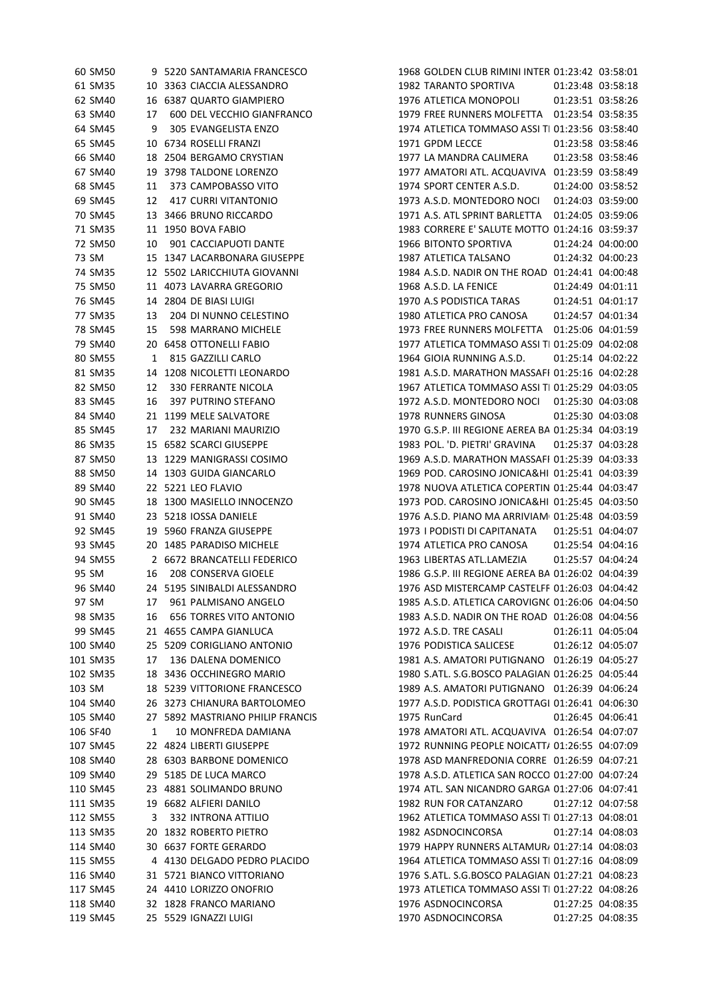|        | 60 SM50  |    | 9 5220 SANTAMARIA FRANCESCO      | 1968 GOLDEN CLUB RIMINI INTER 01:23:42 03:58:01    |                   |                   |
|--------|----------|----|----------------------------------|----------------------------------------------------|-------------------|-------------------|
|        | 61 SM35  |    | 10 3363 CIACCIA ALESSANDRO       | 1982 TARANTO SPORTIVA                              |                   | 01:23:48 03:58:18 |
|        | 62 SM40  |    | 16 6387 QUARTO GIAMPIERO         | 1976 ATLETICA MONOPOLI                             |                   | 01:23:51 03:58:26 |
|        | 63 SM40  | 17 | 600 DEL VECCHIO GIANFRANCO       | 1979 FREE RUNNERS MOLFETTA  01:23:54  03:58:35     |                   |                   |
|        | 64 SM45  | 9  | 305 EVANGELISTA ENZO             | 1974 ATLETICA TOMMASO ASSI TI 01:23:56 03:58:40    |                   |                   |
|        | 65 SM45  |    | 10 6734 ROSELLI FRANZI           | 1971 GPDM LECCE                                    |                   | 01:23:58 03:58:46 |
|        | 66 SM40  |    | 18 2504 BERGAMO CRYSTIAN         | 1977 LA MANDRA CALIMERA                            |                   | 01:23:58 03:58:46 |
|        | 67 SM40  |    | 19 3798 TALDONE LORENZO          | 1977 AMATORI ATL. ACQUAVIVA 01:23:59 03:58:49      |                   |                   |
|        | 68 SM45  | 11 | 373 CAMPOBASSO VITO              | 1974 SPORT CENTER A.S.D.                           |                   | 01:24:00 03:58:52 |
|        | 69 SM45  | 12 | <b>417 CURRI VITANTONIO</b>      | 1973 A.S.D. MONTEDORO NOCI 01:24:03 03:59:00       |                   |                   |
|        | 70 SM45  |    | 13 3466 BRUNO RICCARDO           | 1971 A.S. ATL SPRINT BARLETTA  01:24:05  03:59:06  |                   |                   |
|        | 71 SM35  |    | 11 1950 BOVA FABIO               | 1983 CORRERE E' SALUTE MOTTO 01:24:16 03:59:37     |                   |                   |
|        | 72 SM50  | 10 | 901 CACCIAPUOTI DANTE            | 1966 BITONTO SPORTIVA                              |                   | 01:24:24 04:00:00 |
|        | 73 SM    |    | 15 1347 LACARBONARA GIUSEPPE     | 1987 ATLETICA TALSANO                              |                   | 01:24:32 04:00:23 |
|        | 74 SM35  |    | 12 5502 LARICCHIUTA GIOVANNI     | 1984 A.S.D. NADIR ON THE ROAD 01:24:41 04:00:48    |                   |                   |
|        | 75 SM50  |    | 11 4073 LAVARRA GREGORIO         | 1968 A.S.D. LA FENICE                              |                   | 01:24:49 04:01:11 |
|        | 76 SM45  |    | 14 2804 DE BIASI LUIGI           | 1970 A.S PODISTICA TARAS                           | 01:24:51 04:01:17 |                   |
|        | 77 SM35  | 13 | 204 DI NUNNO CELESTINO           | 1980 ATLETICA PRO CANOSA                           | 01:24:57 04:01:34 |                   |
|        | 78 SM45  | 15 | 598 MARRANO MICHELE              | 1973 FREE RUNNERS MOLFETTA  01:25:06  04:01:59     |                   |                   |
|        | 79 SM40  |    | 20 6458 OTTONELLI FABIO          | 1977 ATLETICA TOMMASO ASSI TI 01:25:09 04:02:08    |                   |                   |
|        | 80 SM55  | 1  | 815 GAZZILLI CARLO               | 1964 GIOIA RUNNING A.S.D.                          | 01:25:14 04:02:22 |                   |
|        | 81 SM35  |    | 14 1208 NICOLETTI LEONARDO       | 1981 A.S.D. MARATHON MASSAFI 01:25:16 04:02:28     |                   |                   |
|        | 82 SM50  | 12 | 330 FERRANTE NICOLA              | 1967 ATLETICA TOMMASO ASSI TI 01:25:29 04:03:05    |                   |                   |
|        | 83 SM45  | 16 | 397 PUTRINO STEFANO              | 1972 A.S.D. MONTEDORO NOCI 01:25:30 04:03:08       |                   |                   |
|        | 84 SM40  |    | 21 1199 MELE SALVATORE           | 1978 RUNNERS GINOSA                                |                   | 01:25:30 04:03:08 |
|        | 85 SM45  | 17 | 232 MARIANI MAURIZIO             | 1970 G.S.P. III REGIONE AEREA BA 01:25:34 04:03:19 |                   |                   |
|        | 86 SM35  |    | 15 6582 SCARCI GIUSEPPE          | 1983 POL. 'D. PIETRI' GRAVINA                      | 01:25:37 04:03:28 |                   |
|        | 87 SM50  |    | 13 1229 MANIGRASSI COSIMO        | 1969 A.S.D. MARATHON MASSAFI 01:25:39 04:03:33     |                   |                   |
|        | 88 SM50  |    | 14 1303 GUIDA GIANCARLO          | 1969 POD. CAROSINO JONICA&HI 01:25:41 04:03:39     |                   |                   |
|        | 89 SM40  |    | 22 5221 LEO FLAVIO               | 1978 NUOVA ATLETICA COPERTIN 01:25:44 04:03:47     |                   |                   |
|        | 90 SM45  |    | 18 1300 MASIELLO INNOCENZO       | 1973 POD. CAROSINO JONICA&HI 01:25:45 04:03:50     |                   |                   |
|        | 91 SM40  |    | 23 5218 IOSSA DANIELE            | 1976 A.S.D. PIANO MA ARRIVIAM 01:25:48 04:03:59    |                   |                   |
|        | 92 SM45  |    | 19 5960 FRANZA GIUSEPPE          | 1973 I PODISTI DI CAPITANATA                       |                   | 01:25:51 04:04:07 |
|        | 93 SM45  |    | 20 1485 PARADISO MICHELE         | 1974 ATLETICA PRO CANOSA                           |                   | 01:25:54 04:04:16 |
|        | 94 SM55  |    | 2 6672 BRANCATELLI FEDERICO      | 1963 LIBERTAS ATL.LAMEZIA                          |                   | 01:25:57 04:04:24 |
|        | 95 SM    | 16 | 208 CONSERVA GIOELE              | 1986 G.S.P. III REGIONE AEREA BA 01:26:02 04:04:39 |                   |                   |
|        | 96 SM40  |    | 24 5195 SINIBALDI ALESSANDRO     | 1976 ASD MISTERCAMP CASTELFF 01:26:03 04:04:42     |                   |                   |
|        | 97 SM    | 17 | 961 PALMISANO ANGELO             | 1985 A.S.D. ATLETICA CAROVIGN( 01:26:06 04:04:50   |                   |                   |
|        | 98 SM35  | 16 | <b>656 TORRES VITO ANTONIO</b>   | 1983 A.S.D. NADIR ON THE ROAD 01:26:08 04:04:56    |                   |                   |
|        | 99 SM45  |    | 21 4655 CAMPA GIANLUCA           | 1972 A.S.D. TRE CASALI                             |                   | 01:26:11 04:05:04 |
|        | 100 SM40 |    | 25 5209 CORIGLIANO ANTONIO       | 1976 PODISTICA SALICESE                            |                   | 01:26:12 04:05:07 |
|        | 101 SM35 | 17 | 136 DALENA DOMENICO              | 1981 A.S. AMATORI PUTIGNANO  01:26:19  04:05:27    |                   |                   |
|        | 102 SM35 |    | 18 3436 OCCHINEGRO MARIO         | 1980 S.ATL, S.G.BOSCO PALAGIAN 01:26:25 04:05:44   |                   |                   |
| 103 SM |          |    | 18 5239 VITTORIONE FRANCESCO     | 1989 A.S. AMATORI PUTIGNANO 01:26:39 04:06:24      |                   |                   |
|        | 104 SM40 |    | 26 3273 CHIANURA BARTOLOMEO      | 1977 A.S.D. PODISTICA GROTTAGI 01:26:41 04:06:30   |                   |                   |
|        | 105 SM40 |    | 27 5892 MASTRIANO PHILIP FRANCIS | 1975 RunCard                                       |                   | 01:26:45 04:06:41 |
|        | 106 SF40 | 1  | 10 MONFREDA DAMIANA              | 1978 AMATORI ATL. ACQUAVIVA 01:26:54 04:07:07      |                   |                   |
|        | 107 SM45 |    | 22 4824 LIBERTI GIUSEPPE         | 1972 RUNNING PEOPLE NOICATT/ 01:26:55 04:07:09     |                   |                   |
|        | 108 SM40 |    | 28 6303 BARBONE DOMENICO         | 1978 ASD MANFREDONIA CORRE 01:26:59 04:07:21       |                   |                   |
|        | 109 SM40 |    | 29 5185 DE LUCA MARCO            | 1978 A.S.D. ATLETICA SAN ROCCO 01:27:00 04:07:24   |                   |                   |
|        | 110 SM45 |    | 23 4881 SOLIMANDO BRUNO          | 1974 ATL. SAN NICANDRO GARGA 01:27:06 04:07:41     |                   |                   |
|        | 111 SM35 |    | 19 6682 ALFIERI DANILO           | 1982 RUN FOR CATANZARO                             |                   | 01:27:12 04:07:58 |
|        | 112 SM55 | 3  | 332 INTRONA ATTILIO              | 1962 ATLETICA TOMMASO ASSI TI 01:27:13 04:08:01    |                   |                   |
|        | 113 SM35 |    | 20 1832 ROBERTO PIETRO           | 1982 ASDNOCINCORSA                                 |                   | 01:27:14 04:08:03 |
|        | 114 SM40 |    | 30 6637 FORTE GERARDO            | 1979 HAPPY RUNNERS ALTAMUR, 01:27:14 04:08:03      |                   |                   |
|        | 115 SM55 |    | 4 4130 DELGADO PEDRO PLACIDO     | 1964 ATLETICA TOMMASO ASSI TI 01:27:16 04:08:09    |                   |                   |
|        | 116 SM40 |    | 31 5721 BIANCO VITTORIANO        | 1976 S.ATL. S.G.BOSCO PALAGIAN 01:27:21 04:08:23   |                   |                   |
|        | 117 SM45 |    | 24 4410 LORIZZO ONOFRIO          | 1973 ATLETICA TOMMASO ASSI TI 01:27:22 04:08:26    |                   |                   |
|        | 118 SM40 |    | 32 1828 FRANCO MARIANO           | 1976 ASDNOCINCORSA                                 |                   | 01:27:25 04:08:35 |
|        | 119 SM45 |    | 25 5529 IGNAZZI LUIGI            | 1970 ASDNOCINCORSA                                 |                   | 01:27:25 04:08:35 |
|        |          |    |                                  |                                                    |                   |                   |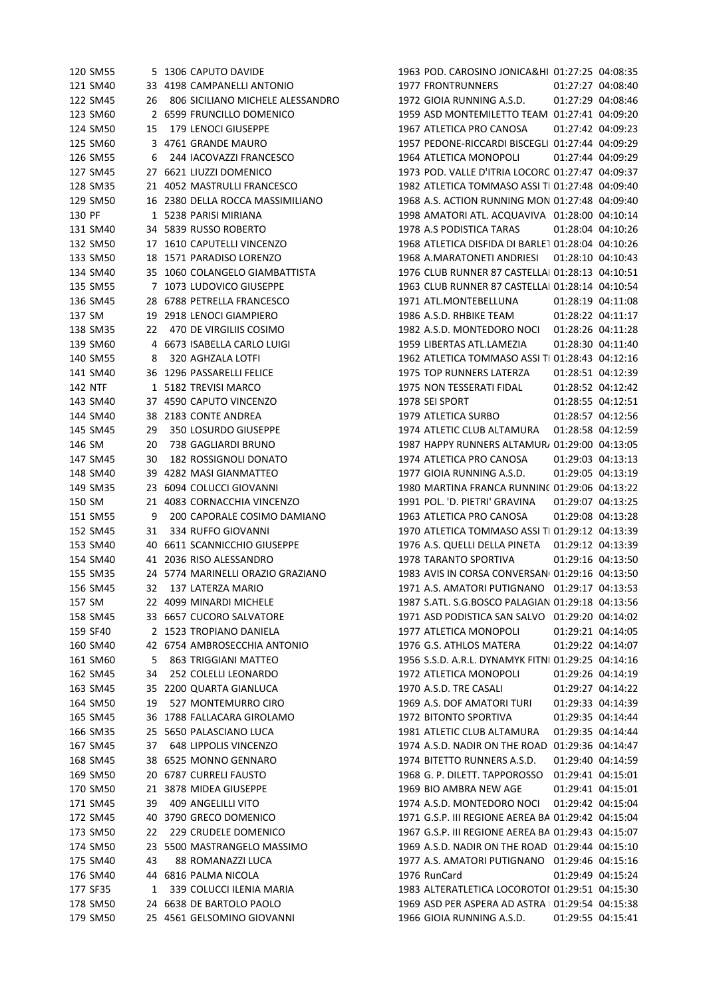| 120 SM55       |     | 5 1306 CAPUTO DAVIDE              | 1963 POD. CAROSINO JONICA&HI 01:27:25 04:08:35     |                   |
|----------------|-----|-----------------------------------|----------------------------------------------------|-------------------|
| 121 SM40       |     | 33 4198 CAMPANELLI ANTONIO        | <b>1977 FRONTRUNNERS</b>                           | 01:27:27 04:08:40 |
| 122 SM45       | 26  | 806 SICILIANO MICHELE ALESSANDRO  | 1972 GIOIA RUNNING A.S.D.                          | 01:27:29 04:08:46 |
| 123 SM60       |     | 2 6599 FRUNCILLO DOMENICO         | 1959 ASD MONTEMILETTO TEAM 01:27:41 04:09:20       |                   |
| 124 SM50       | 15  | 179 LENOCI GIUSEPPE               | 1967 ATLETICA PRO CANOSA                           | 01:27:42 04:09:23 |
| 125 SM60       |     | 3 4761 GRANDE MAURO               | 1957 PEDONE-RICCARDI BISCEGLI 01:27:44 04:09:29    |                   |
| 126 SM55       | 6   | 244 IACOVAZZI FRANCESCO           | 1964 ATLETICA MONOPOLI                             | 01:27:44 04:09:29 |
| 127 SM45       | 27  | 6621 LIUZZI DOMENICO              | 1973 POD. VALLE D'ITRIA LOCORC 01:27:47 04:09:37   |                   |
| 128 SM35       |     | 21 4052 MASTRULLI FRANCESCO       | 1982 ATLETICA TOMMASO ASSI TI 01:27:48 04:09:40    |                   |
| 129 SM50       |     | 16 2380 DELLA ROCCA MASSIMILIANO  | 1968 A.S. ACTION RUNNING MON 01:27:48 04:09:40     |                   |
| 130 PF         |     | 1 5238 PARISI MIRIANA             | 1998 AMATORI ATL. ACQUAVIVA 01:28:00 04:10:14      |                   |
| 131 SM40       |     | 34 5839 RUSSO ROBERTO             | 1978 A.S PODISTICA TARAS                           | 01:28:04 04:10:26 |
| 132 SM50       |     | 17 1610 CAPUTELLI VINCENZO        | 1968 ATLETICA DISFIDA DI BARLE1 01:28:04 04:10:26  |                   |
| 133 SM50       |     | 18 1571 PARADISO LORENZO          | 1968 A.MARATONETI ANDRIESI                         | 01:28:10 04:10:43 |
| 134 SM40       |     | 35 1060 COLANGELO GIAMBATTISTA    | 1976 CLUB RUNNER 87 CASTELLAI 01:28:13 04:10:51    |                   |
| 135 SM55       |     | 7 1073 LUDOVICO GIUSEPPE          | 1963 CLUB RUNNER 87 CASTELLAI 01:28:14 04:10:54    |                   |
| 136 SM45       |     | 28 6788 PETRELLA FRANCESCO        | 1971 ATL.MONTEBELLUNA                              | 01:28:19 04:11:08 |
| 137 SM         |     | 19 2918 LENOCI GIAMPIERO          | 1986 A.S.D. RHBIKE TEAM                            | 01:28:22 04:11:17 |
| 138 SM35       | 22  | 470 DE VIRGILIIS COSIMO           | 1982 A.S.D. MONTEDORO NOCL                         | 01:28:26 04:11:28 |
| 139 SM60       |     | 4 6673 ISABELLA CARLO LUIGI       | 1959 LIBERTAS ATL.LAMEZIA                          | 01:28:30 04:11:40 |
| 140 SM55       | 8   | 320 AGHZALA LOTFI                 | 1962 ATLETICA TOMMASO ASSI TI 01:28:43 04:12:16    |                   |
| 141 SM40       |     | 36 1296 PASSARELLI FELICE         | 1975 TOP RUNNERS LATERZA                           | 01:28:51 04:12:39 |
| <b>142 NTF</b> |     | 1 5182 TREVISI MARCO              | 1975 NON TESSERATI FIDAL                           | 01:28:52 04:12:42 |
| 143 SM40       |     | 37 4590 CAPUTO VINCENZO           | 1978 SEI SPORT                                     | 01:28:55 04:12:51 |
| 144 SM40       |     | 38 2183 CONTE ANDREA              | 1979 ATLETICA SURBO                                | 01:28:57 04:12:56 |
| 145 SM45       | 29  | 350 LOSURDO GIUSEPPE              | 1974 ATLETIC CLUB ALTAMURA                         | 01:28:58 04:12:59 |
| 146 SM         | 20  | 738 GAGLIARDI BRUNO               | 1987 HAPPY RUNNERS ALTAMUR/ 01:29:00 04:13:05      |                   |
| 147 SM45       | 30  | <b>182 ROSSIGNOLI DONATO</b>      | 1974 ATLETICA PRO CANOSA                           | 01:29:03 04:13:13 |
| 148 SM40       |     | 39 4282 MASI GIANMATTEO           | 1977 GIOIA RUNNING A.S.D.                          | 01:29:05 04:13:19 |
|                |     |                                   |                                                    |                   |
| 149 SM35       | 23. | 6094 COLUCCI GIOVANNI             | 1980 MARTINA FRANCA RUNNINC 01:29:06 04:13:22      |                   |
| 150 SM         |     | 21 4083 CORNACCHIA VINCENZO       | 1991 POL. 'D. PIETRI' GRAVINA                      | 01:29:07 04:13:25 |
| 151 SM55       | 9   | 200 CAPORALE COSIMO DAMIANO       | 1963 ATLETICA PRO CANOSA                           | 01:29:08 04:13:28 |
| 152 SM45       | 31  | 334 RUFFO GIOVANNI                | 1970 ATLETICA TOMMASO ASSI TI 01:29:12 04:13:39    |                   |
| 153 SM40       |     | 40 6611 SCANNICCHIO GIUSEPPE      | 1976 A.S. QUELLI DELLA PINETA                      | 01:29:12 04:13:39 |
| 154 SM40       |     | 41 2036 RISO ALESSANDRO           | 1978 TARANTO SPORTIVA                              | 01:29:16 04:13:50 |
| 155 SM35       |     | 24 5774 MARINELLI ORAZIO GRAZIANO | 1983 AVIS IN CORSA CONVERSAN 01:29:16 04:13:50     |                   |
| 156 SM45       | 32  | 137 LATERZA MARIO                 | 1971 A.S. AMATORI PUTIGNANO 01:29:17 04:13:53      |                   |
| 157 SM         |     | 22 4099 MINARDI MICHELE           | 1987 S.ATL. S.G.BOSCO PALAGIAN 01:29:18 04:13:56   |                   |
| 158 SM45       |     | 33 6657 CUCORO SALVATORE          | 1971 ASD PODISTICA SAN SALVO 01:29:20 04:14:02     |                   |
| 159 SF40       |     | 2 1523 TROPIANO DANIELA           | 1977 ATLETICA MONOPOLI                             | 01:29:21 04:14:05 |
| 160 SM40       |     | 42 6754 AMBROSECCHIA ANTONIO      | 1976 G.S. ATHLOS MATERA                            | 01:29:22 04:14:07 |
| 161 SM60       | 5   | 863 TRIGGIANI MATTEO              | 1956 S.S.D. A.R.L. DYNAMYK FITNI 01:29:25 04:14:16 |                   |
| 162 SM45       | 34  | 252 COLELLI LEONARDO              | 1972 ATLETICA MONOPOLI                             | 01:29:26 04:14:19 |
| 163 SM45       | 35  | 2200 QUARTA GIANLUCA              | 1970 A.S.D. TRE CASALI                             | 01:29:27 04:14:22 |
| 164 SM50       | 19  | 527 MONTEMURRO CIRO               | 1969 A.S. DOF AMATORI TURI                         | 01:29:33 04:14:39 |
| 165 SM45       |     | 36 1788 FALLACARA GIROLAMO        | 1972 BITONTO SPORTIVA                              | 01:29:35 04:14:44 |
| 166 SM35       |     | 25 5650 PALASCIANO LUCA           | 1981 ATLETIC CLUB ALTAMURA                         | 01:29:35 04:14:44 |
| 167 SM45       | 37  | <b>648 LIPPOLIS VINCENZO</b>      | 1974 A.S.D. NADIR ON THE ROAD 01:29:36 04:14:47    |                   |
| 168 SM45       |     | 38 6525 MONNO GENNARO             | 1974 BITETTO RUNNERS A.S.D.                        | 01:29:40 04:14:59 |
| 169 SM50       |     | 20 6787 CURRELI FAUSTO            | 1968 G. P. DILETT. TAPPOROSSO                      | 01:29:41 04:15:01 |
| 170 SM50       | 21  | 3878 MIDEA GIUSEPPE               | 1969 BIO AMBRA NEW AGE                             | 01:29:41 04:15:01 |
| 171 SM45       | 39  | 409 ANGELILLI VITO                | 1974 A.S.D. MONTEDORO NOCI                         | 01:29:42 04:15:04 |
| 172 SM45       | 40  | 3790 GRECO DOMENICO               | 1971 G.S.P. III REGIONE AEREA BA 01:29:42 04:15:04 |                   |
| 173 SM50       | 22  | 229 CRUDELE DOMENICO              | 1967 G.S.P. III REGIONE AEREA BA 01:29:43 04:15:07 |                   |
| 174 SM50       |     | 23 5500 MASTRANGELO MASSIMO       | 1969 A.S.D. NADIR ON THE ROAD 01:29:44 04:15:10    |                   |
| 175 SM40       | 43  | 88 ROMANAZZI LUCA                 | 1977 A.S. AMATORI PUTIGNANO 01:29:46 04:15:16      |                   |
| 176 SM40       |     | 44 6816 PALMA NICOLA              | 1976 RunCard                                       | 01:29:49 04:15:24 |
| 177 SF35       | 1   | 339 COLUCCI ILENIA MARIA          | 1983 ALTERATLETICA LOCOROTOI 01:29:51 04:15:30     |                   |
| 178 SM50       |     | 24 6638 DE BARTOLO PAOLO          | 1969 ASD PER ASPERA AD ASTRA   01:29:54 04:15:38   |                   |
| 179 SM50       |     | 25 4561 GELSOMINO GIOVANNI        | 1966 GIOIA RUNNING A.S.D.                          | 01:29:55 04:15:41 |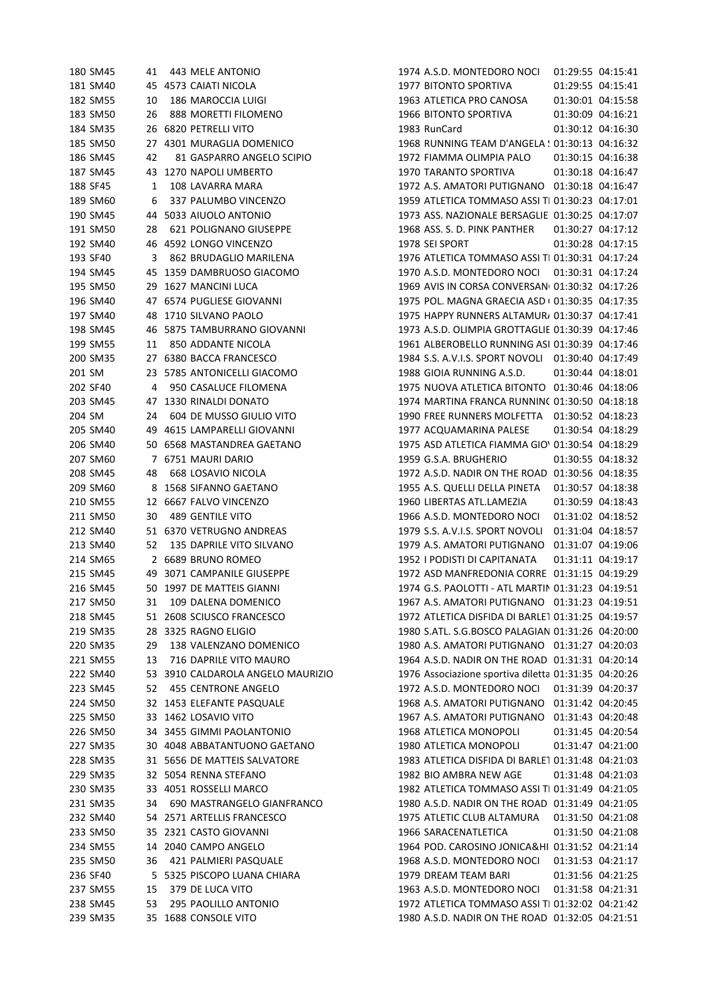| 180 SM45             | 41 | 443 MELE ANTONIO                                     | 1974 A.S.D. MONTEDORO NOCI 01:29:55 04:15:41         |
|----------------------|----|------------------------------------------------------|------------------------------------------------------|
| 181 SM40             |    | 45 4573 CAIATI NICOLA                                | 1977 BITONTO SPORTIVA<br>01:29:55 04:15:41           |
| 182 SM55             | 10 | 186 MAROCCIA LUIGI                                   | 1963 ATLETICA PRO CANOSA<br>01:30:01 04:15:58        |
| 183 SM50             | 26 | 888 MORETTI FILOMENO                                 | 1966 BITONTO SPORTIVA<br>01:30:09 04:16:21           |
| 184 SM35             |    | 26 6820 PETRELLI VITO                                | 1983 RunCard<br>01:30:12 04:16:30                    |
| 185 SM50             | 27 | 4301 MURAGLIA DOMENICO                               | 1968 RUNNING TEAM D'ANGELA ! 01:30:13 04:16:32       |
| 186 SM45             | 42 | 81 GASPARRO ANGELO SCIPIO                            | 1972 FIAMMA OLIMPIA PALO<br>01:30:15 04:16:38        |
| 187 SM45             | 43 | 1270 NAPOLI UMBERTO                                  | 1970 TARANTO SPORTIVA<br>01:30:18 04:16:47           |
| 188 SF45             | 1  | 108 LAVARRA MARA                                     | 1972 A.S. AMATORI PUTIGNANO 01:30:18 04:16:47        |
| 189 SM60             | 6  | 337 PALUMBO VINCENZO                                 | 1959 ATLETICA TOMMASO ASSI TI 01:30:23 04:17:01      |
| 190 SM45             |    | 44 5033 AIUOLO ANTONIO                               | 1973 ASS. NAZIONALE BERSAGLIE  01:30:25 04:17:07     |
| 191 SM50             | 28 | 621 POLIGNANO GIUSEPPE                               | 1968 ASS. S. D. PINK PANTHER<br>01:30:27 04:17:12    |
| 192 SM40             |    | 46 4592 LONGO VINCENZO                               | 1978 SEI SPORT<br>01:30:28 04:17:15                  |
| 193 SF40             | 3  | 862 BRUDAGLIO MARILENA                               | 1976 ATLETICA TOMMASO ASSI TI 01:30:31 04:17:24      |
| 194 SM45             |    | 45 1359 DAMBRUOSO GIACOMO                            | 1970 A.S.D. MONTEDORO NOCI 01:30:31 04:17:24         |
| 195 SM50             |    | 29 1627 MANCINI LUCA                                 | 1969 AVIS IN CORSA CONVERSAN 01:30:32 04:17:26       |
| 196 SM40             |    | 47 6574 PUGLIESE GIOVANNI                            | 1975 POL. MAGNA GRAECIA ASD ( 01:30:35 04:17:35      |
| 197 SM40             |    | 48 1710 SILVANO PAOLO                                | 1975 HAPPY RUNNERS ALTAMUR, 01:30:37 04:17:41        |
| 198 SM45             |    | 46 5875 TAMBURRANO GIOVANNI                          | 1973 A.S.D. OLIMPIA GROTTAGLIE 01:30:39 04:17:46     |
| 199 SM55             | 11 | 850 ADDANTE NICOLA                                   | 1961 ALBEROBELLO RUNNING ASI 01:30:39 04:17:46       |
| 200 SM35             |    | 27 6380 BACCA FRANCESCO                              | 1984 S.S. A.V.I.S. SPORT NOVOLI 01:30:40 04:17:49    |
| 201 SM               |    | 23 5785 ANTONICELLI GIACOMO                          | 1988 GIOIA RUNNING A.S.D.<br>01:30:44 04:18:01       |
| 202 SF40             | 4  | 950 CASALUCE FILOMENA                                | 1975 NUOVA ATLETICA BITONTO 01:30:46 04:18:06        |
| 203 SM45             |    | 47 1330 RINALDI DONATO                               | 1974 MARTINA FRANCA RUNNINC 01:30:50 04:18:18        |
| 204 SM               | 24 | 604 DE MUSSO GIULIO VITO                             | 1990 FREE RUNNERS MOLFETTA  01:30:52 04:18:23        |
| 205 SM40             |    | 49 4615 LAMPARELLI GIOVANNI                          | 1977 ACQUAMARINA PALESE<br>01:30:54 04:18:29         |
| 206 SM40             |    | 50 6568 MASTANDREA GAETANO                           | 1975 ASD ATLETICA FIAMMA GIO' 01:30:54 04:18:29      |
| 207 SM60             |    | 7 6751 MAURI DARIO                                   | 1959 G.S.A. BRUGHERIO<br>01:30:55 04:18:32           |
| 208 SM45             | 48 | 668 LOSAVIO NICOLA                                   | 1972 A.S.D. NADIR ON THE ROAD 01:30:56 04:18:35      |
| 209 SM60             |    | 8 1568 SIFANNO GAETANO                               | 1955 A.S. QUELLI DELLA PINETA<br>01:30:57 04:18:38   |
| 210 SM55             | 12 | 6667 FALVO VINCENZO                                  | 1960 LIBERTAS ATL.LAMEZIA<br>01:30:59 04:18:43       |
| 211 SM50             | 30 | <b>489 GENTILE VITO</b>                              | 1966 A.S.D. MONTEDORO NOCI<br>01:31:02 04:18:52      |
| 212 SM40             |    | 51 6370 VETRUGNO ANDREAS                             | 01:31:04 04:18:57<br>1979 S.S. A.V.I.S. SPORT NOVOLI |
| 213 SM40             | 52 | 135 DAPRILE VITO SILVANO                             | 1979 A.S. AMATORI PUTIGNANO 01:31:07 04:19:06        |
| 214 SM65             |    | 2 6689 BRUNO ROMEO                                   | 1952 I PODISTI DI CAPITANATA<br>01:31:11 04:19:17    |
| 215 SM45             |    | 49 3071 CAMPANILE GIUSEPPE                           | 1972 ASD MANFREDONIA CORRE 01:31:15 04:19:29         |
| 216 SM45             |    | 50 1997 DE MATTEIS GIANNI                            | 1974 G.S. PAOLOTTI - ATL MARTIN 01:31:23 04:19:51    |
| 217 SM50             | 31 | 109 DALENA DOMENICO                                  | 1967 A.S. AMATORI PUTIGNANO 01:31:23 04:19:51        |
| 218 SM45             |    | 51 2608 SCIUSCO FRANCESCO                            | 1972 ATLETICA DISFIDA DI BARLET 01:31:25 04:19:57    |
| 219 SM35             |    | 28 3325 RAGNO ELIGIO                                 | 1980 S.ATL. S.G.BOSCO PALAGIAN 01:31:26 04:20:00     |
| 220 SM35             | 29 | 138 VALENZANO DOMENICO                               | 1980 A.S. AMATORI PUTIGNANO 01:31:27 04:20:03        |
| 221 SM55             | 13 | 716 DAPRILE VITO MAURO                               | 1964 A.S.D. NADIR ON THE ROAD 01:31:31 04:20:14      |
| 222 SM40             |    | 53 3910 CALDAROLA ANGELO MAURIZIO                    | 1976 Associazione sportiva diletta 01:31:35 04:20:26 |
| 223 SM45             | 52 | 455 CENTRONE ANGELO                                  | 1972 A.S.D. MONTEDORO NOCI<br>01:31:39 04:20:37      |
| 224 SM50             |    | 32 1453 ELEFANTE PASQUALE                            | 1968 A.S. AMATORI PUTIGNANO 01:31:42 04:20:45        |
| 225 SM50             |    | 33 1462 LOSAVIO VITO                                 | 1967 A.S. AMATORI PUTIGNANO 01:31:43 04:20:48        |
| 226 SM50             |    | 34 3455 GIMMI PAOLANTONIO                            | 1968 ATLETICA MONOPOLI<br>01:31:45 04:20:54          |
| 227 SM35             |    | 30 4048 ABBATANTUONO GAETANO                         | 1980 ATLETICA MONOPOLI<br>01:31:47 04:21:00          |
| 228 SM35             |    | 31 5656 DE MATTEIS SALVATORE                         | 1983 ATLETICA DISFIDA DI BARLET 01:31:48 04:21:03    |
| 229 SM35             |    | 32 5054 RENNA STEFANO                                | 1982 BIO AMBRA NEW AGE<br>01:31:48 04:21:03          |
|                      |    |                                                      | 1982 ATLETICA TOMMASO ASSI TI 01:31:49 04:21:05      |
| 230 SM35<br>231 SM35 |    | 33 4051 ROSSELLI MARCO<br>690 MASTRANGELO GIANFRANCO | 1980 A.S.D. NADIR ON THE ROAD 01:31:49 04:21:05      |
| 232 SM40             | 34 | 54 2571 ARTELLIS FRANCESCO                           | 1975 ATLETIC CLUB ALTAMURA<br>01:31:50 04:21:08      |
| 233 SM50             |    | 35 2321 CASTO GIOVANNI                               | 1966 SARACENATLETICA<br>01:31:50 04:21:08            |
| 234 SM55             |    | 2040 CAMPO ANGELO                                    | 1964 POD. CAROSINO JONICA&HI 01:31:52 04:21:14       |
| 235 SM50             | 14 | 421 PALMIERI PASQUALE                                | 01:31:53 04:21:17                                    |
|                      | 36 |                                                      | 1968 A.S.D. MONTEDORO NOCI<br>1979 DREAM TEAM BARI   |
| 236 SF40             |    | 5 5325 PISCOPO LUANA CHIARA                          | 01:31:56 04:21:25                                    |
| 237 SM55             | 15 | 379 DE LUCA VITO                                     | 1963 A.S.D. MONTEDORO NOCI<br>01:31:58 04:21:31      |
| 238 SM45             | 53 | 295 PAOLILLO ANTONIO                                 | 1972 ATLETICA TOMMASO ASSI TI 01:32:02 04:21:42      |
| 239 SM35             |    | 35 1688 CONSOLE VITO                                 | 1980 A.S.D. NADIR ON THE ROAD 01:32:05 04:21:51      |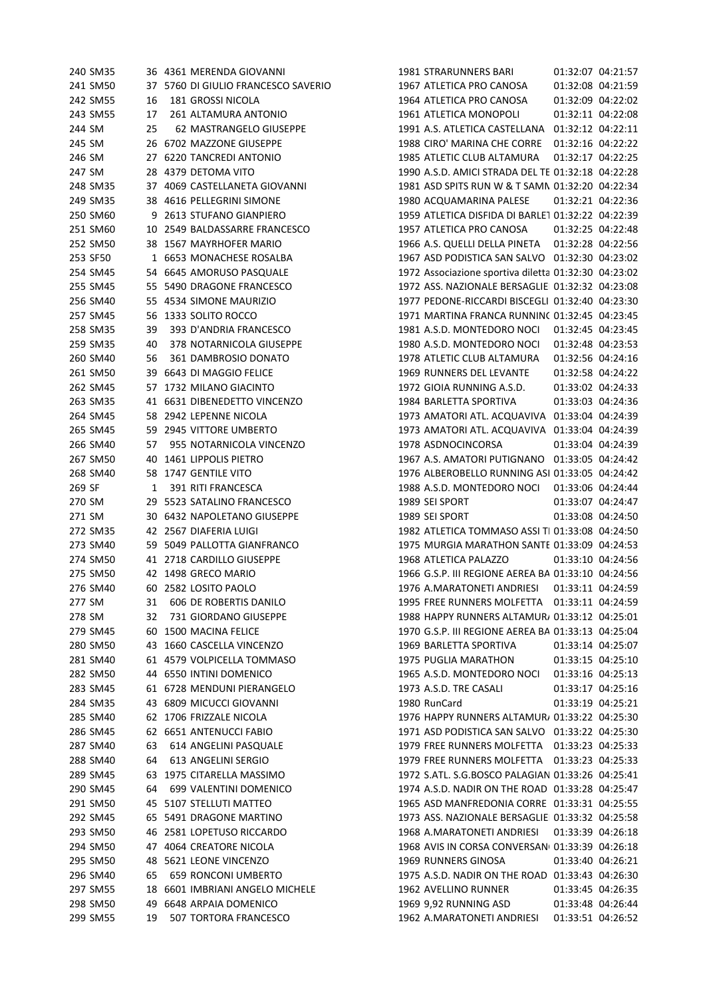| 240 SM35             |    | 36 4361 MERENDA GIOVANNI                              | 1981 STRARUNNERS BARI<br>01:32:07 04:21:57           |
|----------------------|----|-------------------------------------------------------|------------------------------------------------------|
| 241 SM50             |    | 37 5760 DI GIULIO FRANCESCO SAVERIO                   | 1967 ATLETICA PRO CANOSA<br>01:32:08 04:21:59        |
| 242 SM55             | 16 | <b>181 GROSSI NICOLA</b>                              | 01:32:09 04:22:02<br>1964 ATLETICA PRO CANOSA        |
| 243 SM55             | 17 | 261 ALTAMURA ANTONIO                                  | 1961 ATLETICA MONOPOLI<br>01:32:11 04:22:08          |
| 244 SM               | 25 | 62 MASTRANGELO GIUSEPPE                               | 1991 A.S. ATLETICA CASTELLANA 01:32:12 04:22:11      |
| 245 SM               |    | 26 6702 MAZZONE GIUSEPPE                              | 01:32:16 04:22:22<br>1988 CIRO' MARINA CHE CORRE     |
| 246 SM               |    | 27 6220 TANCREDI ANTONIO                              | 1985 ATLETIC CLUB ALTAMURA<br>01:32:17 04:22:25      |
| 247 SM               |    | 28 4379 DETOMA VITO                                   | 1990 A.S.D. AMICI STRADA DEL TE 01:32:18 04:22:28    |
| 248 SM35             |    | 37 4069 CASTELLANETA GIOVANNI                         | 1981 ASD SPITS RUN W & T SAMN 01:32:20 04:22:34      |
| 249 SM35             |    | 38 4616 PELLEGRINI SIMONE                             | 1980 ACQUAMARINA PALESE<br>01:32:21 04:22:36         |
| 250 SM60             |    | 9 2613 STUFANO GIANPIERO                              | 1959 ATLETICA DISFIDA DI BARLE1 01:32:22 04:22:39    |
| 251 SM60             |    | 10 2549 BALDASSARRE FRANCESCO                         | 1957 ATLETICA PRO CANOSA<br>01:32:25 04:22:48        |
| 252 SM50             |    | 38 1567 MAYRHOFER MARIO                               | 1966 A.S. QUELLI DELLA PINETA  01:32:28 04:22:56     |
| 253 SF50             |    | 1 6653 MONACHESE ROSALBA                              | 1967 ASD PODISTICA SAN SALVO 01:32:30 04:23:02       |
| 254 SM45             |    | 54 6645 AMORUSO PASQUALE                              | 1972 Associazione sportiva diletta 01:32:30 04:23:02 |
| 255 SM45             |    | 55 5490 DRAGONE FRANCESCO                             | 1972 ASS. NAZIONALE BERSAGLIE  01:32:32 04:23:08     |
| 256 SM40             |    | 55 4534 SIMONE MAURIZIO                               | 1977 PEDONE-RICCARDI BISCEGLI 01:32:40 04:23:30      |
| 257 SM45             |    | 56 1333 SOLITO ROCCO                                  | 1971 MARTINA FRANCA RUNNINC 01:32:45 04:23:45        |
| 258 SM35             | 39 | 393 D'ANDRIA FRANCESCO                                | 1981 A.S.D. MONTEDORO NOCI<br>01:32:45 04:23:45      |
| 259 SM35             | 40 | 378 NOTARNICOLA GIUSEPPE                              | 1980 A.S.D. MONTEDORO NOCI<br>01:32:48 04:23:53      |
| 260 SM40             | 56 | 361 DAMBROSIO DONATO                                  | 1978 ATLETIC CLUB ALTAMURA<br>01:32:56 04:24:16      |
| 261 SM50             |    | 39 6643 DI MAGGIO FELICE                              | 1969 RUNNERS DEL LEVANTE<br>01:32:58 04:24:22        |
| 262 SM45             |    | 57 1732 MILANO GIACINTO                               | 1972 GIOIA RUNNING A.S.D.<br>01:33:02 04:24:33       |
| 263 SM35             |    | 41 6631 DIBENEDETTO VINCENZO                          | 1984 BARLETTA SPORTIVA<br>01:33:03 04:24:36          |
| 264 SM45             |    | 58 2942 LEPENNE NICOLA                                | 1973 AMATORI ATL. ACQUAVIVA 01:33:04 04:24:39        |
| 265 SM45             |    | 59 2945 VITTORE UMBERTO                               | 1973 AMATORI ATL. ACQUAVIVA 01:33:04 04:24:39        |
| 266 SM40             | 57 | 955 NOTARNICOLA VINCENZO                              | 1978 ASDNOCINCORSA<br>01:33:04 04:24:39              |
| 267 SM50             |    | 40 1461 LIPPOLIS PIETRO                               | 1967 A.S. AMATORI PUTIGNANO 01:33:05 04:24:42        |
| 268 SM40             |    | 58 1747 GENTILE VITO                                  | 1976 ALBEROBELLO RUNNING ASI 01:33:05 04:24:42       |
| 269 SF               | 1  | 391 RITI FRANCESCA                                    | 1988 A.S.D. MONTEDORO NOCI<br>01:33:06 04:24:44      |
| 270 SM               |    | 29 5523 SATALINO FRANCESCO                            | 1989 SEI SPORT<br>01:33:07 04:24:47                  |
| 271 SM               |    | 30 6432 NAPOLETANO GIUSEPPE                           | 1989 SEI SPORT<br>01:33:08 04:24:50                  |
| 272 SM35             |    | 42 2567 DIAFERIA LUIGI                                | 1982 ATLETICA TOMMASO ASSI TI 01:33:08 04:24:50      |
| 273 SM40             |    | 59 5049 PALLOTTA GIANFRANCO                           | 1975 MURGIA MARATHON SANTE 01:33:09 04:24:53         |
| 274 SM50             |    | 41 2718 CARDILLO GIUSEPPE                             | 1968 ATLETICA PALAZZO<br>01:33:10 04:24:56           |
| 275 SM50             |    | 42 1498 GRECO MARIO                                   | 1966 G.S.P. III REGIONE AEREA BA 01:33:10 04:24:56   |
| 276 SM40             |    | 60 2582 LOSITO PAOLO                                  | 1976 A.MARATONETI ANDRIESI  01:33:11  04:24:59       |
| 277 SM               |    | 606 DE ROBERTIS DANILO                                | 1995 FREE RUNNERS MOLFETTA  01:33:11  04:24:59       |
| 278 SM               | 31 | 731 GIORDANO GIUSEPPE                                 | 1988 HAPPY RUNNERS ALTAMUR/ 01:33:12 04:25:01        |
| 279 SM45             | 32 | 60 1500 MACINA FELICE                                 | 1970 G.S.P. III REGIONE AEREA BA 01:33:13 04:25:04   |
|                      |    | 43 1660 CASCELLA VINCENZO                             | 1969 BARLETTA SPORTIVA                               |
| 280 SM50             |    |                                                       | 01:33:14 04:25:07<br><b>1975 PUGLIA MARATHON</b>     |
| 281 SM40             |    | 61 4579 VOLPICELLA TOMMASO                            | 01:33:15 04:25:10<br>01:33:16 04:25:13               |
| 282 SM50<br>283 SM45 |    | 44 6550 INTINI DOMENICO<br>61 6728 MENDUNI PIERANGELO | 1965 A.S.D. MONTEDORO NOCI<br>1973 A.S.D. TRE CASALI |
|                      |    |                                                       | 01:33:17 04:25:16                                    |
| 284 SM35             |    | 43 6809 MICUCCI GIOVANNI                              | 1980 RunCard<br>01:33:19 04:25:21                    |
| 285 SM40             |    | 62 1706 FRIZZALE NICOLA                               | 1976 HAPPY RUNNERS ALTAMUR/ 01:33:22 04:25:30        |
| 286 SM45             |    | 62 6651 ANTENUCCI FABIO                               | 1971 ASD PODISTICA SAN SALVO 01:33:22 04:25:30       |
| 287 SM40             | 63 | 614 ANGELINI PASQUALE                                 | 1979 FREE RUNNERS MOLFETTA 01:33:23 04:25:33         |
| 288 SM40             | 64 | 613 ANGELINI SERGIO                                   | 1979 FREE RUNNERS MOLFETTA    01:33:23    04:25:33   |
| 289 SM45             | 63 | 1975 CITARELLA MASSIMO                                | 1972 S.ATL. S.G.BOSCO PALAGIAN 01:33:26 04:25:41     |
| 290 SM45             | 64 | 699 VALENTINI DOMENICO                                | 1974 A.S.D. NADIR ON THE ROAD 01:33:28 04:25:47      |
| 291 SM50             |    | 45 5107 STELLUTI MATTEO                               | 1965 ASD MANFREDONIA CORRE 01:33:31 04:25:55         |
| 292 SM45             |    | 65 5491 DRAGONE MARTINO                               | 1973 ASS. NAZIONALE BERSAGLIE 01:33:32 04:25:58      |
| 293 SM50             |    | 46 2581 LOPETUSO RICCARDO                             | 1968 A.MARATONETI ANDRIESI<br>01:33:39 04:26:18      |
| 294 SM50             |    | 47 4064 CREATORE NICOLA                               | 1968 AVIS IN CORSA CONVERSAN( 01:33:39 04:26:18      |
| 295 SM50             |    | 48 5621 LEONE VINCENZO                                | 1969 RUNNERS GINOSA<br>01:33:40 04:26:21             |
| 296 SM40             | 65 | <b>659 RONCONI UMBERTO</b>                            | 1975 A.S.D. NADIR ON THE ROAD 01:33:43 04:26:30      |
| 297 SM55             |    | 18 6601 IMBRIANI ANGELO MICHELE                       | 1962 AVELLINO RUNNER<br>01:33:45 04:26:35            |
| 298 SM50             |    | 49 6648 ARPAIA DOMENICO                               | 01:33:48 04:26:44<br>1969 9,92 RUNNING ASD           |
| 299 SM55             | 19 | 507 TORTORA FRANCESCO                                 | 1962 A.MARATONETI ANDRIESI<br>01:33:51 04:26:52      |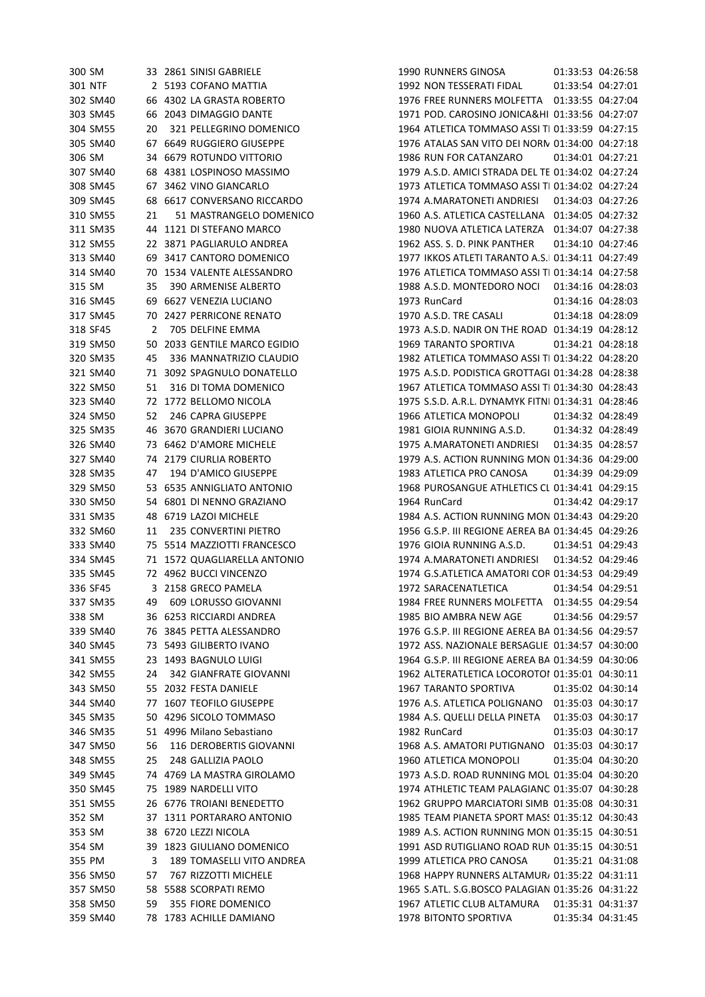| 300 SM   |    | 33 2861 SINISI GABRIELE        |
|----------|----|--------------------------------|
| 301 NTF  |    | 2 5193 COFANO MATTIA           |
| 302 SM40 |    | 66 4302 LA GRASTA ROBERTO      |
| 303 SM45 |    | 66 2043 DIMAGGIO DANTE         |
| 304 SM55 |    | 20 321 PELLEGRINO DOMENICO     |
| 305 SM40 |    | 67 6649 RUGGIERO GIUSEPPE      |
| 306 SM   |    | 34 6679 ROTUNDO VITTORIO       |
| 307 SM40 |    | 68 4381 LOSPINOSO MASSIMO      |
| 308 SM45 |    | 67 3462 VINO GIANCARLO         |
| 309 SM45 | 68 | 6617 CONVERSANO RICCARDO       |
| 310 SM55 | 21 | 51 MASTRANGELO DOMENICO        |
| 311 SM35 | 44 | 1121 DI STEFANO MARCO          |
| 312 SM55 | 22 | 3871 PAGLIARULO ANDREA         |
| 313 SM40 |    | 69 3417 CANTORO DOMENICO       |
| 314 SM40 | 70 | 1534 VALENTE ALESSANDRO        |
| 315 SM   |    | 35 390 ARMENISE ALBERTO        |
| 316 SM45 |    | 69 6627 VENEZIA LUCIANO        |
| 317 SM45 |    | 70 2427 PERRICONE RENATO       |
| 318 SF45 |    | 2 705 DELFINE EMMA             |
| 319 SM50 | 50 | 2033 GENTILE MARCO EGIDIO      |
| 320 SM35 |    | 45 336 MANNATRIZIO CLAUDIO     |
| 321 SM40 |    | 71 3092 SPAGNULO DONATELLO     |
|          |    |                                |
| 322 SM50 |    | 51 316 DI TOMA DOMENICO        |
| 323 SM40 | 72 | 1772 BELLOMO NICOLA            |
| 324 SM50 |    | 52 246 CAPRA GIUSEPPE          |
| 325 SM35 | 46 | 3670 GRANDIERI LUCIANO         |
| 326 SM40 |    | 73 6462 D'AMORE MICHELE        |
| 327 SM40 |    | 74 2179 CIURLIA ROBERTO        |
| 328 SM35 | 47 | 194 D'AMICO GIUSEPPE           |
| 329 SM50 |    | 53 6535 ANNIGLIATO ANTONIO     |
| 330 SM50 |    | 54 6801 DI NENNO GRAZIANO      |
| 331 SM35 |    | 48 6719 LAZOI MICHELE          |
| 332 SM60 | 11 | <b>235 CONVERTINI PIETRO</b>   |
| 333 SM40 |    | 75 5514 MAZZIOTTI FRANCESCO    |
| 334 SM45 |    | 71 1572 QUAGLIARELLA ANTONIO   |
| 335 SM45 |    | 72 4962 BUCCI VINCENZO         |
| 336 SF45 |    | 3 2158 GRECO PAMELA            |
| 337 SM35 | 49 | 609 LORUSSO GIOVANNI           |
| 338 SM   |    | 36 6253 RICCIARDI ANDREA       |
| 339 SM40 | 76 | 3845 PETTA ALESSANDRO          |
| 340 SM45 |    | 73 5493 GILIBERTO IVANO        |
| 341 SM55 |    | 23 1493 BAGNULO LUIGI          |
| 342 SM55 | 24 | 342 GIANFRATE GIOVANNI         |
| 343 SM50 |    | 55 2032 FESTA DANIELE          |
| 344 SM40 |    | 77 1607 TEOFILO GIUSEPPE       |
| 345 SM35 |    | 50 4296 SICOLO TOMMASO         |
| 346 SM35 |    | 51 4996 Milano Sebastiano      |
| 347 SM50 | 56 | <b>116 DEROBERTIS GIOVANNI</b> |
| 348 SM55 | 25 | 248 GALLIZIA PAOLO             |
| 349 SM45 |    | 74 4769 LA MASTRA GIROLAMO     |
| 350 SM45 |    | 75 1989 NARDELLI VITO          |
| 351 SM55 |    | 26 6776 TROIANI BENEDETTO      |
| 352 SM   | 37 | 1311 PORTARARO ANTONIO         |
| 353 SM   | 38 | 6720 LEZZI NICOLA              |
| 354 SM   | 39 | 1823 GIULIANO DOMENICO         |
| 355 PM   | 3  | 189 TOMASELLI VITO ANDREA      |
| 356 SM50 | 57 | 767 RIZZOTTI MICHELE           |
| 357 SM50 | 58 | 5588 SCORPATI REMO             |
| 358 SM50 | 59 | <b>355 FIORE DOMENICO</b>      |
| 359 SM40 | 78 | 1783 ACHILLE DAMIANO           |

300 SM 33 2861 SINISI GABRIELE 1990 RUNNERS GINOSA 01:33:53 04:26:58 301 NTF 2 5193 COFANO MATTIA 1992 NON TESSERATI FIDAL 01:33:54 04:27:01 302 SM40 66 4302 LA GRASTA ROBERTO 1976 FREE RUNNERS MOLFETTA 01:33:55 04:27:04 303 SM45 66 2043 DIMAGGIO DANTE 1971 POD. CAROSINO JONICA&HIRIA MES 01:33:56 04:27:07 1964 ATLETICA TOMMASO ASSI TI 01:33:59 04:27:15 305 SM40 67 6649 RUGGIERO GIUSEPPE 1976 ATALAS SAN VITO DEI NORMANNI 01:34:00 04:27:18 1986 RUN FOR CATANZARO 01:34:01 04:27:21 307 SM40 68 4381 LOSPINOSO MASSIMO 1979 A.S.D. AMICI STRADA DEL TESORO 01:34:02 04:27:24 1973 ATLETICA TOMMASO ASSI TI 01:34:02 04:27:24 309 SM45 68 6617 CONVERSANO RICCARDO 1974 A.MARATONETI ANDRIESI 01:34:03 04:27:26 1960 A.S. ATLETICA CASTELLANA 01:34:05 04:27:32 311 SM35 44 1121 DI STEFANO MARCO 1980 NUOVA ATLETICA LATERZA 01:34:07 04:27:38 312 SM55 22 3871 PAGLIARULO ANDREA 1962 ASS. S. D. PINK PANTHER 01:34:10 04:27:46 1977 IKKOS ATLETI TARANTO A.S. 01:34:11 04:27:49 1976 ATLETICA TOMMASO ASSI TI 01:34:14 04:27:58 315 SM 35 390 ARMENISE ALBERTO 1988 A.S.D. MONTEDORO NOCI 01:34:16 04:28:03 316 SM45 69 6627 VENEZIA LUCIANO 1973 RunCard 01:34:16 04:28:03 317 SM45 70 2427 PERRICONE RENATO 1970 A.S.D. TRE CASALI 01:34:18 04:28:09 1973 A.S.D. NADIR ON THE ROAD 01:34:19 04:28:12 319 SM50 50 2033 GENTILE MARCO EGIDIO 1969 TARANTO SPORTIVA 01:34:21 04:28:18 1982 ATLETICA TOMMASO ASSI TI 01:34:22 04:28:20 321 SM40 71 3092 SPAGNULO DONATELLO 1975 A.S.D. PODISTICA GROTTAGLIE01:34:28 04:28:38 1967 ATLETICA TOMMASO ASSI TI 01:34:30 04:28:43 1975 S.S.D. A.R.L. DYNAMYK FITNI 01:34:31 04:28:46 324 SM50 52 246 CAPRA GIUSEPPE 1966 ATLETICA MONOPOLI 01:34:32 04:28:49 325 SM35 46 3670 GRANDIERI LUCIANO 1981 GIOIA RUNNING A.S.D. 01:34:32 04:28:49 326 SM40 73 6462 D'AMORE MICHELE 1975 A.MARATONETI ANDRIESI 01:34:35 04:28:57 1979 A.S. ACTION RUNNING MON 01:34:36 04:29:00 328 SM35 47 194 D'AMICO GIUSEPPE 1983 ATLETICA PRO CANOSA 01:34:39 04:29:09 1968 PUROSANGUE ATHLETICS CL 01:34:41 04:29:15 330 SM50 54 6801 DI NENNO GRAZIANO 1964 RunCard 01:34:42 04:29:17 1984 A.S. ACTION RUNNING MON 01:34:43 04:29:20 332 SM60 11 235 CONVERTINI PIETRO 1956 G.S.P. III REGIONE AEREA BARI01:34:45 04:29:26 1976 GIOIA RUNNING A.S.D. 01:34:51 04:29:43 334 SM45 71 1572 QUAGLIARELLA ANTONIO 1974 A.MARATONETI ANDRIESI 01:34:52 04:29:46 1974 G.S.ATLETICA AMATORI COR 01:34:53 04:29:49 336 SF45 3 2158 GRECO PAMELA 1972 SARACENATLETICA 01:34:54 04:29:51 337 SM35 49 609 LORUSSO GIOVANNI 1984 FREE RUNNERS MOLFETTA 01:34:55 04:29:54 1985 BIO AMBRA NEW AGE 01:34:56 04:29:57 1976 G.S.P. III REGIONE AEREA BA 01:34:56 04:29:57 340 SM45 73 5493 GILIBERTO IVANO 1972 ASS. NAZIONALE BERSAGLIERI BAR 01:34:57 04:30:00 341 SM55 23 1493 BAGNULO LUIGI 1964 G.S.P. III REGIONE AEREA BARI01:34:59 04:30:06 1962 ALTERATLETICA LOCOROTOI 01:35:01 04:30:11 343 SM50 55 2032 FESTA DANIELE 1967 TARANTO SPORTIVA 01:35:02 04:30:14 1976 A.S. ATLETICA POLIGNANO 01:35:03 04:30:17 1984 A.S. QUELLI DELLA PINETA 01:35:03 04:30:17 346 SM35 51 4996 Milano Sebastiano 1982 RunCard 01:35:03 04:30:17 347 SM50 56 116 DEROBERTIS GIOVANNI 1968 A.S. AMATORI PUTIGNANO 01:35:03 04:30:17 348 SM55 25 248 GALLIZIA PAOLO 1960 ATLETICA MONOPOLI 01:35:04 04:30:20 1973 A.S.D. ROAD RUNNING MOL 01:35:04 04:30:20 1974 ATHLETIC TEAM PALAGIANC 01:35:07 04:30:28 351 SM55 26 6776 TROIANI BENEDETTO 1962 GRUPPO MARCIATORI SIMBRUINI 01:35:08 04:30:31 1985 TEAM PIANETA SPORT MASS 01:35:12 04:30:43 1989 A.S. ACTION RUNNING MON 01:35:15 04:30:51 1991 ASD RUTIGLIANO ROAD RUN 01:35:15 04:30:51 1999 ATLETICA PRO CANOSA 01:35:21 04:31:08 1968 HAPPY RUNNERS ALTAMURA 01:35:22 04:31:11 1965 S.ATL. S.G.BOSCO PALAGIAN 01:35:26 04:31:22 358 SM50 59 355 FIORE DOMENICO 1967 ATLETIC CLUB ALTAMURA 01:35:31 04:31:37 359 SM40 78 1783 ACHILLE DAMIANO 1978 BITONTO SPORTIVA 01:35:34 04:31:45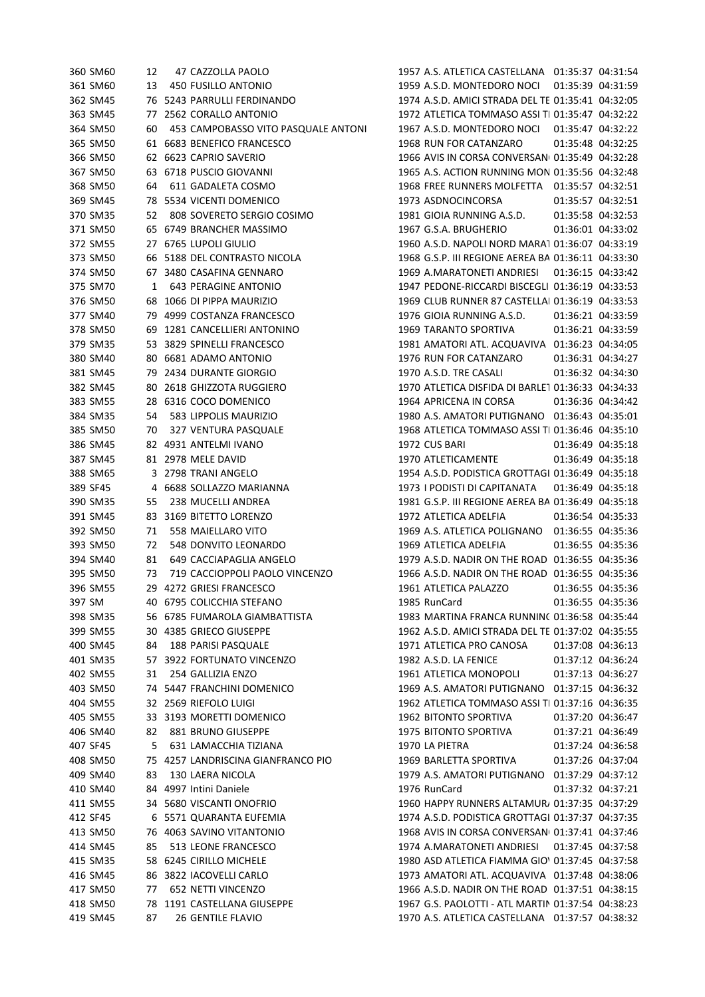| 360 SM60 | 12 | 47 CAZZOLLA PAOLO                   | 1957 A.S. ATLETICA CASTELLANA  01:35:37  04:31:54  |                   |                   |
|----------|----|-------------------------------------|----------------------------------------------------|-------------------|-------------------|
| 361 SM60 | 13 | 450 FUSILLO ANTONIO                 | 1959 A.S.D. MONTEDORO NOCI 01:35:39 04:31:59       |                   |                   |
| 362 SM45 |    | 76 5243 PARRULLI FERDINANDO         | 1974 A.S.D. AMICI STRADA DEL TE 01:35:41 04:32:05  |                   |                   |
| 363 SM45 | 77 | 2562 CORALLO ANTONIO                | 1972 ATLETICA TOMMASO ASSI TI 01:35:47 04:32:22    |                   |                   |
| 364 SM50 | 60 | 453 CAMPOBASSO VITO PASQUALE ANTONI | 1967 A.S.D. MONTEDORO NOCI                         |                   | 01:35:47 04:32:22 |
| 365 SM50 |    | 61 6683 BENEFICO FRANCESCO          | 1968 RUN FOR CATANZARO                             |                   | 01:35:48 04:32:25 |
| 366 SM50 |    | 62 6623 CAPRIO SAVERIO              | 1966 AVIS IN CORSA CONVERSAN( 01:35:49 04:32:28    |                   |                   |
| 367 SM50 |    | 63 6718 PUSCIO GIOVANNI             | 1965 A.S. ACTION RUNNING MON 01:35:56 04:32:48     |                   |                   |
| 368 SM50 | 64 | 611 GADALETA COSMO                  | 1968 FREE RUNNERS MOLFETTA   01:35:57  04:32:51    |                   |                   |
| 369 SM45 |    | 78 5534 VICENTI DOMENICO            | 1973 ASDNOCINCORSA                                 |                   | 01:35:57 04:32:51 |
| 370 SM35 | 52 | 808 SOVERETO SERGIO COSIMO          | 1981 GIOIA RUNNING A.S.D.                          |                   | 01:35:58 04:32:53 |
| 371 SM50 |    | 65 6749 BRANCHER MASSIMO            | 1967 G.S.A. BRUGHERIO                              |                   | 01:36:01 04:33:02 |
| 372 SM55 |    | 27 6765 LUPOLI GIULIO               | 1960 A.S.D. NAPOLI NORD MARA1 01:36:07 04:33:19    |                   |                   |
| 373 SM50 |    | 66 5188 DEL CONTRASTO NICOLA        | 1968 G.S.P. III REGIONE AEREA BA 01:36:11 04:33:30 |                   |                   |
| 374 SM50 |    | 67 3480 CASAFINA GENNARO            | 1969 A.MARATONETI ANDRIESI                         | 01:36:15 04:33:42 |                   |
| 375 SM70 | 1  | 643 PERAGINE ANTONIO                | 1947 PEDONE-RICCARDI BISCEGLI 01:36:19 04:33:53    |                   |                   |
| 376 SM50 |    | 68 1066 DI PIPPA MAURIZIO           | 1969 CLUB RUNNER 87 CASTELLAI 01:36:19 04:33:53    |                   |                   |
| 377 SM40 |    | 79 4999 COSTANZA FRANCESCO          | 1976 GIOIA RUNNING A.S.D.                          |                   | 01:36:21 04:33:59 |
| 378 SM50 |    | 69 1281 CANCELLIERI ANTONINO        | 1969 TARANTO SPORTIVA                              |                   | 01:36:21 04:33:59 |
| 379 SM35 |    | 53 3829 SPINELLI FRANCESCO          | 1981 AMATORI ATL. ACQUAVIVA 01:36:23 04:34:05      |                   |                   |
| 380 SM40 |    | 80 6681 ADAMO ANTONIO               | 1976 RUN FOR CATANZARO                             |                   | 01:36:31 04:34:27 |
| 381 SM45 |    | 79 2434 DURANTE GIORGIO             | 1970 A.S.D. TRE CASALI                             |                   | 01:36:32 04:34:30 |
|          |    | 80 2618 GHIZZOTA RUGGIERO           | 1970 ATLETICA DISFIDA DI BARLE1 01:36:33 04:34:33  |                   |                   |
| 382 SM45 |    |                                     |                                                    |                   |                   |
| 383 SM55 |    | 28 6316 COCO DOMENICO               | 1964 APRICENA IN CORSA                             |                   | 01:36:36 04:34:42 |
| 384 SM35 | 54 | 583 LIPPOLIS MAURIZIO               | 1980 A.S. AMATORI PUTIGNANO 01:36:43 04:35:01      |                   |                   |
| 385 SM50 | 70 | 327 VENTURA PASQUALE                | 1968 ATLETICA TOMMASO ASSI TI 01:36:46 04:35:10    |                   |                   |
| 386 SM45 |    | 82 4931 ANTELMI IVANO               | 1972 CUS BARI                                      |                   | 01:36:49 04:35:18 |
| 387 SM45 |    | 81 2978 MELE DAVID                  | 1970 ATLETICAMENTE                                 |                   | 01:36:49 04:35:18 |
| 388 SM65 |    | 3 2798 TRANI ANGELO                 | 1954 A.S.D. PODISTICA GROTTAGI 01:36:49 04:35:18   |                   |                   |
| 389 SF45 |    | 4 6688 SOLLAZZO MARIANNA            | 1973 I PODISTI DI CAPITANATA                       |                   | 01:36:49 04:35:18 |
| 390 SM35 | 55 | 238 MUCELLI ANDREA                  | 1981 G.S.P. III REGIONE AEREA BA 01:36:49 04:35:18 |                   |                   |
| 391 SM45 |    | 83 3169 BITETTO LORENZO             | 1972 ATLETICA ADELFIA                              |                   | 01:36:54 04:35:33 |
| 392 SM50 | 71 | 558 MAIELLARO VITO                  | 1969 A.S. ATLETICA POLIGNANO 01:36:55 04:35:36     |                   |                   |
| 393 SM50 | 72 | 548 DONVITO LEONARDO                | 1969 ATLETICA ADELFIA                              |                   | 01:36:55 04:35:36 |
| 394 SM40 | 81 | 649 CACCIAPAGLIA ANGELO             | 1979 A.S.D. NADIR ON THE ROAD 01:36:55 04:35:36    |                   |                   |
| 395 SM50 | 73 | 719 CACCIOPPOLI PAOLO VINCENZO      | 1966 A.S.D. NADIR ON THE ROAD 01:36:55 04:35:36    |                   |                   |
| 396 SM55 |    | 29 4272 GRIESI FRANCESCO            | 1961 ATLETICA PALAZZO                              |                   | 01:36:55 04:35:36 |
| 397 SM   |    | 40 6795 COLICCHIA STEFANO           | 1985 RunCard                                       |                   | 01:36:55 04:35:36 |
| 398 SM35 |    | 56 6785 FUMAROLA GIAMBATTISTA       | 1983 MARTINA FRANCA RUNNINC 01:36:58 04:35:44      |                   |                   |
| 399 SM55 |    | 30 4385 GRIECO GIUSEPPE             | 1962 A.S.D. AMICI STRADA DEL TE 01:37:02 04:35:55  |                   |                   |
| 400 SM45 | 84 | <b>188 PARISI PASQUALE</b>          | 1971 ATLETICA PRO CANOSA                           |                   | 01:37:08 04:36:13 |
| 401 SM35 | 57 | 3922 FORTUNATO VINCENZO             | 1982 A.S.D. LA FENICE                              |                   | 01:37:12 04:36:24 |
| 402 SM55 | 31 | 254 GALLIZIA ENZO                   | 1961 ATLETICA MONOPOLI                             |                   | 01:37:13 04:36:27 |
| 403 SM50 |    | 74 5447 FRANCHINI DOMENICO          | 1969 A.S. AMATORI PUTIGNANO 01:37:15 04:36:32      |                   |                   |
| 404 SM55 |    | 32 2569 RIEFOLO LUIGI               | 1962 ATLETICA TOMMASO ASSI TI 01:37:16 04:36:35    |                   |                   |
| 405 SM55 |    | 33 3193 MORETTI DOMENICO            | 1962 BITONTO SPORTIVA                              |                   | 01:37:20 04:36:47 |
| 406 SM40 | 82 | 881 BRUNO GIUSEPPE                  | <b>1975 BITONTO SPORTIVA</b>                       |                   | 01:37:21 04:36:49 |
| 407 SF45 | 5  | 631 LAMACCHIA TIZIANA               | 1970 LA PIETRA                                     |                   | 01:37:24 04:36:58 |
| 408 SM50 |    | 75 4257 LANDRISCINA GIANFRANCO PIO  | 1969 BARLETTA SPORTIVA                             |                   | 01:37:26 04:37:04 |
| 409 SM40 | 83 | 130 LAERA NICOLA                    | 1979 A.S. AMATORI PUTIGNANO 01:37:29 04:37:12      |                   |                   |
| 410 SM40 | 84 | 4997 Intini Daniele                 | 1976 RunCard                                       |                   | 01:37:32 04:37:21 |
| 411 SM55 |    | 34 5680 VISCANTI ONOFRIO            | 1960 HAPPY RUNNERS ALTAMUR, 01:37:35 04:37:29      |                   |                   |
| 412 SF45 |    | 6 5571 QUARANTA EUFEMIA             | 1974 A.S.D. PODISTICA GROTTAGI 01:37:37 04:37:35   |                   |                   |
| 413 SM50 |    | 76 4063 SAVINO VITANTONIO           | 1968 AVIS IN CORSA CONVERSAN 01:37:41 04:37:46     |                   |                   |
| 414 SM45 | 85 | 513 LEONE FRANCESCO                 | 1974 A.MARATONETI ANDRIESI                         |                   | 01:37:45 04:37:58 |
| 415 SM35 |    | 58 6245 CIRILLO MICHELE             | 1980 ASD ATLETICA FIAMMA GIO 01:37:45 04:37:58     |                   |                   |
| 416 SM45 |    | 86 3822 IACOVELLI CARLO             | 1973 AMATORI ATL. ACQUAVIVA 01:37:48 04:38:06      |                   |                   |
| 417 SM50 | 77 | 652 NETTI VINCENZO                  | 1966 A.S.D. NADIR ON THE ROAD 01:37:51 04:38:15    |                   |                   |
| 418 SM50 |    | 78 1191 CASTELLANA GIUSEPPE         | 1967 G.S. PAOLOTTI - ATL MARTIN 01:37:54 04:38:23  |                   |                   |
| 419 SM45 | 87 | <b>26 GENTILE FLAVIO</b>            | 1970 A.S. ATLETICA CASTELLANA 01:37:57 04:38:32    |                   |                   |
|          |    |                                     |                                                    |                   |                   |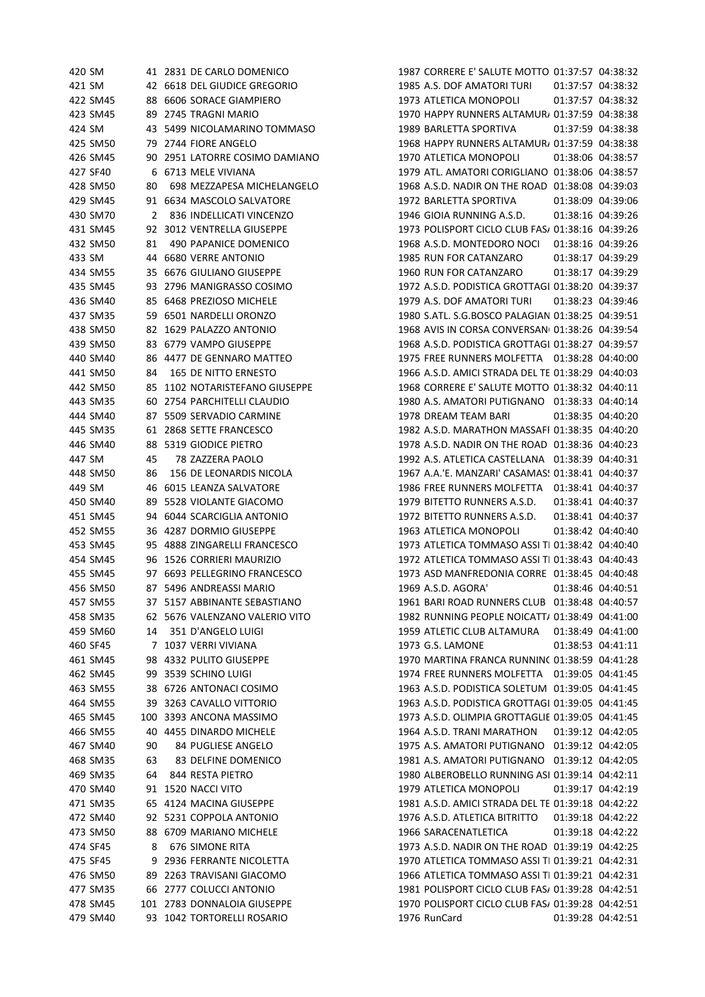| 420 SM   |    | 41 2831 DE CARLO DOMENICO      | 1987 CORRERE E' SALUTE MOTTO 01:37:57 04:38:32     |
|----------|----|--------------------------------|----------------------------------------------------|
| 421 SM   |    | 42 6618 DEL GIUDICE GREGORIO   | 1985 A.S. DOF AMATORI TURI<br>01:37:57 04:38:32    |
| 422 SM45 |    | 88 6606 SORACE GIAMPIERO       | 1973 ATLETICA MONOPOLI<br>01:37:57 04:38:32        |
| 423 SM45 |    | 89 2745 TRAGNI MARIO           | 1970 HAPPY RUNNERS ALTAMUR 01:37:59 04:38:38       |
| 424 SM   |    | 43 5499 NICOLAMARINO TOMMASO   | 1989 BARLETTA SPORTIVA<br>01:37:59 04:38:38        |
| 425 SM50 |    | 79 2744 FIORE ANGELO           | 1968 HAPPY RUNNERS ALTAMUR/ 01:37:59 04:38:38      |
| 426 SM45 |    | 90 2951 LATORRE COSIMO DAMIANO | 1970 ATLETICA MONOPOLI<br>01:38:06 04:38:57        |
| 427 SF40 |    | 6 6713 MELE VIVIANA            | 1979 ATL. AMATORI CORIGLIANO 01:38:06 04:38:57     |
| 428 SM50 | 80 | 698 MEZZAPESA MICHELANGELO     | 1968 A.S.D. NADIR ON THE ROAD 01:38:08 04:39:03    |
| 429 SM45 |    | 91 6634 MASCOLO SALVATORE      | 1972 BARLETTA SPORTIVA<br>01:38:09 04:39:06        |
| 430 SM70 | 2  | 836 INDELLICATI VINCENZO       | 1946 GIOIA RUNNING A.S.D.<br>01:38:16 04:39:26     |
| 431 SM45 |    | 92 3012 VENTRELLA GIUSEPPE     | 1973 POLISPORT CICLO CLUB FAS/ 01:38:16 04:39:26   |
| 432 SM50 | 81 | 490 PAPANICE DOMENICO          | 1968 A.S.D. MONTEDORO NOCI 01:38:16 04:39:26       |
| 433 SM   |    | 44 6680 VERRE ANTONIO          | 1985 RUN FOR CATANZARO<br>01:38:17 04:39:29        |
| 434 SM55 |    | 35 6676 GIULIANO GIUSEPPE      | 1960 RUN FOR CATANZARO<br>01:38:17 04:39:29        |
| 435 SM45 |    | 93 2796 MANIGRASSO COSIMO      | 1972 A.S.D. PODISTICA GROTTAGI 01:38:20 04:39:37   |
| 436 SM40 |    | 85 6468 PREZIOSO MICHELE       | 1979 A.S. DOF AMATORI TURI<br>01:38:23 04:39:46    |
| 437 SM35 |    | 59 6501 NARDELLI ORONZO        | 1980 S.ATL. S.G.BOSCO PALAGIAN 01:38:25 04:39:51   |
| 438 SM50 |    | 82 1629 PALAZZO ANTONIO        | 1968 AVIS IN CORSA CONVERSAN( 01:38:26 04:39:54    |
| 439 SM50 |    | 83 6779 VAMPO GIUSEPPE         | 1968 A.S.D. PODISTICA GROTTAGI 01:38:27 04:39:57   |
| 440 SM40 |    | 86 4477 DE GENNARO MATTEO      | 1975 FREE RUNNERS MOLFETTA  01:38:28 04:40:00      |
| 441 SM50 | 84 | <b>165 DE NITTO ERNESTO</b>    | 1966 A.S.D. AMICI STRADA DEL TE 01:38:29 04:40:03  |
| 442 SM50 |    | 85 1102 NOTARISTEFANO GIUSEPPE | 1968 CORRERE E' SALUTE MOTTO 01:38:32 04:40:11     |
| 443 SM35 |    | 60 2754 PARCHITELLI CLAUDIO    | 1980 A.S. AMATORI PUTIGNANO 01:38:33 04:40:14      |
| 444 SM40 |    | 87 5509 SERVADIO CARMINE       | 1978 DREAM TEAM BARI<br>01:38:35 04:40:20          |
| 445 SM35 |    | 61 2868 SETTE FRANCESCO        | 1982 A.S.D. MARATHON MASSAFI 01:38:35 04:40:20     |
| 446 SM40 |    | 88 5319 GIODICE PIETRO         | 1978 A.S.D. NADIR ON THE ROAD 01:38:36 04:40:23    |
| 447 SM   | 45 | 78 ZAZZERA PAOLO               | 1992 A.S. ATLETICA CASTELLANA 01:38:39 04:40:31    |
| 448 SM50 | 86 | 156 DE LEONARDIS NICOLA        | 1967 A.A.'E. MANZARI' CASAMAS: 01:38:41 04:40:37   |
| 449 SM   |    | 46 6015 LEANZA SALVATORE       | 1986 FREE RUNNERS MOLFETTA   01:38:41  04:40:37    |
| 450 SM40 |    | 89 5528 VIOLANTE GIACOMO       | 1979 BITETTO RUNNERS A.S.D.<br>01:38:41 04:40:37   |
| 451 SM45 | 94 | 6044 SCARCIGLIA ANTONIO        | 1972 BITETTO RUNNERS A.S.D.<br>01:38:41 04:40:37   |
| 452 SM55 |    | 36 4287 DORMIO GIUSEPPE        | 1963 ATLETICA MONOPOLI<br>01:38:42 04:40:40        |
| 453 SM45 |    | 95 4888 ZINGARELLI FRANCESCO   | 1973 ATLETICA TOMMASO ASSI TI 01:38:42 04:40:40    |
| 454 SM45 |    | 96 1526 CORRIERI MAURIZIO      | 1972 ATLETICA TOMMASO ASSI TI 01:38:43 04:40:43    |
| 455 SM45 |    | 97 6693 PELLEGRINO FRANCESCO   | 1973 ASD MANFREDONIA CORRE 01:38:45 04:40:48       |
| 456 SM50 |    | 87 5496 ANDREASSI MARIO        | 1969 A.S.D. AGORA'<br>01:38:46 04:40:51            |
| 457 SM55 |    | 37 5157 ABBINANTE SEBASTIANO   | 1961 BARI ROAD RUNNERS CLUB 01:38:48 04:40:57      |
| 458 SM35 |    | 62 5676 VALENZANO VALERIO VITO | 1982 RUNNING PEOPLE NOICATT/ 01:38:49 04:41:00     |
| 459 SM60 | 14 | 351 D'ANGELO LUIGI             | 1959 ATLETIC CLUB ALTAMURA   01:38:49  04:41:00    |
| 460 SF45 |    | 7 1037 VERRI VIVIANA           | 1973 G.S. LAMONE<br>01:38:53 04:41:11              |
| 461 SM45 |    | 98 4332 PULITO GIUSEPPE        | 1970 MARTINA FRANCA RUNNINC 01:38:59 04:41:28      |
| 462 SM45 |    | 99 3539 SCHINO LUIGI           | 1974 FREE RUNNERS MOLFETTA   01:39:05  04:41:45    |
| 463 SM55 |    | 38 6726 ANTONACI COSIMO        | 1963 A.S.D. PODISTICA SOLETUM 01:39:05 04:41:45    |
| 464 SM55 |    | 39 3263 CAVALLO VITTORIO       | 1963 A.S.D. PODISTICA GROTTAGI 01:39:05 04:41:45   |
| 465 SM45 |    | 100 3393 ANCONA MASSIMO        | 1973 A.S.D. OLIMPIA GROTTAGLIE 01:39:05 04:41:45   |
| 466 SM55 |    | 40 4455 DINARDO MICHELE        | 1964 A.S.D. TRANI MARATHON<br>01:39:12 04:42:05    |
|          |    | 84 PUGLIESE ANGELO             | 1975 A.S. AMATORI PUTIGNANO 01:39:12 04:42:05      |
| 467 SM40 | 90 |                                | 1981 A.S. AMATORI PUTIGNANO 01:39:12 04:42:05      |
| 468 SM35 | 63 | 83 DELFINE DOMENICO            |                                                    |
| 469 SM35 | 64 | 844 RESTA PIETRO               | 1980 ALBEROBELLO RUNNING ASI 01:39:14 04:42:11     |
| 470 SM40 | 91 | 1520 NACCI VITO                | 1979 ATLETICA MONOPOLI<br>01:39:17 04:42:19        |
| 471 SM35 |    | 65 4124 MACINA GIUSEPPE        | 1981 A.S.D. AMICI STRADA DEL TE 01:39:18 04:42:22  |
| 472 SM40 |    | 92 5231 COPPOLA ANTONIO        | 1976 A.S.D. ATLETICA BITRITTO<br>01:39:18 04:42:22 |
| 473 SM50 |    | 88 6709 MARIANO MICHELE        | 1966 SARACENATLETICA<br>01:39:18 04:42:22          |
| 474 SF45 | 8  | 676 SIMONE RITA                | 1973 A.S.D. NADIR ON THE ROAD 01:39:19 04:42:25    |
| 475 SF45 |    | 9 2936 FERRANTE NICOLETTA      | 1970 ATLETICA TOMMASO ASSI TI 01:39:21 04:42:31    |
| 476 SM50 |    | 89 2263 TRAVISANI GIACOMO      | 1966 ATLETICA TOMMASO ASSI TI 01:39:21 04:42:31    |
| 477 SM35 |    | 66 2777 COLUCCI ANTONIO        | 1981 POLISPORT CICLO CLUB FAS/ 01:39:28 04:42:51   |
| 478 SM45 |    | 101 2783 DONNALOIA GIUSEPPE    | 1970 POLISPORT CICLO CLUB FAS/ 01:39:28 04:42:51   |
| 479 SM40 |    | 93 1042 TORTORELLI ROSARIO     | 1976 RunCard<br>01:39:28 04:42:51                  |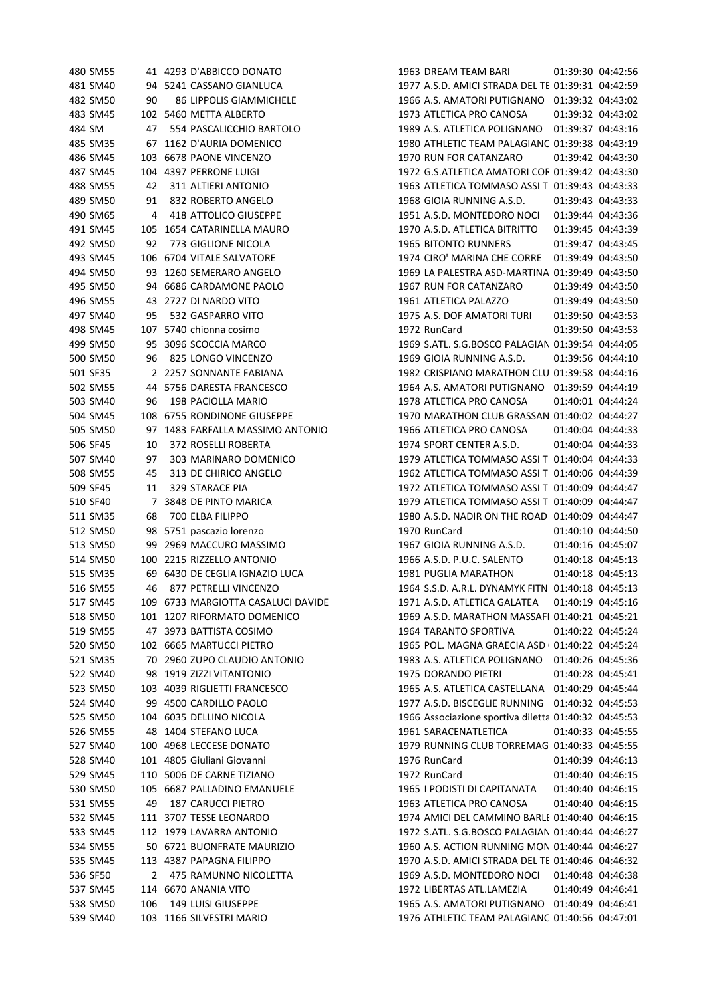| 480 SM55             |     | 41 4293 D'ABBICCO DONATO                         | 1963 DREAM TEAM BARI<br>01:39:30 04:42:56                                                       |  |
|----------------------|-----|--------------------------------------------------|-------------------------------------------------------------------------------------------------|--|
| 481 SM40             |     | 94 5241 CASSANO GIANLUCA                         | 1977 A.S.D. AMICI STRADA DEL TE 01:39:31 04:42:59                                               |  |
| 482 SM50             | 90  | 86 LIPPOLIS GIAMMICHELE                          | 1966 A.S. AMATORI PUTIGNANO 01:39:32 04:43:02                                                   |  |
| 483 SM45             |     | 102 5460 METTA ALBERTO                           | 1973 ATLETICA PRO CANOSA<br>01:39:32 04:43:02                                                   |  |
| 484 SM               | 47  | 554 PASCALICCHIO BARTOLO                         | 1989 A.S. ATLETICA POLIGNANO  01:39:37 04:43:16                                                 |  |
| 485 SM35             |     | 67 1162 D'AURIA DOMENICO                         | 1980 ATHLETIC TEAM PALAGIANC 01:39:38 04:43:19                                                  |  |
| 486 SM45             |     | 103 6678 PAONE VINCENZO                          | 1970 RUN FOR CATANZARO<br>01:39:42 04:43:30                                                     |  |
| 487 SM45             |     | 104 4397 PERRONE LUIGI                           | 1972 G.S.ATLETICA AMATORI COR 01:39:42 04:43:30                                                 |  |
| 488 SM55             | 42  | 311 ALTIERI ANTONIO                              | 1963 ATLETICA TOMMASO ASSI TI 01:39:43 04:43:33                                                 |  |
| 489 SM50             | 91  | 832 ROBERTO ANGELO                               | 1968 GIOIA RUNNING A.S.D.<br>01:39:43 04:43:33                                                  |  |
| 490 SM65             | 4   | 418 ATTOLICO GIUSEPPE                            | 1951 A.S.D. MONTEDORO NOCI<br>01:39:44 04:43:36                                                 |  |
| 491 SM45             |     | 105 1654 CATARINELLA MAURO                       | 1970 A.S.D. ATLETICA BITRITTO<br>01:39:45 04:43:39                                              |  |
| 492 SM50             | 92  | 773 GIGLIONE NICOLA                              | <b>1965 BITONTO RUNNERS</b><br>01:39:47 04:43:45                                                |  |
| 493 SM45             |     | 106 6704 VITALE SALVATORE                        | 1974 CIRO' MARINA CHE CORRE 01:39:49 04:43:50                                                   |  |
| 494 SM50             |     | 93 1260 SEMERARO ANGELO                          | 1969 LA PALESTRA ASD-MARTINA 01:39:49 04:43:50                                                  |  |
| 495 SM50             |     | 94 6686 CARDAMONE PAOLO                          | 1967 RUN FOR CATANZARO<br>01:39:49 04:43:50                                                     |  |
| 496 SM55             |     | 43 2727 DI NARDO VITO                            | 1961 ATLETICA PALAZZO<br>01:39:49 04:43:50                                                      |  |
| 497 SM40             | 95  | 532 GASPARRO VITO                                | 1975 A.S. DOF AMATORI TURI<br>01:39:50 04:43:53                                                 |  |
| 498 SM45             |     | 107 5740 chionna cosimo                          | 1972 RunCard<br>01:39:50 04:43:53                                                               |  |
| 499 SM50             |     | 95 3096 SCOCCIA MARCO                            | 1969 S.ATL. S.G.BOSCO PALAGIAN 01:39:54 04:44:05                                                |  |
| 500 SM50             | 96  | 825 LONGO VINCENZO                               | 1969 GIOIA RUNNING A.S.D.<br>01:39:56 04:44:10                                                  |  |
| 501 SF35             |     | 2 2257 SONNANTE FABIANA                          | 1982 CRISPIANO MARATHON CLU 01:39:58 04:44:16                                                   |  |
| 502 SM55             |     | 44 5756 DARESTA FRANCESCO                        | 1964 A.S. AMATORI PUTIGNANO 01:39:59 04:44:19                                                   |  |
| 503 SM40             | 96  | 198 PACIOLLA MARIO                               | 1978 ATLETICA PRO CANOSA<br>01:40:01 04:44:24                                                   |  |
| 504 SM45             |     | 108 6755 RONDINONE GIUSEPPE                      | 1970 MARATHON CLUB GRASSAN 01:40:02 04:44:27                                                    |  |
| 505 SM50             | 97  | 1483 FARFALLA MASSIMO ANTONIO                    | 1966 ATLETICA PRO CANOSA<br>01:40:04 04:44:33                                                   |  |
| 506 SF45             | 10  | 372 ROSELLI ROBERTA                              | 1974 SPORT CENTER A.S.D.<br>01:40:04 04:44:33                                                   |  |
| 507 SM40             | 97  | 303 MARINARO DOMENICO                            | 1979 ATLETICA TOMMASO ASSI TI 01:40:04 04:44:33                                                 |  |
| 508 SM55             | 45  | 313 DE CHIRICO ANGELO                            | 1962 ATLETICA TOMMASO ASSI TI 01:40:06 04:44:39                                                 |  |
| 509 SF45             | 11  | 329 STARACE PIA                                  | 1972 ATLETICA TOMMASO ASSI TI 01:40:09 04:44:47                                                 |  |
| 510 SF40             | 7   | 3848 DE PINTO MARICA                             | 1979 ATLETICA TOMMASO ASSI TI 01:40:09 04:44:47                                                 |  |
| 511 SM35             | 68  | 700 ELBA FILIPPO                                 | 1980 A.S.D. NADIR ON THE ROAD 01:40:09 04:44:47                                                 |  |
| 512 SM50             | 98  | 5751 pascazio lorenzo                            | 1970 RunCard<br>01:40:10 04:44:50                                                               |  |
| 513 SM50             | 99  | 2969 MACCURO MASSIMO                             | 1967 GIOIA RUNNING A.S.D.<br>01:40:16 04:45:07                                                  |  |
| 514 SM50             |     | 100 2215 RIZZELLO ANTONIO                        | 1966 A.S.D. P.U.C. SALENTO<br>01:40:18 04:45:13                                                 |  |
| 515 SM35             |     | 69 6430 DE CEGLIA IGNAZIO LUCA                   | 1981 PUGLIA MARATHON<br>01:40:18 04:45:13                                                       |  |
| 516 SM55             | 46  | 877 PETRELLI VINCENZO                            | 1964 S.S.D. A.R.L. DYNAMYK FITNI 01:40:18 04:45:13                                              |  |
| 517 SM45             |     | 109 6733 MARGIOTTA CASALUCI DAVIDE               | 1971 A.S.D. ATLETICA GALATEA<br>01:40:19 04:45:16                                               |  |
| 518 SM50             |     | 101 1207 RIFORMATO DOMENICO                      | 1969 A.S.D. MARATHON MASSAFI 01:40:21 04:45:21                                                  |  |
| 519 SM55             |     | 47 3973 BATTISTA COSIMO                          | 1964 TARANTO SPORTIVA<br>01:40:22 04:45:24                                                      |  |
| 520 SM50             |     | 102 6665 MARTUCCI PIETRO                         | 1965 POL. MAGNA GRAECIA ASD ( 01:40:22 04:45:24                                                 |  |
| 521 SM35             |     | 70 2960 ZUPO CLAUDIO ANTONIO                     | 1983 A.S. ATLETICA POLIGNANO 01:40:26 04:45:36                                                  |  |
| 522 SM40             |     | 98 1919 ZIZZI VITANTONIO                         | 1975 DORANDO PIETRI<br>01:40:28 04:45:41                                                        |  |
| 523 SM50             |     | 103 4039 RIGLIETTI FRANCESCO                     | 1965 A.S. ATLETICA CASTELLANA  01:40:29  04:45:44                                               |  |
| 524 SM40             |     | 99 4500 CARDILLO PAOLO                           | 1977 A.S.D. BISCEGLIE RUNNING 01:40:32 04:45:53                                                 |  |
| 525 SM50             |     | 104 6035 DELLINO NICOLA                          | 1966 Associazione sportiva diletta 01:40:32 04:45:53                                            |  |
| 526 SM55             |     | 48 1404 STEFANO LUCA                             | 1961 SARACENATLETICA<br>01:40:33 04:45:55                                                       |  |
| 527 SM40             |     | 100 4968 LECCESE DONATO                          | 1979 RUNNING CLUB TORREMAG 01:40:33 04:45:55                                                    |  |
| 528 SM40             |     | 101 4805 Giuliani Giovanni                       | 1976 RunCard<br>01:40:39 04:46:13                                                               |  |
| 529 SM45             |     | 110 5006 DE CARNE TIZIANO                        | 1972 RunCard<br>01:40:40 04:46:15                                                               |  |
|                      |     |                                                  |                                                                                                 |  |
| 530 SM50             |     | 105 6687 PALLADINO EMANUELE                      | 1965 I PODISTI DI CAPITANATA<br>01:40:40 04:46:15                                               |  |
| 531 SM55<br>532 SM45 | 49  | <b>187 CARUCCI PIETRO</b><br>3707 TESSE LEONARDO | 1963 ATLETICA PRO CANOSA<br>01:40:40 04:46:15<br>1974 AMICI DEL CAMMINO BARLE 01:40:40 04:46:15 |  |
|                      | 111 |                                                  |                                                                                                 |  |
| 533 SM45             |     | 112 1979 LAVARRA ANTONIO                         | 1972 S.ATL. S.G.BOSCO PALAGIAN 01:40:44 04:46:27                                                |  |
| 534 SM55             |     | 50 6721 BUONFRATE MAURIZIO                       | 1960 A.S. ACTION RUNNING MON 01:40:44 04:46:27                                                  |  |
| 535 SM45             |     | 113 4387 PAPAGNA FILIPPO                         | 1970 A.S.D. AMICI STRADA DEL TE 01:40:46 04:46:32                                               |  |
| 536 SF50             | 2   | 475 RAMUNNO NICOLETTA                            | 1969 A.S.D. MONTEDORO NOCI 01:40:48 04:46:38                                                    |  |
| 537 SM45             |     | 114 6670 ANANIA VITO                             | 1972 LIBERTAS ATL.LAMEZIA<br>01:40:49 04:46:41                                                  |  |
| 538 SM50             | 106 | 149 LUISI GIUSEPPE                               | 1965 A.S. AMATORI PUTIGNANO 01:40:49 04:46:41                                                   |  |
| 539 SM40             |     | 103 1166 SILVESTRI MARIO                         | 1976 ATHLETIC TEAM PALAGIANC 01:40:56 04:47:01                                                  |  |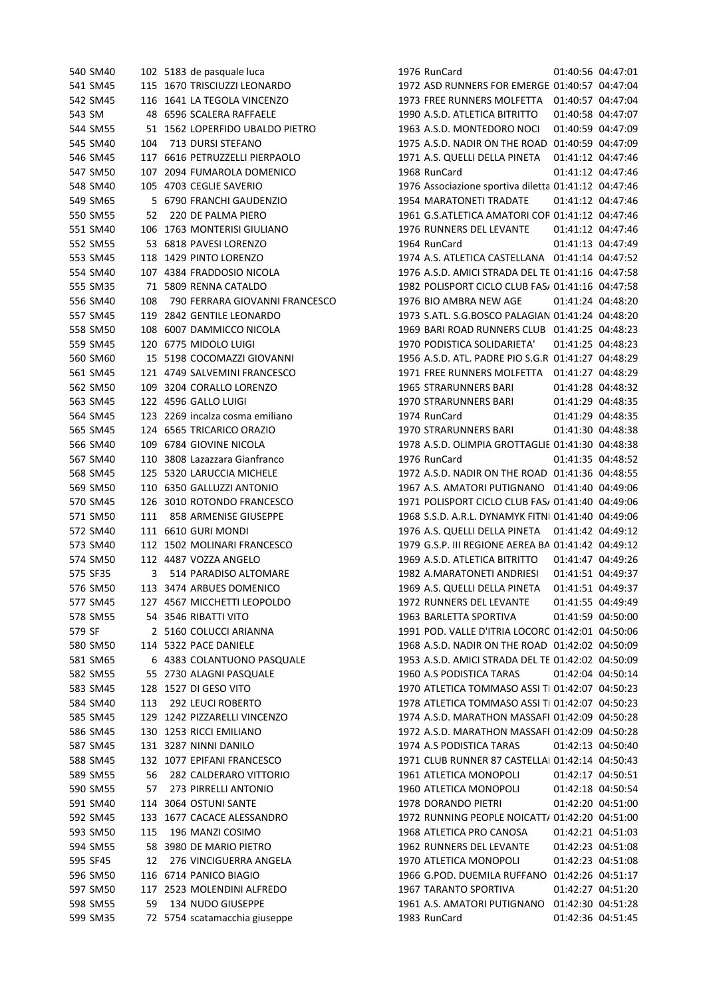541 SM45 115 1670 TRISCIUZZI LEONARDO 1972 ASD RUNNERS FOR EMERGE 01:40:57 04:47:04 SM45 116 1641 LA TEGOLA VINCENZO 1973 FREE RUNNERS MOLFETTA 01:40:57 04:47:04 543 SM 48 6596 SCALERA RAFFAELE 1990 A.S.D. ATLETICA BITRITTO 01:40:58 04:47:07 SM55 51 1562 LOPERFIDO UBALDO PIETRO 1963 A.S.D. MONTEDORO NOCI 01:40:59 04:47:09 545 SM40 104 713 DURSI STEFANO 1975 A.S.D. NADIR ON THE ROAD 01:40:59 04:47:09 SM45 117 6616 PETRUZZELLI PIERPAOLO 1971 A.S. QUELLI DELLA PINETA 01:41:12 04:47:46 SM50 107 2094 FUMAROLA DOMENICO 1968 RunCard 01:41:12 04:47:46 548 SM40 105 4703 CEGLIE SAVERIO 1976 Associazione sportiva diletta 01:41:12 04:47:46 SM65 5 6790 FRANCHI GAUDENZIO 1954 MARATONETI TRADATE 01:41:12 04:47:46 550 SM55 52 220 DE PALMA PIERO 1961 G.S.ATLETICA AMATORI COR 01:41:12 04:47:46 SM40 106 1763 MONTERISI GIULIANO 1976 RUNNERS DEL LEVANTE 01:41:12 04:47:46 SM55 53 6818 PAVESI LORENZO 1964 RunCard 01:41:13 04:47:49 SM45 118 1429 PINTO LORENZO 1974 A.S. ATLETICA CASTELLANA 01:41:14 04:47:52 554 SM40 107 4384 FRADDOSIO NICOLA 1976 A.S.D. AMICI STRADA DEL TE 01:41:16 04:47:58 555 SM35 71 5809 RENNA CATALDO 1982 POLISPORT CICLO CLUB FASA 01:41:16 04:47:58 SM40 108 790 FERRARA GIOVANNI FRANCESCO 1976 BIO AMBRA NEW AGE 01:41:24 04:48:20 557 SM45 119 2842 GENTILE LEONARDO 1973 S.ATL. S.G.BOSCO PALAGIAN 01:41:24 04:48:20 SM50 108 6007 DAMMICCO NICOLA 1969 BARI ROAD RUNNERS CLUB 01:41:25 04:48:23 SM45 120 6775 MIDOLO LUIGI 1970 PODISTICA SOLIDARIETA' 01:41:25 04:48:23 SM60 15 5198 COCOMAZZI GIOVANNI 1956 A.S.D. ATL. PADRE PIO S.G.R. 01:41:27 04:48:29 SM45 121 4749 SALVEMINI FRANCESCO 1971 FREE RUNNERS MOLFETTA 01:41:27 04:48:29 SM50 109 3204 CORALLO LORENZO 1965 STRARUNNERS BARI 01:41:28 04:48:32 SM45 122 4596 GALLO LUIGI 1970 STRARUNNERS BARI 01:41:29 04:48:35 SM45 123 2269 incalza cosma emiliano 1974 RunCard 01:41:29 04:48:35 SM45 124 6565 TRICARICO ORAZIO 1970 STRARUNNERS BARI 01:41:30 04:48:38 SM40 109 6784 GIOVINE NICOLA 1978 A.S.D. OLIMPIA GROTTAGLIE 01:41:30 04:48:38 SM40 110 3808 Lazazzara Gianfranco 1976 RunCard 01:41:35 04:48:52 568 SM45 125 5320 LARUCCIA MICHELE 1972 A.S.D. NADIR ON THE ROAD 01:41:36 04:48:55 SM50 110 6350 GALLUZZI ANTONIO 1967 A.S. AMATORI PUTIGNANO 01:41:40 04:49:06 570 SM45 126 3010 ROTONDO FRANCESCO 1971 POLISPORT CICLO CLUB FAS/ 01:41:40 04:49:06 571 SM50 111 858 ARMENISE GIUSEPPE 1968 S.S.D. A.R.L. DYNAMYK FITNI 01:41:40 04:49:06 SM40 111 6610 GURI MONDI 1976 A.S. QUELLI DELLA PINETA 01:41:42 04:49:12 573 SM40 112 1502 MOLINARI FRANCESCO 1979 G.S.P. III REGIONE AEREA BA 01:41:42 04:49:12 SM50 112 4487 VOZZA ANGELO 1969 A.S.D. ATLETICA BITRITTO 01:41:47 04:49:26 SF35 3 514 PARADISO ALTOMARE 1982 A.MARATONETI ANDRIESI 01:41:51 04:49:37 SM50 113 3474 ARBUES DOMENICO 1969 A.S. QUELLI DELLA PINETA 01:41:51 04:49:37 SM45 127 4567 MICCHETTI LEOPOLDO 1972 RUNNERS DEL LEVANTE 01:41:55 04:49:49 SM55 54 3546 RIBATTI VITO 1963 BARLETTA SPORTIVA 01:41:59 04:50:00 579 SF 2 5160 COLUCCI ARIANNA 1991 POD. VALLE D'ITRIA LOCORC 01:42:01 04:50:06 580 SM50 114 5322 PACE DANIELE 1968 A.S.D. NADIR ON THE ROAD 01:42:02 04:50:09 581 SM65 6 4383 COLANTUONO PASQUALE 1953 A.S.D. AMICI STRADA DEL TE 01:42:02 04:50:09 SM55 55 2730 ALAGNI PASQUALE 1960 A.S PODISTICA TARAS 01:42:04 04:50:14 583 SM45 128 1527 DI GESO VITO 1970 ATLETICA TOMMASO ASSI TI 01:42:07 04:50:23 584 SM40 113 292 LEUCI ROBERTO 1978 ATLETICA TOMMASO ASSI TI 01:42:07 04:50:23 585 SM45 129 1242 PIZZARELLI VINCENZO 1974 A.S.D. MARATHON MASSAFI 01:42:09 04:50:28 586 SM45 130 1253 RICCI EMILIANO 1972 A.S.D. MARATHON MASSAFI 01:42:09 04:50:28 SM45 131 3287 NINNI DANILO 1974 A.S PODISTICA TARAS 01:42:13 04:50:40 588 SM45 132 1077 EPIFANI FRANCESCO 1971 CLUB RUNNER 87 CASTELLAI 01:42:14 04:50:43 SM55 56 282 CALDERARO VITTORIO 1961 ATLETICA MONOPOLI 01:42:17 04:50:51 SM55 57 273 PIRRELLI ANTONIO 1960 ATLETICA MONOPOLI 01:42:18 04:50:54 SM40 114 3064 OSTUNI SANTE 1978 DORANDO PIETRI 01:42:20 04:51:00 592 SM45 133 1677 CACACE ALESSANDRO 1972 RUNNING PEOPLE NOICATT/ 01:42:20 04:51:00 SM50 115 196 MANZI COSIMO 1968 ATLETICA PRO CANOSA 01:42:21 04:51:03 SM55 58 3980 DE MARIO PIETRO 1962 RUNNERS DEL LEVANTE 01:42:23 04:51:08 SF45 12 276 VINCIGUERRA ANGELA 1970 ATLETICA MONOPOLI 01:42:23 04:51:08 SM50 116 6714 PANICO BIAGIO 1966 G.POD. DUEMILA RUFFANO 01:42:26 04:51:17 SM50 117 2523 MOLENDINI ALFREDO 1967 TARANTO SPORTIVA 01:42:27 04:51:20 SM55 59 134 NUDO GIUSEPPE 1961 A.S. AMATORI PUTIGNANO 01:42:30 04:51:28 SM35 72 5754 scatamacchia giuseppe 1983 RunCard 01:42:36 04:51:45

SM40 102 5183 de pasquale luca 1976 RunCard 01:40:56 04:47:01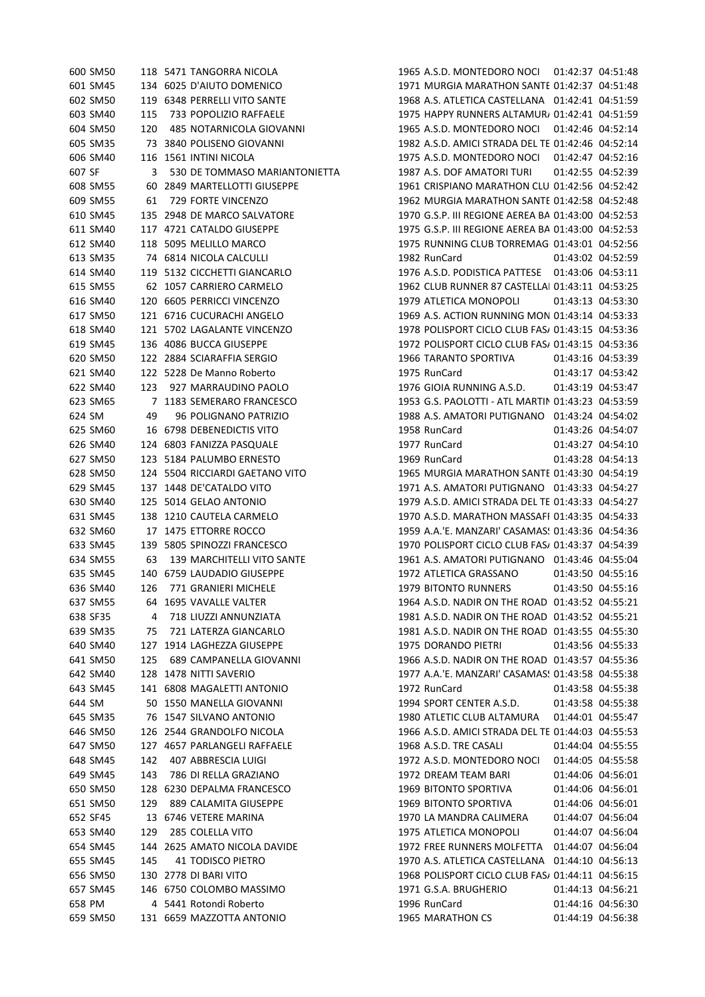601 SM45 134 6025 D'AIUTO DOMENICO 1971 MURGIA MARATHON SANTE 01:42:37 04:51:48 SM50 119 6348 PERRELLI VITO SANTE 1968 A.S. ATLETICA CASTELLANA 01:42:41 04:51:59 603 SM40 115 733 POPOLIZIO RAFFAELE 1975 HAPPY RUNNERS ALTAMUR 01:42:41 04:51:59 SM50 120 485 NOTARNICOLA GIOVANNI 1965 A.S.D. MONTEDORO NOCI 01:42:46 04:52:14 605 SM35 73 3840 POLISENO GIOVANNI 1982 A.S.D. AMICI STRADA DEL TE 01:42:46 04:52:14 SM40 116 1561 INTINI NICOLA 1975 A.S.D. MONTEDORO NOCI 01:42:47 04:52:16 SF 3 530 DE TOMMASO MARIANTONIETTA 1987 A.S. DOF AMATORI TURI 01:42:55 04:52:39 SM55 60 2849 MARTELLOTTI GIUSEPPE 1961 CRISPIANO MARATHON CLUB ONLUS 01:42:56 04:52:42 SM55 61 729 FORTE VINCENZO 1962 MURGIA MARATHON SANTERAMO 01:42:58 04:52:48 SM45 135 2948 DE MARCO SALVATORE 1970 G.S.P. III REGIONE AEREA BARI01:43:00 04:52:53 SM40 117 4721 CATALDO GIUSEPPE 1975 G.S.P. III REGIONE AEREA BARI01:43:00 04:52:53 SM40 118 5095 MELILLO MARCO 1975 RUNNING CLUB TORREMAGGIORE 01:43:01 04:52:56 SM35 74 6814 NICOLA CALCULLI 1982 RunCard 01:43:02 04:52:59 SM40 119 5132 CICCHETTI GIANCARLO 1976 A.S.D. PODISTICA PATTESE 01:43:06 04:53:11 615 SM55 62 1057 CARRIERO CARMELO 1962 CLUB RUNNER 87 CASTELLAI 01:43:11 04:53:25 SM40 120 6605 PERRICCI VINCENZO 1979 ATLETICA MONOPOLI 01:43:13 04:53:30 617 SM50 121 6716 CUCURACHI ANGELO 1969 A.S. ACTION RUNNING MON 01:43:14 04:53:33 SM40 121 5702 LAGALANTE VINCENZO 1978 POLISPORT CICLO CLUB FASANO01:43:15 04:53:36 619 SM45 136 4086 BUCCA GIUSEPPE 1972 POLISPORT CICLO CLUB FASA 01:43:15 04:53:36 SM50 122 2884 SCIARAFFIA SERGIO 1966 TARANTO SPORTIVA 01:43:16 04:53:39 SM40 122 5228 De Manno Roberto 1975 RunCard 01:43:17 04:53:42 SM40 123 927 MARRAUDINO PAOLO 1976 GIOIA RUNNING A.S.D. 01:43:19 04:53:47 623 SM65 7 1183 SEMERARO FRANCESCO 1953 G.S. PAOLOTTI - ATL MARTIN 01:43:23 04:53:59 SM 49 96 POLIGNANO PATRIZIO 1988 A.S. AMATORI PUTIGNANO 01:43:24 04:54:02 SM60 16 6798 DEBENEDICTIS VITO 1958 RunCard 01:43:26 04:54:07 SM40 124 6803 FANIZZA PASQUALE 1977 RunCard 01:43:27 04:54:10 SM50 123 5184 PALUMBO ERNESTO 1969 RunCard 01:43:28 04:54:13 628 SM50 124 5504 RICCIARDI GAETANO VITO 1965 MURGIA MARATHON SANTE 01:43:30 04:54:19 SM45 137 1448 DE'CATALDO VITO 1971 A.S. AMATORI PUTIGNANO 01:43:33 04:54:27 630 SM40 125 5014 GELAO ANTONIO 1979 A.S.D. AMICI STRADA DEL TE 01:43:33 04:54:27 631 SM45 138 1210 CAUTELA CARMELO 1970 A.S.D. MARATHON MASSAFI 01:43:35 04:54:33 632 SM60 17 1475 ETTORRE ROCCO 1959 A.A.'E. MANZARI' CASAMAS: 01:43:36 04:54:36 633 SM45 139 5805 SPINOZZI FRANCESCO 1970 POLISPORT CICLO CLUB FASA 01:43:37 04:54:39 SM55 63 139 MARCHITELLI VITO SANTE 1961 A.S. AMATORI PUTIGNANO 01:43:46 04:55:04 SM45 140 6759 LAUDADIO GIUSEPPE 1972 ATLETICA GRASSANO 01:43:50 04:55:16 SM40 126 771 GRANIERI MICHELE 1979 BITONTO RUNNERS 01:43:50 04:55:16 637 SM55 64 1695 VAVALLE VALTER 1964 A.S.D. NADIR ON THE ROAD 01:43:52 04:55:21 638 SF35 4 718 LIUZZI ANNUNZIATA 1981 A.S.D. NADIR ON THE ROAD 01:43:52 04:55:21 639 SM35 721 LATERZA GIANCARLO 1981 A.S.D. NADIR ON THE ROAD 01:43:55 04:55:30 SM40 127 1914 LAGHEZZA GIUSEPPE 1975 DORANDO PIETRI 01:43:56 04:55:33 641 SM50 125 689 CAMPANELLA GIOVANNI 1966 A.S.D. NADIR ON THE ROAD 01:43:57 04:55:36 642 SM40 128 1478 NITTI SAVERIO 1977 A.A.'E. MANZARI' CASAMAS: 01:43:58 04:55:38 SM45 141 6808 MAGALETTI ANTONIO 1972 RunCard 01:43:58 04:55:38 SM 50 1550 MANELLA GIOVANNI 1994 SPORT CENTER A.S.D. 01:43:58 04:55:38 SM35 76 1547 SILVANO ANTONIO 1980 ATLETIC CLUB ALTAMURA 01:44:01 04:55:47 646 SM50 126 2544 GRANDOLFO NICOLA 1966 A.S.D. AMICI STRADA DEL TE 01:44:03 04:55:53 SM50 127 4657 PARLANGELI RAFFAELE 1968 A.S.D. TRE CASALI 01:44:04 04:55:55 SM45 142 407 ABBRESCIA LUIGI 1972 A.S.D. MONTEDORO NOCI 01:44:05 04:55:58 SM45 143 786 DI RELLA GRAZIANO 1972 DREAM TEAM BARI 01:44:06 04:56:01 SM50 128 6230 DEPALMA FRANCESCO 1969 BITONTO SPORTIVA 01:44:06 04:56:01 SM50 129 889 CALAMITA GIUSEPPE 1969 BITONTO SPORTIVA 01:44:06 04:56:01 SF45 13 6746 VETERE MARINA 1970 LA MANDRA CALIMERA 01:44:07 04:56:04 SM40 129 285 COLELLA VITO 1975 ATLETICA MONOPOLI 01:44:07 04:56:04 SM45 144 2625 AMATO NICOLA DAVIDE 1972 FREE RUNNERS MOLFETTA 01:44:07 04:56:04 SM45 145 41 TODISCO PIETRO 1970 A.S. ATLETICA CASTELLANA 01:44:10 04:56:13 656 SM50 130 2778 DI BARI VITO 1968 POLISPORT CICLO CLUB FASA 01:44:11 04:56:15 SM45 146 6750 COLOMBO MASSIMO 1971 G.S.A. BRUGHERIO 01:44:13 04:56:21 PM 4 5441 Rotondi Roberto 1996 RunCard 01:44:16 04:56:30 SM50 131 6659 MAZZOTTA ANTONIO 1965 MARATHON CS 01:44:19 04:56:38

SM50 118 5471 TANGORRA NICOLA 1965 A.S.D. MONTEDORO NOCI 01:42:37 04:51:48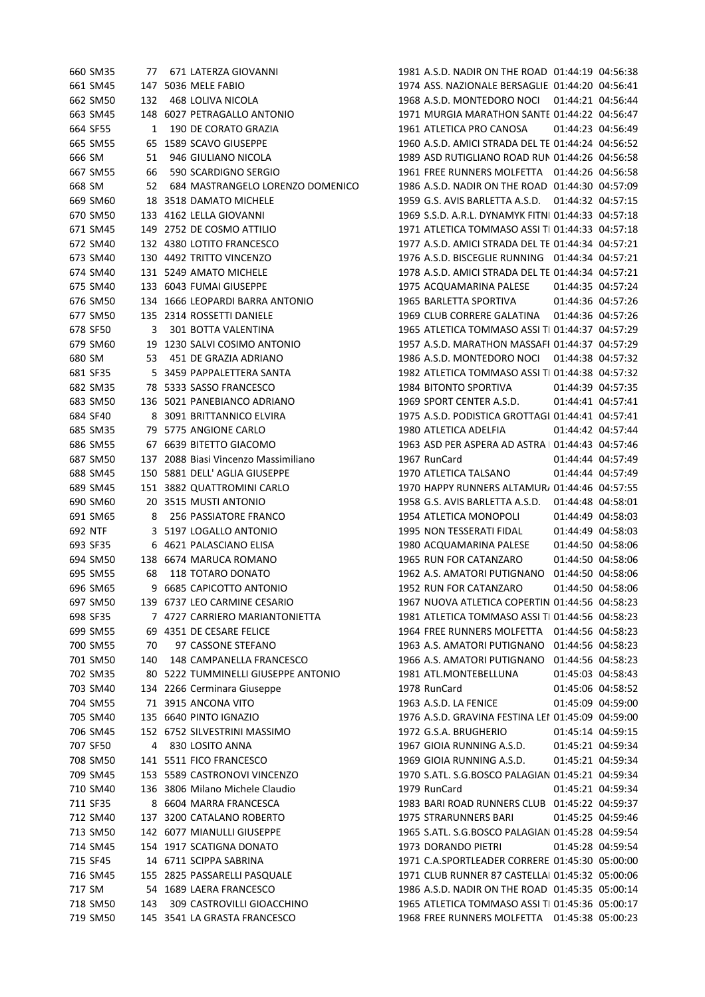|         | 660 SM35 | 77 - | 671 LATERZA GIOVANNI                 | 1981 A.S.D. NADIR ON THE ROAD 01:44:19 04:56:38    |                   |                   |
|---------|----------|------|--------------------------------------|----------------------------------------------------|-------------------|-------------------|
|         | 661 SM45 |      | 147 5036 MELE FABIO                  | 1974 ASS. NAZIONALE BERSAGLIE 01:44:20 04:56:41    |                   |                   |
|         | 662 SM50 | 132  | <b>468 LOLIVA NICOLA</b>             | 1968 A.S.D. MONTEDORO NOCI                         | 01:44:21 04:56:44 |                   |
|         | 663 SM45 |      | 148 6027 PETRAGALLO ANTONIO          | 1971 MURGIA MARATHON SANTE 01:44:22 04:56:47       |                   |                   |
|         | 664 SF55 | 1    | 190 DE CORATO GRAZIA                 | 1961 ATLETICA PRO CANOSA                           |                   | 01:44:23 04:56:49 |
|         | 665 SM55 |      | 65 1589 SCAVO GIUSEPPE               | 1960 A.S.D. AMICI STRADA DEL TE 01:44:24 04:56:52  |                   |                   |
| 666 SM  |          | 51   | 946 GIULIANO NICOLA                  | 1989 ASD RUTIGLIANO ROAD RUN 01:44:26 04:56:58     |                   |                   |
|         | 667 SM55 | 66   | 590 SCARDIGNO SERGIO                 | 1961 FREE RUNNERS MOLFETTA  01:44:26 04:56:58      |                   |                   |
| 668 SM  |          | 52   | 684 MASTRANGELO LORENZO DOMENICO     | 1986 A.S.D. NADIR ON THE ROAD 01:44:30 04:57:09    |                   |                   |
|         | 669 SM60 |      | 18 3518 DAMATO MICHELE               | 1959 G.S. AVIS BARLETTA A.S.D.                     | 01:44:32 04:57:15 |                   |
|         | 670 SM50 |      | 133 4162 LELLA GIOVANNI              | 1969 S.S.D. A.R.L. DYNAMYK FITNI 01:44:33 04:57:18 |                   |                   |
|         | 671 SM45 |      | 149 2752 DE COSMO ATTILIO            | 1971 ATLETICA TOMMASO ASSI TI 01:44:33 04:57:18    |                   |                   |
|         | 672 SM40 |      | 132 4380 LOTITO FRANCESCO            | 1977 A.S.D. AMICI STRADA DEL TE 01:44:34 04:57:21  |                   |                   |
|         | 673 SM40 |      | 130 4492 TRITTO VINCENZO             | 1976 A.S.D. BISCEGLIE RUNNING 01:44:34 04:57:21    |                   |                   |
|         | 674 SM40 |      | 131 5249 AMATO MICHELE               | 1978 A.S.D. AMICI STRADA DEL TE 01:44:34 04:57:21  |                   |                   |
|         | 675 SM40 |      | 133 6043 FUMAI GIUSEPPE              | 1975 ACQUAMARINA PALESE                            |                   | 01:44:35 04:57:24 |
|         | 676 SM50 |      | 134 1666 LEOPARDI BARRA ANTONIO      | 1965 BARLETTA SPORTIVA                             | 01:44:36 04:57:26 |                   |
|         | 677 SM50 |      | 135 2314 ROSSETTI DANIELE            | 1969 CLUB CORRERE GALATINA                         |                   | 01:44:36 04:57:26 |
|         | 678 SF50 | 3    | 301 BOTTA VALENTINA                  | 1965 ATLETICA TOMMASO ASSI TI 01:44:37 04:57:29    |                   |                   |
|         | 679 SM60 |      | 19 1230 SALVI COSIMO ANTONIO         | 1957 A.S.D. MARATHON MASSAFI 01:44:37 04:57:29     |                   |                   |
| 680 SM  |          | 53   | 451 DE GRAZIA ADRIANO                | 1986 A.S.D. MONTEDORO NOCI                         |                   | 01:44:38 04:57:32 |
|         | 681 SF35 |      | 5 3459 PAPPALETTERA SANTA            | 1982 ATLETICA TOMMASO ASSI TI 01:44:38 04:57:32    |                   |                   |
|         | 682 SM35 |      | 78 5333 SASSO FRANCESCO              | 1984 BITONTO SPORTIVA                              |                   | 01:44:39 04:57:35 |
|         | 683 SM50 |      | 136 5021 PANEBIANCO ADRIANO          | 1969 SPORT CENTER A.S.D.                           |                   | 01:44:41 04:57:41 |
|         | 684 SF40 |      | 8 3091 BRITTANNICO ELVIRA            | 1975 A.S.D. PODISTICA GROTTAGI 01:44:41 04:57:41   |                   |                   |
|         | 685 SM35 |      | 79 5775 ANGIONE CARLO                | 1980 ATLETICA ADELFIA                              |                   | 01:44:42 04:57:44 |
|         | 686 SM55 |      | 67 6639 BITETTO GIACOMO              | 1963 ASD PER ASPERA AD ASTRA   01:44:43 04:57:46   |                   |                   |
|         | 687 SM50 |      | 137 2088 Biasi Vincenzo Massimiliano | 1967 RunCard                                       |                   | 01:44:44 04:57:49 |
|         | 688 SM45 |      | 150 5881 DELL' AGLIA GIUSEPPE        | 1970 ATLETICA TALSANO                              |                   | 01:44:44 04:57:49 |
|         | 689 SM45 |      | 151 3882 QUATTROMINI CARLO           | 1970 HAPPY RUNNERS ALTAMUR, 01:44:46 04:57:55      |                   |                   |
|         | 690 SM60 |      | 20 3515 MUSTI ANTONIO                | 1958 G.S. AVIS BARLETTA A.S.D.                     | 01:44:48 04:58:01 |                   |
|         | 691 SM65 | 8    | 256 PASSIATORE FRANCO                | 1954 ATLETICA MONOPOLI                             |                   | 01:44:49 04:58:03 |
| 692 NTF |          |      | 3 5197 LOGALLO ANTONIO               | 1995 NON TESSERATI FIDAL                           |                   | 01:44:49 04:58:03 |
|         | 693 SF35 | 6    | 4621 PALASCIANO ELISA                | 1980 ACQUAMARINA PALESE                            |                   | 01:44:50 04:58:06 |
|         | 694 SM50 |      | 138 6674 MARUCA ROMANO               | 1965 RUN FOR CATANZARO                             |                   | 01:44:50 04:58:06 |
|         | 695 SM55 | 68   | 118 TOTARO DONATO                    | 1962 A.S. AMATORI PUTIGNANO                        |                   | 01:44:50 04:58:06 |
|         | 696 SM65 |      | 9 6685 CAPICOTTO ANTONIO             | 1952 RUN FOR CATANZARO                             |                   | 01:44:50 04:58:06 |
|         | 697 SM50 |      | 139 6737 LEO CARMINE CESARIO         | 1967 NUOVA ATLETICA COPERTIN 01:44:56 04:58:23     |                   |                   |
|         | 698 SF35 |      | 7 4727 CARRIERO MARIANTONIETTA       | 1981 ATLETICA TOMMASO ASSI TI 01:44:56 04:58:23    |                   |                   |
|         | 699 SM55 |      | 69 4351 DE CESARE FELICE             | 1964 FREE RUNNERS MOLFETTA  01:44:56 04:58:23      |                   |                   |
|         | 700 SM55 | 70   | 97 CASSONE STEFANO                   | 1963 A.S. AMATORI PUTIGNANO 01:44:56 04:58:23      |                   |                   |
|         | 701 SM50 | 140  | 148 CAMPANELLA FRANCESCO             | 1966 A.S. AMATORI PUTIGNANO                        |                   | 01:44:56 04:58:23 |
|         | 702 SM35 |      | 80 5222 TUMMINELLI GIUSEPPE ANTONIO  | 1981 ATL.MONTEBELLUNA                              |                   | 01:45:03 04:58:43 |
|         | 703 SM40 |      | 134 2266 Cerminara Giuseppe          | 1978 RunCard                                       |                   | 01:45:06 04:58:52 |
|         | 704 SM55 |      | 71 3915 ANCONA VITO                  | 1963 A.S.D. LA FENICE                              |                   | 01:45:09 04:59:00 |
|         | 705 SM40 |      | 135 6640 PINTO IGNAZIO               | 1976 A.S.D. GRAVINA FESTINA LEI 01:45:09 04:59:00  |                   |                   |
|         | 706 SM45 |      | 152 6752 SILVESTRINI MASSIMO         | 1972 G.S.A. BRUGHERIO                              |                   | 01:45:14 04:59:15 |
|         | 707 SF50 | 4    | 830 LOSITO ANNA                      | 1967 GIOIA RUNNING A.S.D.                          |                   | 01:45:21 04:59:34 |
|         | 708 SM50 |      | 141 5511 FICO FRANCESCO              | 1969 GIOIA RUNNING A.S.D.                          |                   | 01:45:21 04:59:34 |
|         | 709 SM45 |      | 153 5589 CASTRONOVI VINCENZO         | 1970 S.ATL. S.G.BOSCO PALAGIAN 01:45:21 04:59:34   |                   |                   |
|         | 710 SM40 |      | 136 3806 Milano Michele Claudio      | 1979 RunCard                                       |                   | 01:45:21 04:59:34 |
|         | 711 SF35 |      | 8 6604 MARRA FRANCESCA               | 1983 BARI ROAD RUNNERS CLUB 01:45:22 04:59:37      |                   |                   |
|         | 712 SM40 |      | 137 3200 CATALANO ROBERTO            | 1975 STRARUNNERS BARI                              |                   | 01:45:25 04:59:46 |
|         | 713 SM50 |      | 142 6077 MIANULLI GIUSEPPE           | 1965 S.ATL. S.G.BOSCO PALAGIAN 01:45:28 04:59:54   |                   |                   |
|         | 714 SM45 |      | 154 1917 SCATIGNA DONATO             | 1973 DORANDO PIETRI                                |                   | 01:45:28 04:59:54 |
|         | 715 SF45 |      | 14 6711 SCIPPA SABRINA               | 1971 C.A.SPORTLEADER CORRERE 01:45:30 05:00:00     |                   |                   |
|         | 716 SM45 |      | 155 2825 PASSARELLI PASQUALE         | 1971 CLUB RUNNER 87 CASTELLAI 01:45:32 05:00:06    |                   |                   |
| 717 SM  |          |      | 54 1689 LAERA FRANCESCO              | 1986 A.S.D. NADIR ON THE ROAD 01:45:35 05:00:14    |                   |                   |
|         | 718 SM50 | 143  | 309 CASTROVILLI GIOACCHINO           | 1965 ATLETICA TOMMASO ASSI TI 01:45:36 05:00:17    |                   |                   |
|         | 719 SM50 |      | 145 3541 LA GRASTA FRANCESCO         | 1968 FREE RUNNERS MOLFETTA  01:45:38  05:00:23     |                   |                   |
|         |          |      |                                      |                                                    |                   |                   |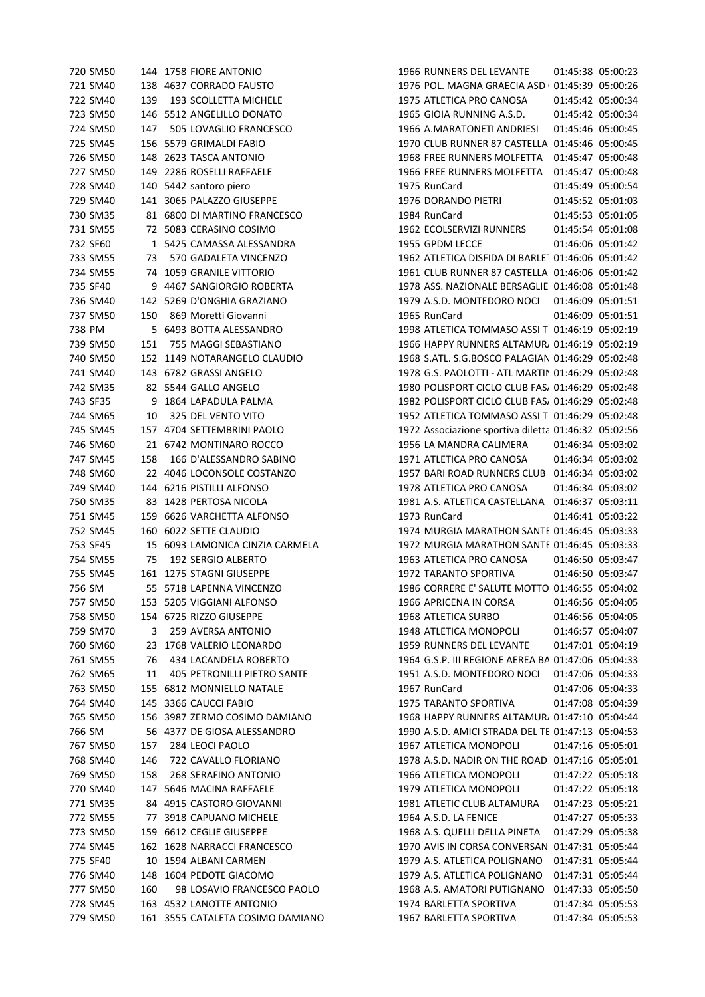|          | 720 SM50             |     | 144 1758 FIORE ANTONIO                         |                 | 1966 RUNNERS DEL LEVANTE                             | 01:45:38 05:00:23                      |
|----------|----------------------|-----|------------------------------------------------|-----------------|------------------------------------------------------|----------------------------------------|
|          | 721 SM40             |     | 138 4637 CORRADO FAUSTO                        |                 | 1976 POL. MAGNA GRAECIA ASD ( 01:45:39 05:00:26      |                                        |
|          | 722 SM40             | 139 | 193 SCOLLETTA MICHELE                          |                 | 1975 ATLETICA PRO CANOSA                             | 01:45:42 05:00:34                      |
|          | 723 SM50             |     | 146 5512 ANGELILLO DONATO                      |                 | 1965 GIOIA RUNNING A.S.D.                            | 01:45:42 05:00:34                      |
|          | 724 SM50             | 147 | 505 LOVAGLIO FRANCESCO                         |                 | 1966 A.MARATONETI ANDRIESI                           | 01:45:46 05:00:45                      |
|          | 725 SM45             |     | 156 5579 GRIMALDI FABIO                        |                 | 1970 CLUB RUNNER 87 CASTELLAI 01:45:46 05:00:45      |                                        |
|          | 726 SM50             |     | 148 2623 TASCA ANTONIO                         |                 | 1968 FREE RUNNERS MOLFETTA  01:45:47  05:00:48       |                                        |
|          | 727 SM50             |     | 149 2286 ROSELLI RAFFAELE                      |                 | 1966 FREE RUNNERS MOLFETTA                           | 01:45:47 05:00:48                      |
|          | 728 SM40             |     | 140 5442 santoro piero                         | 1975 RunCard    |                                                      | 01:45:49 05:00:54                      |
|          | 729 SM40             |     | 141 3065 PALAZZO GIUSEPPE                      |                 | 1976 DORANDO PIETRI                                  | 01:45:52 05:01:03                      |
|          | 730 SM35             |     | 81 6800 DI MARTINO FRANCESCO                   | 1984 RunCard    |                                                      | 01:45:53 05:01:05                      |
|          | 731 SM55             |     | 72 5083 CERASINO COSIMO                        |                 | 1962 ECOLSERVIZI RUNNERS                             | 01:45:54 05:01:08                      |
| 732 SF60 |                      |     | 1 5425 CAMASSA ALESSANDRA                      | 1955 GPDM LECCE |                                                      | 01:46:06 05:01:42                      |
|          | 733 SM55             | 73  | 570 GADALETA VINCENZO                          |                 | 1962 ATLETICA DISFIDA DI BARLE1 01:46:06 05:01:42    |                                        |
|          | 734 SM55             |     | 74 1059 GRANILE VITTORIO                       |                 | 1961 CLUB RUNNER 87 CASTELLAI 01:46:06 05:01:42      |                                        |
| 735 SF40 |                      |     | 9 4467 SANGIORGIO ROBERTA                      |                 | 1978 ASS. NAZIONALE BERSAGLIE  01:46:08 05:01:48     |                                        |
|          | 736 SM40             |     | 142 5269 D'ONGHIA GRAZIANO                     |                 | 1979 A.S.D. MONTEDORO NOCI  01:46:09  05:01:51       |                                        |
|          | 737 SM50             | 150 | 869 Moretti Giovanni                           | 1965 RunCard    |                                                      | 01:46:09 05:01:51                      |
| 738 PM   |                      |     | 5 6493 BOTTA ALESSANDRO                        |                 | 1998 ATLETICA TOMMASO ASSI TI 01:46:19 05:02:19      |                                        |
|          | 739 SM50             | 151 | 755 MAGGI SEBASTIANO                           |                 | 1966 HAPPY RUNNERS ALTAMUR, 01:46:19 05:02:19        |                                        |
|          | 740 SM50             |     | 152 1149 NOTARANGELO CLAUDIO                   |                 | 1968 S.ATL. S.G.BOSCO PALAGIAN 01:46:29 05:02:48     |                                        |
|          | 741 SM40             |     | 143 6782 GRASSI ANGELO                         |                 | 1978 G.S. PAOLOTTI - ATL MARTIN 01:46:29 05:02:48    |                                        |
|          | 742 SM35             |     | 82 5544 GALLO ANGELO                           |                 | 1980 POLISPORT CICLO CLUB FAS/ 01:46:29 05:02:48     |                                        |
| 743 SF35 |                      |     | 9 1864 LAPADULA PALMA                          |                 | 1982 POLISPORT CICLO CLUB FAS/ 01:46:29 05:02:48     |                                        |
|          | 744 SM65             | 10  | 325 DEL VENTO VITO                             |                 | 1952 ATLETICA TOMMASO ASSI TI 01:46:29 05:02:48      |                                        |
|          | 745 SM45             |     | 157 4704 SETTEMBRINI PAOLO                     |                 | 1972 Associazione sportiva diletta 01:46:32 05:02:56 |                                        |
|          | 746 SM60             |     | 21 6742 MONTINARO ROCCO                        |                 | 1956 LA MANDRA CALIMERA                              | 01:46:34 05:03:02                      |
|          | 747 SM45             | 158 | 166 D'ALESSANDRO SABINO                        |                 | 1971 ATLETICA PRO CANOSA                             | 01:46:34 05:03:02                      |
|          | 748 SM60             |     | 22 4046 LOCONSOLE COSTANZO                     |                 | 1957 BARI ROAD RUNNERS CLUB 01:46:34 05:03:02        |                                        |
|          | 749 SM40             |     | 144 6216 PISTILLI ALFONSO                      |                 | 1978 ATLETICA PRO CANOSA                             | 01:46:34 05:03:02                      |
|          | 750 SM35             |     | 83 1428 PERTOSA NICOLA                         |                 | 1981 A.S. ATLETICA CASTELLANA 01:46:37 05:03:11      |                                        |
|          | 751 SM45             |     | 159 6626 VARCHETTA ALFONSO                     | 1973 RunCard    |                                                      | 01:46:41 05:03:22                      |
|          | 752 SM45             |     | 160 6022 SETTE CLAUDIO                         |                 | 1974 MURGIA MARATHON SANTE 01:46:45 05:03:33         |                                        |
| 753 SF45 |                      |     | 15 6093 LAMONICA CINZIA CARMELA                |                 | 1972 MURGIA MARATHON SANTE 01:46:45 05:03:33         |                                        |
|          | 754 SM55             | 75  | <b>192 SERGIO ALBERTO</b>                      |                 | 1963 ATLETICA PRO CANOSA                             | 01:46:50 05:03:47                      |
|          | 755 SM45             |     | 161 1275 STAGNI GIUSEPPE                       |                 | 1972 TARANTO SPORTIVA                                | 01:46:50 05:03:47                      |
| 756 SM   |                      |     | 55 5718 LAPENNA VINCENZO                       |                 | 1986 CORRERE E' SALUTE MOTTO 01:46:55 05:04:02       |                                        |
|          |                      |     | 153 5205 VIGGIANI ALFONSO                      |                 |                                                      |                                        |
|          | 757 SM50             |     |                                                |                 | 1966 APRICENA IN CORSA                               | 01:46:56 05:04:05                      |
|          | 758 SM50<br>759 SM70 |     | 154 6725 RIZZO GIUSEPPE<br>259 AVERSA ANTONIO  |                 | 1968 ATLETICA SURBO<br>1948 ATLETICA MONOPOLI        | 01:46:56 05:04:05<br>01:46:57 05:04:07 |
|          |                      | 3   |                                                |                 | 1959 RUNNERS DEL LEVANTE                             |                                        |
|          | 760 SM60             | 23  | 1768 VALERIO LEONARDO<br>434 LACANDELA ROBERTO |                 |                                                      | 01:47:01 05:04:19                      |
|          | 761 SM55             | 76  |                                                |                 | 1964 G.S.P. III REGIONE AEREA BA 01:47:06 05:04:33   |                                        |
|          | 762 SM65             | 11  | 405 PETRONILLI PIETRO SANTE                    |                 | 1951 A.S.D. MONTEDORO NOCI                           | 01:47:06 05:04:33<br>01:47:06 05:04:33 |
|          | 763 SM50             |     | 155 6812 MONNIELLO NATALE                      | 1967 RunCard    |                                                      |                                        |
|          | 764 SM40             |     | 145 3366 CAUCCI FABIO                          |                 | 1975 TARANTO SPORTIVA                                | 01:47:08 05:04:39                      |
|          | 765 SM50             |     | 156 3987 ZERMO COSIMO DAMIANO                  |                 | 1968 HAPPY RUNNERS ALTAMUR, 01:47:10 05:04:44        |                                        |
| 766 SM   |                      |     | 56 4377 DE GIOSA ALESSANDRO                    |                 | 1990 A.S.D. AMICI STRADA DEL TE 01:47:13 05:04:53    |                                        |
|          | 767 SM50             | 157 | 284 LEOCI PAOLO                                |                 | 1967 ATLETICA MONOPOLI                               | 01:47:16 05:05:01                      |
|          | 768 SM40             | 146 | 722 CAVALLO FLORIANO                           |                 | 1978 A.S.D. NADIR ON THE ROAD 01:47:16 05:05:01      |                                        |
|          | 769 SM50             | 158 | 268 SERAFINO ANTONIO                           |                 | 1966 ATLETICA MONOPOLI                               | 01:47:22 05:05:18                      |
|          | 770 SM40             |     | 147 5646 MACINA RAFFAELE                       |                 | 1979 ATLETICA MONOPOLI                               | 01:47:22 05:05:18                      |
|          | 771 SM35             |     | 84 4915 CASTORO GIOVANNI                       |                 | 1981 ATLETIC CLUB ALTAMURA                           | 01:47:23 05:05:21                      |
|          | 772 SM55             | 77  | 3918 CAPUANO MICHELE                           |                 | 1964 A.S.D. LA FENICE                                | 01:47:27 05:05:33                      |
|          | 773 SM50             |     | 159 6612 CEGLIE GIUSEPPE                       |                 | 1968 A.S. QUELLI DELLA PINETA                        | 01:47:29 05:05:38                      |
|          | 774 SM45             |     | 162 1628 NARRACCI FRANCESCO                    |                 | 1970 AVIS IN CORSA CONVERSAN 01:47:31 05:05:44       |                                        |
| 775 SF40 |                      |     | 10 1594 ALBANI CARMEN                          |                 | 1979 A.S. ATLETICA POLIGNANO                         | 01:47:31 05:05:44                      |
|          | 776 SM40             |     | 148 1604 PEDOTE GIACOMO                        |                 | 1979 A.S. ATLETICA POLIGNANO                         | 01:47:31 05:05:44                      |
|          | 777 SM50             | 160 | 98 LOSAVIO FRANCESCO PAOLO                     |                 | 1968 A.S. AMATORI PUTIGNANO 01:47:33 05:05:50        |                                        |
|          | 778 SM45             |     | 163 4532 LANOTTE ANTONIO                       |                 | 1974 BARLETTA SPORTIVA                               | 01:47:34 05:05:53                      |
|          | 779 SM50             |     | 161 3555 CATALETA COSIMO DAMIANO               |                 | 1967 BARLETTA SPORTIVA                               | 01:47:34 05:05:53                      |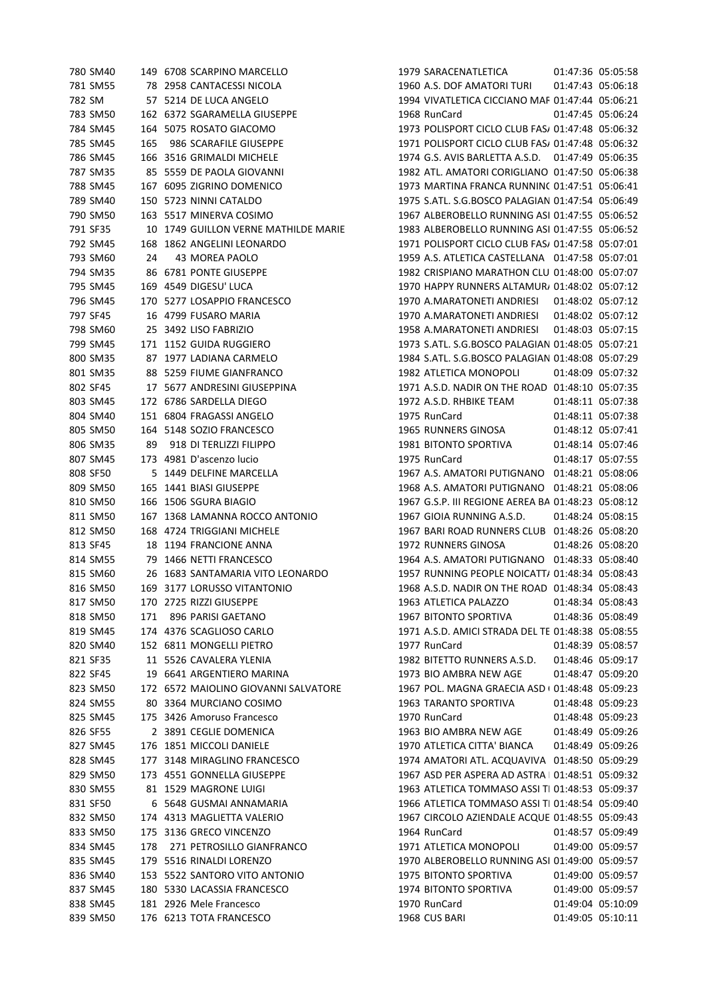| 780 SM40 |     | 149 6708 SCARPINO MARCELLO           | 1979 SARACENATI         |
|----------|-----|--------------------------------------|-------------------------|
| 781 SM55 |     | 78 2958 CANTACESSI NICOLA            | 1960 A.S. DOF AM        |
| 782 SM   |     | 57 5214 DE LUCA ANGELO               | 1994 VIVATLETICA        |
| 783 SM50 |     | 162 6372 SGARAMELLA GIUSEPPE         | 1968 RunCard            |
| 784 SM45 |     | 164 5075 ROSATO GIACOMO              | 1973 POLISPORT C        |
| 785 SM45 | 165 | 986 SCARAFILE GIUSEPPE               | 1971 POLISPORT C        |
| 786 SM45 |     | 166 3516 GRIMALDI MICHELE            | 1974 G.S. AVIS BAI      |
| 787 SM35 |     | 85 5559 DE PAOLA GIOVANNI            | 1982 ATL. AMATO         |
| 788 SM45 |     | 167 6095 ZIGRINO DOMENICO            | 1973 MARTINA FR         |
| 789 SM40 |     | 150 5723 NINNI CATALDO               | 1975 S.ATL. S.G.BO      |
| 790 SM50 |     | 163 5517 MINERVA COSIMO              | 1967 ALBEROBELL         |
| 791 SF35 |     | 10 1749 GUILLON VERNE MATHILDE MARIE | 1983 ALBEROBELL         |
| 792 SM45 |     | 168 1862 ANGELINI LEONARDO           | 1971 POLISPORT C        |
| 793 SM60 | 24  | 43 MOREA PAOLO                       | 1959 A.S. ATLETIC       |
| 794 SM35 |     | 86 6781 PONTE GIUSEPPE               | 1982 CRISPIANO N        |
| 795 SM45 |     | 169 4549 DIGESU' LUCA                | 1970 HAPPY RUNN         |
| 796 SM45 |     | 170 5277 LOSAPPIO FRANCESCO          | 1970 A.MARATON          |
| 797 SF45 |     | 16 4799 FUSARO MARIA                 | 1970 A.MARATON          |
| 798 SM60 |     | 25 3492 LISO FABRIZIO                | 1958 A.MARATON          |
| 799 SM45 |     | 171 1152 GUIDA RUGGIERO              | 1973 S.ATL, S.G.BO      |
| 800 SM35 |     | 87 1977 LADIANA CARMELO              | 1984 S.ATL. S.G.BO      |
| 801 SM35 |     | 88 5259 FIUME GIANFRANCO             | 1982 ATLETICA MO        |
| 802 SF45 |     | 17 5677 ANDRESINI GIUSEPPINA         | 1971 A.S.D. NADIR       |
| 803 SM45 |     | 172 6786 SARDELLA DIEGO              | 1972 A.S.D. RHBIK       |
| 804 SM40 |     | 151 6804 FRAGASSI ANGELO             | 1975 RunCard            |
| 805 SM50 |     | 164 5148 SOZIO FRANCESCO             | 1965 RUNNERS GI         |
| 806 SM35 |     | 89 918 DI TERLIZZI FILIPPO           | 1981 BITONTO SP         |
| 807 SM45 |     | 173 4981 D'ascenzo lucio             | 1975 RunCard            |
| 808 SF50 |     | 5 1449 DELFINE MARCELLA              | 1967 A.S. AMATOR        |
| 809 SM50 |     | 165 1441 BIASI GIUSEPPE              | 1968 A.S. AMATOR        |
| 810 SM50 |     | 166 1506 SGURA BIAGIO                | 1967 G.S.P. III REG     |
| 811 SM50 |     | 167 1368 LAMANNA ROCCO ANTONIO       | 1967 GIOIA RUNN         |
| 812 SM50 |     | 168 4724 TRIGGIANI MICHELE           | 1967 BARI ROAD R        |
| 813 SF45 |     | 18 1194 FRANCIONE ANNA               | 1972 RUNNERS GI         |
| 814 SM55 |     | 79 1466 NETTI FRANCESCO              | 1964 A.S. AMATOR        |
| 815 SM60 |     | 26 1683 SANTAMARIA VITO LEONARDO     | 1957 RUNNING PE         |
| 816 SM50 |     | 169 3177 LORUSSO VITANTONIO          | 1968 A.S.D. NADIR       |
| 817 SM50 |     | 170 2725 RIZZI GIUSEPPE              | 1963 ATLETICA PA        |
| 818 SM50 | 171 | 896 PARISI GAETANO                   | 1967 BITONTO SPO        |
| 819 SM45 |     | 174 4376 SCAGLIOSO CARLO             | 1971 A.S.D. AMICI       |
| 820 SM40 |     | 152 6811 MONGELLI PIETRO             | 1977 RunCard            |
| 821 SF35 |     | 11 5526 CAVALERA YLENIA              | <b>1982 BITETTO RUN</b> |
| 822 SF45 |     | 19 6641 ARGENTIERO MARINA            | 1973 BIO AMBRA I        |
| 823 SM50 |     | 172 6572 MAIOLINO GIOVANNI SALVATORE | 1967 POL. MAGNA         |
| 824 SM55 |     | 80 3364 MURCIANO COSIMO              | 1963 TARANTO SP         |
| 825 SM45 |     | 175 3426 Amoruso Francesco           | 1970 RunCard            |
| 826 SF55 |     | 2 3891 CEGLIE DOMENICA               | 1963 BIO AMBRA I        |
| 827 SM45 |     | 176 1851 MICCOLI DANIELE             | 1970 ATLETICA CIT       |
| 828 SM45 |     | 177 3148 MIRAGLINO FRANCESCO         | 1974 AMATORI AT         |
| 829 SM50 |     | 173 4551 GONNELLA GIUSEPPE           | 1967 ASD PER ASP        |
| 830 SM55 |     | 81 1529 MAGRONE LUIGI                | 1963 ATLETICA TO        |
| 831 SF50 |     | 6 5648 GUSMAI ANNAMARIA              | 1966 ATLETICA TO        |
| 832 SM50 |     | 174 4313 MAGLIETTA VALERIO           | 1967 CIRCOLO AZI        |
| 833 SM50 |     | 175 3136 GRECO VINCENZO              | 1964 RunCard            |
| 834 SM45 | 178 | 271 PETROSILLO GIANFRANCO            | 1971 ATLETICA MO        |
| 835 SM45 |     | 179 5516 RINALDI LORENZO             | 1970 ALBEROBELL         |
| 836 SM40 |     | 153 5522 SANTORO VITO ANTONIO        | 1975 BITONTO SPO        |
| 837 SM45 |     | 180 5330 LACASSIA FRANCESCO          | 1974 BITONTO SP         |
| 838 SM45 |     | 181 2926 Mele Francesco              | 1970 RunCard            |
| 839 SM50 |     | 176 6213 TOTA FRANCESCO              | 1968 CUS BARI           |
|          |     |                                      |                         |

LETICA 01:47:36 05:05:58 1ATORI TURI 01:47:43 05:06:18 CICCIANO MAF 01:47:44 05:06:21 01:47:45 05:06:24 2ICLO CLUB FAS/ 01:47:48 05:06:32  $CICLO CLUB FAST 01:47:48 05:06:32$ RLETTA A.S.D. 01:47:49 05:06:35 RI CORIGLIANO 01:47:50 05:06:38 28 ANCA RUNNINC 01:47:51 05:06:41 0 SCO PALAGIAN 01:47:54 05:06:49 0 RUNNING ASI 01:47:55 05:06:52 0 RUNNING ASI 01:47:55 05:06:52 2 CICLO CLUB FAS/ 01:47:58 05:07:01 A CASTELLANA 01:47:58 05:07:01 794 SM35 86 6781 PONTE GIUSEPPE 1982 CRISPIANO MARATHON CLUB ONLUS 01:48:00 05:07:07 VERS ALTAMUR/ 01:48:02 05:07:12 796 SM45 170 5277 LOSAPPIO FRANCESCO 1970 A.MARATONETI ANDRIESI 01:48:02 05:07:12 1271 ANDRIESI 01:48:02 05:07:12 798 SM60 25 3492 LISO FABRIZIO 1958 A.MARATONETI ANDRIESI 01:48:03 05:07:15 0980 PALAGIAN 01:48:05 05:07:21 0SCO PALAGIAN 01:48:08 05:07:29 0NOPOLI 01:48:09 05:07:32 802 ON THE ROAD 01:48:10 05:07:35 E TEAM 01:48:11 05:07:38 01:48:11 05:07:38 ROSA 01:48:12 05:07:41 06 BR36 01:48:14 05:07:46 01:48:17 05:07:55 **RI PUTIGNANO 01:48:21 05:08:06** RI PUTIGNANO 01:48:21 05:08:06 610 NE AEREA BA 01:48:23 05:08:12 1 ING A.S.D. 01:48:24 05:08:15 8UNNERS CLUB 01:48:26 05:08:20 81:48:26 05:08:20 NOSA 81 PUTIGNANO 01:48:33 05:08:40 815 801 SM00 26 1683 November 2014 8:34 05:08:43 8 ON THE ROAD 01:48:34 05:08:43 14 BJ500 11:48:34 05:08:43 0RTIVA 01:48:36 05:08:49 STRADA DEL TE 01:48:38 05:08:55 01:48:39 05:08:57 NNERS A.S.D. 01:48:46 05:09:17 NEW AGE 01:48:47 05:09:20 8 GRAECIA ASD ( 01:48:48 05:09:23 02 83:48 TAR-148:48 TAR-148:48 TAR-1963 TARANTO 01:48:48 05:09:23 NEW AGE 01:48:49 05:09:26 827 SM45 176 1851 MICCOLI DANIELE 1970 ATLETICA CITTA' BIANCA 01:48:49 05:09:26 FL. ACQUAVIVA 01:48:50 05:09:29 PERA AD ASTRA | 01:48:51 05:09:32 0MMASO ASSI TI 01:48:53 05:09:37 0MMASO ASSI TI 01:48:54 05:09:40 833 BENDALE ACQUE 01:48:55 05:09:43 01:48:57 05:09:49 0NOPOLI 01:49:00 05:09:57 0 RUNNING ASI 01:49:00 05:09:57 08TIVA 01:49:00 05:09:57 0831 01:49:00 05:09:57 01:49:04 05:10:09 01:49:05 05:10:11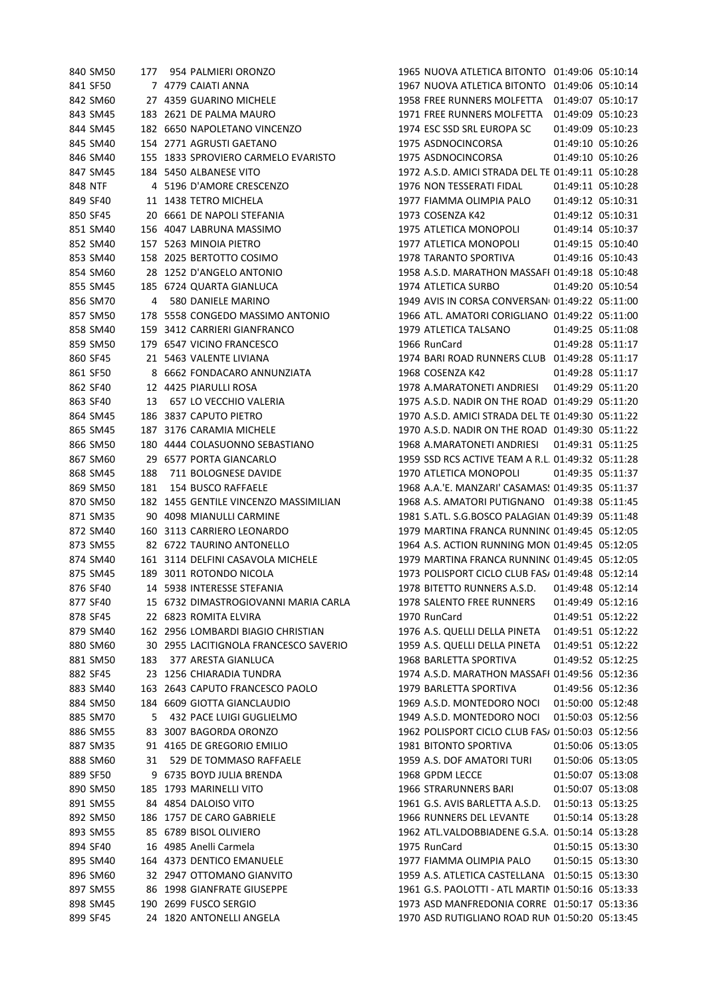|          | 840 SM50 |     | 177 954 PALMIERI ORONZO               | 1965 NUOVA ATLETICA BITONTO 01:49:06 05:10:14       |
|----------|----------|-----|---------------------------------------|-----------------------------------------------------|
|          | 841 SF50 |     | 7 4779 CAIATI ANNA                    | 1967 NUOVA ATLETICA BITONTO 01:49:06 05:10:14       |
|          | 842 SM60 |     | 27 4359 GUARINO MICHELE               | 1958 FREE RUNNERS MOLFETTA  01:49:07  05:10:17      |
|          | 843 SM45 |     | 183 2621 DE PALMA MAURO               | 1971 FREE RUNNERS MOLFETTA  01:49:09  05:10:23      |
|          | 844 SM45 |     | 182 6650 NAPOLETANO VINCENZO          | 1974 ESC SSD SRL EUROPA SC<br>01:49:09 05:10:23     |
|          | 845 SM40 |     | 154 2771 AGRUSTI GAETANO              | 01:49:10 05:10:26<br>1975 ASDNOCINCORSA             |
|          | 846 SM40 |     | 155 1833 SPROVIERO CARMELO EVARISTO   | 1975 ASDNOCINCORSA<br>01:49:10 05:10:26             |
|          | 847 SM45 |     | 184 5450 ALBANESE VITO                | 1972 A.S.D. AMICI STRADA DEL TE 01:49:11 05:10:28   |
| 848 NTF  |          |     | 4 5196 D'AMORE CRESCENZO              | 1976 NON TESSERATI FIDAL<br>01:49:11 05:10:28       |
| 849 SF40 |          |     | 11 1438 TETRO MICHELA                 | 1977 FIAMMA OLIMPIA PALO<br>01:49:12 05:10:31       |
| 850 SF45 |          |     | 20 6661 DE NAPOLI STEFANIA            | 1973 COSENZA K42<br>01:49:12 05:10:31               |
|          | 851 SM40 |     | 156 4047 LABRUNA MASSIMO              | 01:49:14 05:10:37<br>1975 ATLETICA MONOPOLI         |
|          | 852 SM40 |     | 157 5263 MINOIA PIETRO                | 1977 ATLETICA MONOPOLI<br>01:49:15 05:10:40         |
|          | 853 SM40 |     | 158 2025 BERTOTTO COSIMO              | 1978 TARANTO SPORTIVA<br>01:49:16 05:10:43          |
|          | 854 SM60 |     | 28 1252 D'ANGELO ANTONIO              | 1958 A.S.D. MARATHON MASSAFI 01:49:18 05:10:48      |
|          | 855 SM45 |     | 185 6724 QUARTA GIANLUCA              | 1974 ATLETICA SURBO<br>01:49:20 05:10:54            |
|          | 856 SM70 | 4   | 580 DANIELE MARINO                    | 1949 AVIS IN CORSA CONVERSAN( 01:49:22 05:11:00     |
|          | 857 SM50 |     | 178 5558 CONGEDO MASSIMO ANTONIO      | 1966 ATL. AMATORI CORIGLIANO 01:49:22 05:11:00      |
|          | 858 SM40 |     | 159 3412 CARRIERI GIANFRANCO          | 1979 ATLETICA TALSANO<br>01:49:25 05:11:08          |
|          | 859 SM50 |     | 179 6547 VICINO FRANCESCO             | 1966 RunCard<br>01:49:28 05:11:17                   |
| 860 SF45 |          |     | 21 5463 VALENTE LIVIANA               | 1974 BARI ROAD RUNNERS CLUB 01:49:28 05:11:17       |
| 861 SF50 |          |     | 8 6662 FONDACARO ANNUNZIATA           | 1968 COSENZA K42<br>01:49:28 05:11:17               |
| 862 SF40 |          |     | 12 4425 PIARULLI ROSA                 | 1978 A.MARATONETI ANDRIESI<br>01:49:29 05:11:20     |
| 863 SF40 |          | 13  | 657 LO VECCHIO VALERIA                | 1975 A.S.D. NADIR ON THE ROAD 01:49:29 05:11:20     |
|          | 864 SM45 |     | 186 3837 CAPUTO PIETRO                | 1970 A.S.D. AMICI STRADA DEL TE 01:49:30 05:11:22   |
|          | 865 SM45 |     | 187 3176 CARAMIA MICHELE              | 1970 A.S.D. NADIR ON THE ROAD 01:49:30 05:11:22     |
|          | 866 SM50 |     | 180 4444 COLASUONNO SEBASTIANO        | 1968 A.MARATONETI ANDRIESI<br>01:49:31 05:11:25     |
|          | 867 SM60 |     | 29 6577 PORTA GIANCARLO               | 1959 SSD RCS ACTIVE TEAM A R.L. 01:49:32 05:11:28   |
|          | 868 SM45 | 188 | 711 BOLOGNESE DAVIDE                  | 1970 ATLETICA MONOPOLI<br>01:49:35 05:11:37         |
|          | 869 SM50 | 181 | 154 BUSCO RAFFAELE                    | 1968 A.A.'E. MANZARI' CASAMAS: 01:49:35 05:11:37    |
|          | 870 SM50 |     | 182 1455 GENTILE VINCENZO MASSIMILIAN | 1968 A.S. AMATORI PUTIGNANO 01:49:38 05:11:45       |
|          | 871 SM35 |     | 90 4098 MIANULLI CARMINE              | 1981 S.ATL. S.G.BOSCO PALAGIAN 01:49:39 05:11:48    |
|          | 872 SM40 |     | 160 3113 CARRIERO LEONARDO            | 1979 MARTINA FRANCA RUNNINC 01:49:45 05:12:05       |
|          | 873 SM55 |     | 82 6722 TAURINO ANTONELLO             | 1964 A.S. ACTION RUNNING MON 01:49:45 05:12:05      |
|          | 874 SM40 |     | 161 3114 DELFINI CASAVOLA MICHELE     | 1979 MARTINA FRANCA RUNNINC 01:49:45 05:12:05       |
|          | 875 SM45 |     | 189 3011 ROTONDO NICOLA               | 1973 POLISPORT CICLO CLUB FAS/ 01:49:48 05:12:14    |
|          | 876 SF40 |     | 14 5938 INTERESSE STEFANIA            | 1978 BITETTO RUNNERS A.S.D. 01:49:48 05:12:14       |
| 877 SF40 |          |     | 15 6732 DIMASTROGIOVANNI MARIA CARLA  | 1978 SALENTO FREE RUNNERS<br>01:49:49 05:12:16      |
|          | 878 SF45 |     | 22 6823 ROMITA ELVIRA                 | 1970 RunCard<br>01:49:51 05:12:22                   |
|          | 879 SM40 |     | 162 2956 LOMBARDI BIAGIO CHRISTIAN    | 1976 A.S. QUELLI DELLA PINETA  01:49:51 05:12:22    |
|          | 880 SM60 |     | 30 2955 LACITIGNOLA FRANCESCO SAVERIO | 1959 A.S. QUELLI DELLA PINETA<br>01:49:51 05:12:22  |
|          | 881 SM50 | 183 | 377 ARESTA GIANLUCA                   | 1968 BARLETTA SPORTIVA<br>01:49:52 05:12:25         |
|          | 882 SF45 |     | 23 1256 CHIARADIA TUNDRA              | 1974 A.S.D. MARATHON MASSAFI 01:49:56 05:12:36      |
|          | 883 SM40 |     | 163 2643 CAPUTO FRANCESCO PAOLO       | 1979 BARLETTA SPORTIVA<br>01:49:56 05:12:36         |
|          | 884 SM50 |     | 184 6609 GIOTTA GIANCLAUDIO           | 1969 A.S.D. MONTEDORO NOCI<br>01:50:00 05:12:48     |
|          | 885 SM70 | 5   | 432 PACE LUIGI GUGLIELMO              | 1949 A.S.D. MONTEDORO NOCI<br>01:50:03 05:12:56     |
|          | 886 SM55 |     | 83 3007 BAGORDA ORONZO                | 1962 POLISPORT CICLO CLUB FAS/ 01:50:03 05:12:56    |
|          | 887 SM35 |     | 91 4165 DE GREGORIO EMILIO            | 1981 BITONTO SPORTIVA<br>01:50:06 05:13:05          |
|          | 888 SM60 | 31  | 529 DE TOMMASO RAFFAELE               | 01:50:06 05:13:05<br>1959 A.S. DOF AMATORI TURI     |
|          | 889 SF50 |     | 9 6735 BOYD JULIA BRENDA              | 1968 GPDM LECCE<br>01:50:07 05:13:08                |
|          | 890 SM50 |     | 185 1793 MARINELLI VITO               | 1966 STRARUNNERS BARI<br>01:50:07 05:13:08          |
|          | 891 SM55 |     | 84 4854 DALOISO VITO                  | 1961 G.S. AVIS BARLETTA A.S.D.<br>01:50:13 05:13:25 |
|          | 892 SM50 |     | 186 1757 DE CARO GABRIELE             | 1966 RUNNERS DEL LEVANTE<br>01:50:14 05:13:28       |
|          | 893 SM55 |     | 85 6789 BISOL OLIVIERO                | 1962 ATL. VALDOBBIADENE G.S.A. 01:50:14 05:13:28    |
|          | 894 SF40 |     | 16 4985 Anelli Carmela                | 1975 RunCard<br>01:50:15 05:13:30                   |
|          | 895 SM40 |     | 164 4373 DENTICO EMANUELE             | 1977 FIAMMA OLIMPIA PALO<br>01:50:15 05:13:30       |
|          | 896 SM60 |     | 32 2947 OTTOMANO GIANVITO             | 1959 A.S. ATLETICA CASTELLANA  01:50:15  05:13:30   |
|          | 897 SM55 |     | 86 1998 GIANFRATE GIUSEPPE            | 1961 G.S. PAOLOTTI - ATL MARTIN 01:50:16 05:13:33   |
|          | 898 SM45 |     | 190 2699 FUSCO SERGIO                 | 1973 ASD MANFREDONIA CORRE 01:50:17 05:13:36        |
| 899 SF45 |          |     | 24 1820 ANTONELLI ANGELA              | 1970 ASD RUTIGLIANO ROAD RUN 01:50:20 05:13:45      |
|          |          |     |                                       |                                                     |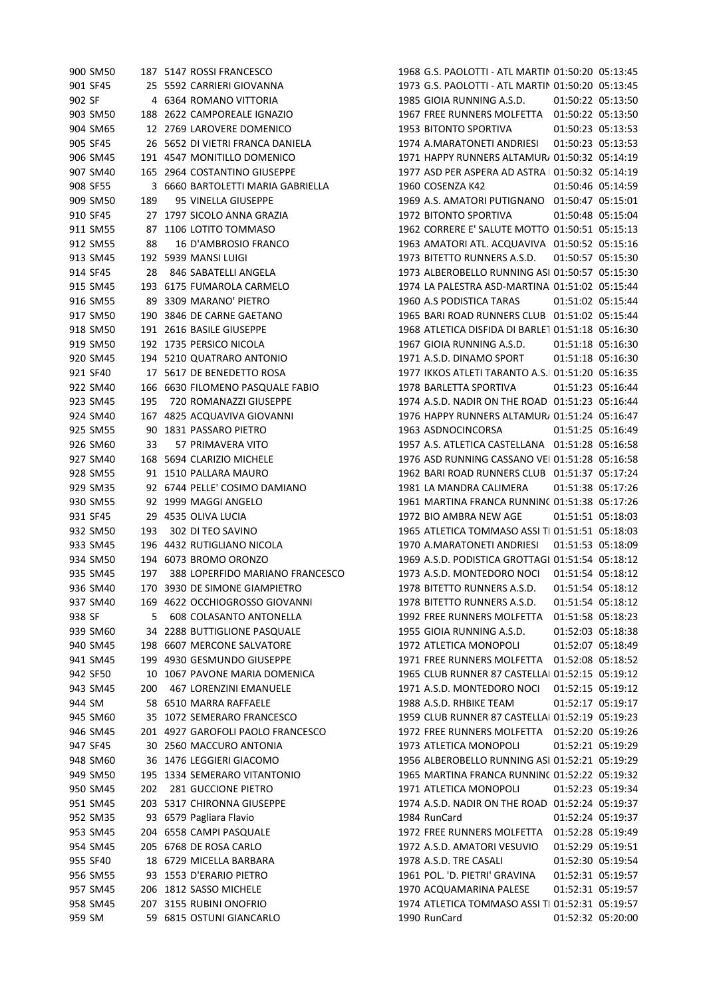| 900 SM50 |     | 187 5147 ROSSI FRANCESCO          | 1968 G.S. PAOLOTTI - ATL MARTIN 01:50:20 05:13:45 |                   |                   |
|----------|-----|-----------------------------------|---------------------------------------------------|-------------------|-------------------|
| 901 SF45 |     | 25 5592 CARRIERI GIOVANNA         | 1973 G.S. PAOLOTTI - ATL MARTIN 01:50:20 05:13:45 |                   |                   |
| 902 SF   |     | 4 6364 ROMANO VITTORIA            | 1985 GIOIA RUNNING A.S.D.                         |                   | 01:50:22 05:13:50 |
| 903 SM50 |     | 188 2622 CAMPOREALE IGNAZIO       | 1967 FREE RUNNERS MOLFETTA  01:50:22  05:13:50    |                   |                   |
| 904 SM65 |     | 12 2769 LAROVERE DOMENICO         | 1953 BITONTO SPORTIVA                             |                   | 01:50:23 05:13:53 |
| 905 SF45 |     | 26 5652 DI VIETRI FRANCA DANIELA  | 1974 A.MARATONETI ANDRIESI                        |                   | 01:50:23 05:13:53 |
| 906 SM45 |     | 191 4547 MONITILLO DOMENICO       | 1971 HAPPY RUNNERS ALTAMUR/ 01:50:32 05:14:19     |                   |                   |
| 907 SM40 |     | 165 2964 COSTANTINO GIUSEPPE      | 1977 ASD PER ASPERA AD ASTRA   01:50:32 05:14:19  |                   |                   |
| 908 SF55 |     | 3 6660 BARTOLETTI MARIA GABRIELLA | 1960 COSENZA K42                                  |                   | 01:50:46 05:14:59 |
| 909 SM50 | 189 | 95 VINELLA GIUSEPPE               | 1969 A.S. AMATORI PUTIGNANO 01:50:47 05:15:01     |                   |                   |
| 910 SF45 |     | 27 1797 SICOLO ANNA GRAZIA        | 1972 BITONTO SPORTIVA                             |                   | 01:50:48 05:15:04 |
| 911 SM55 |     | 87 1106 LOTITO TOMMASO            | 1962 CORRERE E' SALUTE MOTTO 01:50:51 05:15:13    |                   |                   |
| 912 SM55 | 88  | 16 D'AMBROSIO FRANCO              | 1963 AMATORI ATL. ACQUAVIVA 01:50:52 05:15:16     |                   |                   |
| 913 SM45 |     | 192 5939 MANSI LUIGI              | 1973 BITETTO RUNNERS A.S.D.                       |                   | 01:50:57 05:15:30 |
| 914 SF45 | 28  | 846 SABATELLI ANGELA              | 1973 ALBEROBELLO RUNNING ASI 01:50:57 05:15:30    |                   |                   |
| 915 SM45 |     | 193 6175 FUMAROLA CARMELO         | 1974 LA PALESTRA ASD-MARTINA 01:51:02 05:15:44    |                   |                   |
| 916 SM55 |     | 89 3309 MARANO' PIETRO            | 1960 A.S PODISTICA TARAS                          |                   | 01:51:02 05:15:44 |
| 917 SM50 |     | 190 3846 DE CARNE GAETANO         | 1965 BARI ROAD RUNNERS CLUB 01:51:02 05:15:44     |                   |                   |
| 918 SM50 |     | 191 2616 BASILE GIUSEPPE          | 1968 ATLETICA DISFIDA DI BARLE1 01:51:18 05:16:30 |                   |                   |
| 919 SM50 |     | 192 1735 PERSICO NICOLA           | 1967 GIOIA RUNNING A.S.D.                         |                   | 01:51:18 05:16:30 |
| 920 SM45 |     | 194 5210 QUATRARO ANTONIO         | 1971 A.S.D. DINAMO SPORT                          |                   | 01:51:18 05:16:30 |
| 921 SF40 |     | 17 5617 DE BENEDETTO ROSA         | 1977 IKKOS ATLETI TARANTO A.S.I 01:51:20 05:16:35 |                   |                   |
| 922 SM40 |     | 166 6630 FILOMENO PASQUALE FABIO  | 1978 BARLETTA SPORTIVA                            |                   | 01:51:23 05:16:44 |
| 923 SM45 | 195 | 720 ROMANAZZI GIUSEPPE            | 1974 A.S.D. NADIR ON THE ROAD 01:51:23 05:16:44   |                   |                   |
| 924 SM40 |     | 167 4825 ACQUAVIVA GIOVANNI       | 1976 HAPPY RUNNERS ALTAMUR/ 01:51:24 05:16:47     |                   |                   |
| 925 SM55 |     | 90 1831 PASSARO PIETRO            | 1963 ASDNOCINCORSA                                |                   | 01:51:25 05:16:49 |
| 926 SM60 | 33  | 57 PRIMAVERA VITO                 | 1957 A.S. ATLETICA CASTELLANA  01:51:28  05:16:58 |                   |                   |
| 927 SM40 |     | 168 5694 CLARIZIO MICHELE         | 1976 ASD RUNNING CASSANO VEI 01:51:28 05:16:58    |                   |                   |
| 928 SM55 |     | 91 1510 PALLARA MAURO             | 1962 BARI ROAD RUNNERS CLUB 01:51:37 05:17:24     |                   |                   |
| 929 SM35 |     | 92 6744 PELLE' COSIMO DAMIANO     | 1981 LA MANDRA CALIMERA                           |                   | 01:51:38 05:17:26 |
| 930 SM55 |     | 92 1999 MAGGI ANGELO              | 1961 MARTINA FRANCA RUNNINC 01:51:38 05:17:26     |                   |                   |
| 931 SF45 |     | 29 4535 OLIVA LUCIA               | 1972 BIO AMBRA NEW AGE                            |                   | 01:51:51 05:18:03 |
| 932 SM50 | 193 | 302 DI TEO SAVINO                 | 1965 ATLETICA TOMMASO ASSI TI 01:51:51 05:18:03   |                   |                   |
| 933 SM45 |     | 196 4432 RUTIGLIANO NICOLA        | 1970 A.MARATONETI ANDRIESI                        |                   | 01:51:53 05:18:09 |
| 934 SM50 |     | 194 6073 BROMO ORONZO             | 1969 A.S.D. PODISTICA GROTTAGI 01:51:54 05:18:12  |                   |                   |
| 935 SM45 | 197 | 388 LOPERFIDO MARIANO FRANCESCO   | 1973 A.S.D. MONTEDORO NOCL                        |                   | 01:51:54 05:18:12 |
| 936 SM40 |     | 170 3930 DE SIMONE GIAMPIETRO     | 1978 BITETTO RUNNERS A.S.D.                       |                   | 01:51:54 05:18:12 |
| 937 SM40 |     | 169 4622 OCCHIOGROSSO GIOVANNI    | 1978 BITETTO RUNNERS A.S.D.                       |                   | 01:51:54 05:18:12 |
| 938 SF   | 5   | <b>608 COLASANTO ANTONELLA</b>    | 1992 FREE RUNNERS MOLFETTA                        |                   | 01:51:58 05:18:23 |
| 939 SM60 |     | 34 2288 BUTTIGLIONE PASQUALE      | 1955 GIOIA RUNNING A.S.D.                         |                   | 01:52:03 05:18:38 |
| 940 SM45 |     | 198 6607 MERCONE SALVATORE        | 1972 ATLETICA MONOPOLI                            |                   | 01:52:07 05:18:49 |
| 941 SM45 |     | 199 4930 GESMUNDO GIUSEPPE        | 1971 FREE RUNNERS MOLFETTA                        | 01:52:08 05:18:52 |                   |
| 942 SF50 |     | 10 1067 PAVONE MARIA DOMENICA     | 1965 CLUB RUNNER 87 CASTELLAI 01:52:15 05:19:12   |                   |                   |
| 943 SM45 | 200 | <b>467 LORENZINI EMANUELE</b>     | 1971 A.S.D. MONTEDORO NOCI                        |                   | 01:52:15 05:19:12 |
| 944 SM   |     | 58 6510 MARRA RAFFAELE            | 1988 A.S.D. RHBIKE TEAM                           |                   | 01:52:17 05:19:17 |
| 945 SM60 |     | 35 1072 SEMERARO FRANCESCO        | 1959 CLUB RUNNER 87 CASTELLAI 01:52:19 05:19:23   |                   |                   |
| 946 SM45 |     | 201 4927 GAROFOLI PAOLO FRANCESCO |                                                   |                   |                   |
| 947 SF45 |     | 30 2560 MACCURO ANTONIA           | 1973 ATLETICA MONOPOLI                            |                   | 01:52:21 05:19:29 |
| 948 SM60 |     | 36 1476 LEGGIERI GIACOMO          | 1956 ALBEROBELLO RUNNING ASI 01:52:21 05:19:29    |                   |                   |
| 949 SM50 |     | 195 1334 SEMERARO VITANTONIO      | 1965 MARTINA FRANCA RUNNINC 01:52:22 05:19:32     |                   |                   |
| 950 SM45 | 202 | 281 GUCCIONE PIETRO               | 1971 ATLETICA MONOPOLI                            |                   | 01:52:23 05:19:34 |
| 951 SM45 |     | 203 5317 CHIRONNA GIUSEPPE        | 1974 A.S.D. NADIR ON THE ROAD 01:52:24 05:19:37   |                   |                   |
| 952 SM35 |     | 93 6579 Pagliara Flavio           | 1984 RunCard                                      |                   | 01:52:24 05:19:37 |
| 953 SM45 |     | 204 6558 CAMPI PASQUALE           | 1972 FREE RUNNERS MOLFETTA                        |                   | 01:52:28 05:19:49 |
| 954 SM45 |     | 205 6768 DE ROSA CARLO            | 1972 A.S.D. AMATORI VESUVIO                       |                   | 01:52:29 05:19:51 |
| 955 SF40 |     | 18 6729 MICELLA BARBARA           | 1978 A.S.D. TRE CASALI                            |                   | 01:52:30 05:19:54 |
| 956 SM55 |     | 93 1553 D'ERARIO PIETRO           | 1961 POL. 'D. PIETRI' GRAVINA                     |                   | 01:52:31 05:19:57 |
| 957 SM45 |     | 206 1812 SASSO MICHELE            | 1970 ACQUAMARINA PALESE                           |                   | 01:52:31 05:19:57 |
| 958 SM45 |     | 207 3155 RUBINI ONOFRIO           | 1974 ATLETICA TOMMASO ASSI TI 01:52:31 05:19:57   |                   |                   |
| 959 SM   |     | 59 6815 OSTUNI GIANCARLO          | 1990 RunCard                                      |                   | 01:52:32 05:20:00 |
|          |     |                                   |                                                   |                   |                   |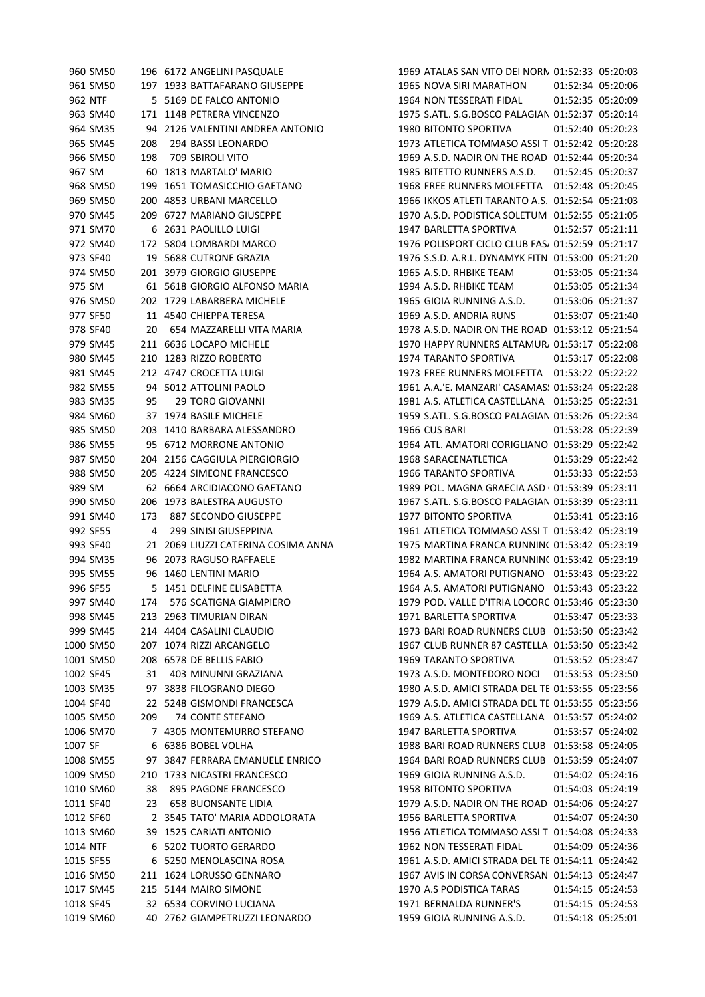|           | 960 SM50  |     | 196 6172 ANGELINI PASQUALE          | 1969 ATALAS SAN VITO DEI NORN 01:52:33 05:20:03    |                   |
|-----------|-----------|-----|-------------------------------------|----------------------------------------------------|-------------------|
|           | 961 SM50  |     | 197 1933 BATTAFARANO GIUSEPPE       | 1965 NOVA SIRI MARATHON                            | 01:52:34 05:20:06 |
| 962 NTF   |           |     | 5 5169 DE FALCO ANTONIO             | 1964 NON TESSERATI FIDAL                           | 01:52:35 05:20:09 |
|           | 963 SM40  |     | 171 1148 PETRERA VINCENZO           | 1975 S.ATL. S.G.BOSCO PALAGIAN 01:52:37 05:20:14   |                   |
|           | 964 SM35  |     | 94 2126 VALENTINI ANDREA ANTONIO    | 1980 BITONTO SPORTIVA                              | 01:52:40 05:20:23 |
|           | 965 SM45  | 208 | 294 BASSI LEONARDO                  | 1973 ATLETICA TOMMASO ASSI TI 01:52:42 05:20:28    |                   |
|           | 966 SM50  | 198 | <b>709 SBIROLI VITO</b>             | 1969 A.S.D. NADIR ON THE ROAD 01:52:44 05:20:34    |                   |
| 967 SM    |           |     | 60 1813 MARTALO' MARIO              | 1985 BITETTO RUNNERS A.S.D.                        | 01:52:45 05:20:37 |
|           | 968 SM50  |     | 199 1651 TOMASICCHIO GAETANO        | 1968 FREE RUNNERS MOLFETTA  01:52:48  05:20:45     |                   |
|           | 969 SM50  |     | 200 4853 URBANI MARCELLO            | 1966 IKKOS ATLETI TARANTO A.S.I 01:52:54 05:21:03  |                   |
|           | 970 SM45  |     | 209 6727 MARIANO GIUSEPPE           | 1970 A.S.D. PODISTICA SOLETUM 01:52:55 05:21:05    |                   |
|           | 971 SM70  |     | 6 2631 PAOLILLO LUIGI               | 1947 BARLETTA SPORTIVA                             | 01:52:57 05:21:11 |
|           | 972 SM40  |     | 172 5804 LOMBARDI MARCO             | 1976 POLISPORT CICLO CLUB FAS/ 01:52:59 05:21:17   |                   |
|           | 973 SF40  |     | 19 5688 CUTRONE GRAZIA              | 1976 S.S.D. A.R.L. DYNAMYK FITNI 01:53:00 05:21:20 |                   |
|           | 974 SM50  |     | 201 3979 GIORGIO GIUSEPPE           | 1965 A.S.D. RHBIKE TEAM                            | 01:53:05 05:21:34 |
| 975 SM    |           |     | 61 5618 GIORGIO ALFONSO MARIA       | 1994 A.S.D. RHBIKE TEAM                            | 01:53:05 05:21:34 |
|           | 976 SM50  |     | 202 1729 LABARBERA MICHELE          | 1965 GIOIA RUNNING A.S.D.                          | 01:53:06 05:21:37 |
|           | 977 SF50  |     | 11 4540 CHIEPPA TERESA              | 1969 A.S.D. ANDRIA RUNS                            | 01:53:07 05:21:40 |
|           | 978 SF40  | 20  | 654 MAZZARELLI VITA MARIA           | 1978 A.S.D. NADIR ON THE ROAD 01:53:12 05:21:54    |                   |
|           | 979 SM45  |     | 211 6636 LOCAPO MICHELE             | 1970 HAPPY RUNNERS ALTAMUR, 01:53:17 05:22:08      |                   |
|           | 980 SM45  |     | 210 1283 RIZZO ROBERTO              | 1974 TARANTO SPORTIVA                              | 01:53:17 05:22:08 |
|           | 981 SM45  |     | 212 4747 CROCETTA LUIGI             |                                                    |                   |
|           | 982 SM55  |     | 94 5012 ATTOLINI PAOLO              | 1961 A.A.'E. MANZARI' CASAMAS! 01:53:24 05:22:28   |                   |
|           | 983 SM35  | 95  | <b>29 TORO GIOVANNI</b>             | 1981 A.S. ATLETICA CASTELLANA 01:53:25 05:22:31    |                   |
|           |           |     |                                     |                                                    |                   |
|           | 984 SM60  |     | 37 1974 BASILE MICHELE              | 1959 S.ATL. S.G.BOSCO PALAGIAN 01:53:26 05:22:34   |                   |
|           | 985 SM50  |     | 203 1410 BARBARA ALESSANDRO         | 1966 CUS BARI                                      | 01:53:28 05:22:39 |
|           | 986 SM55  |     | 95 6712 MORRONE ANTONIO             | 1964 ATL. AMATORI CORIGLIANO 01:53:29 05:22:42     |                   |
|           | 987 SM50  |     | 204 2156 CAGGIULA PIERGIORGIO       | 1968 SARACENATLETICA                               | 01:53:29 05:22:42 |
|           | 988 SM50  |     | 205 4224 SIMEONE FRANCESCO          | 1966 TARANTO SPORTIVA                              | 01:53:33 05:22:53 |
| 989 SM    |           |     | 62 6664 ARCIDIACONO GAETANO         | 1989 POL. MAGNA GRAECIA ASD ( 01:53:39 05:23:11    |                   |
|           | 990 SM50  |     | 206 1973 BALESTRA AUGUSTO           | 1967 S.ATL. S.G.BOSCO PALAGIAN 01:53:39 05:23:11   |                   |
|           | 991 SM40  | 173 | 887 SECONDO GIUSEPPE                | 1977 BITONTO SPORTIVA                              | 01:53:41 05:23:16 |
|           | 992 SF55  | 4   | 299 SINISI GIUSEPPINA               | 1961 ATLETICA TOMMASO ASSI TI 01:53:42 05:23:19    |                   |
|           | 993 SF40  |     | 21 2069 LIUZZI CATERINA COSIMA ANNA | 1975 MARTINA FRANCA RUNNINC 01:53:42 05:23:19      |                   |
|           | 994 SM35  |     | 96 2073 RAGUSO RAFFAELE             | 1982 MARTINA FRANCA RUNNINC 01:53:42 05:23:19      |                   |
|           | 995 SM55  |     | 96 1460 LENTINI MARIO               | 1964 A.S. AMATORI PUTIGNANO 01:53:43 05:23:22      |                   |
|           | 996 SF55  |     | 5 1451 DELFINE ELISABETTA           | 1964 A.S. AMATORI PUTIGNANO 01:53:43 05:23:22      |                   |
|           | 997 SM40  | 174 | 576 SCATIGNA GIAMPIERO              | 1979 POD. VALLE D'ITRIA LOCORC 01:53:46 05:23:30   |                   |
|           | 998 SM45  |     | 213 2963 TIMURIAN DIRAN             | 1971 BARLETTA SPORTIVA                             | 01:53:47 05:23:33 |
|           | 999 SM45  |     | 214 4404 CASALINI CLAUDIO           | 1973 BARI ROAD RUNNERS CLUB 01:53:50 05:23:42      |                   |
|           | 1000 SM50 |     | 207 1074 RIZZI ARCANGELO            | 1967 CLUB RUNNER 87 CASTELLAI 01:53:50 05:23:42    |                   |
|           | 1001 SM50 |     | 208 6578 DE BELLIS FABIO            | 1969 TARANTO SPORTIVA                              | 01:53:52 05:23:47 |
| 1002 SF45 |           | 31  | 403 MINUNNI GRAZIANA                | 1973 A.S.D. MONTEDORO NOCI                         | 01:53:53 05:23:50 |
|           | 1003 SM35 |     | 97 3838 FILOGRANO DIEGO             | 1980 A.S.D. AMICI STRADA DEL TE 01:53:55 05:23:56  |                   |
| 1004 SF40 |           |     | 22 5248 GISMONDI FRANCESCA          | 1979 A.S.D. AMICI STRADA DEL TE 01:53:55 05:23:56  |                   |
|           | 1005 SM50 | 209 | 74 CONTE STEFANO                    | 1969 A.S. ATLETICA CASTELLANA 01:53:57 05:24:02    |                   |
|           | 1006 SM70 |     | 7 4305 MONTEMURRO STEFANO           | 1947 BARLETTA SPORTIVA                             | 01:53:57 05:24:02 |
| 1007 SF   |           | 6   | 6386 BOBEL VOLHA                    | 1988 BARI ROAD RUNNERS CLUB 01:53:58 05:24:05      |                   |
|           | 1008 SM55 |     | 97 3847 FERRARA EMANUELE ENRICO     | 1964 BARI ROAD RUNNERS CLUB 01:53:59 05:24:07      |                   |
|           | 1009 SM50 |     | 210 1733 NICASTRI FRANCESCO         | 1969 GIOIA RUNNING A.S.D.                          | 01:54:02 05:24:16 |
|           | 1010 SM60 | 38  | 895 PAGONE FRANCESCO                | 1958 BITONTO SPORTIVA                              | 01:54:03 05:24:19 |
| 1011 SF40 |           | 23  | <b>658 BUONSANTE LIDIA</b>          | 1979 A.S.D. NADIR ON THE ROAD 01:54:06 05:24:27    |                   |
| 1012 SF60 |           |     | 2 3545 TATO' MARIA ADDOLORATA       | 1956 BARLETTA SPORTIVA                             | 01:54:07 05:24:30 |
|           | 1013 SM60 |     | 39 1525 CARIATI ANTONIO             | 1956 ATLETICA TOMMASO ASSI TI 01:54:08 05:24:33    |                   |
| 1014 NTF  |           |     | 6 5202 TUORTO GERARDO               | 1962 NON TESSERATI FIDAL                           | 01:54:09 05:24:36 |
| 1015 SF55 |           |     | 6 5250 MENOLASCINA ROSA             | 1961 A.S.D. AMICI STRADA DEL TE 01:54:11 05:24:42  |                   |
|           | 1016 SM50 |     | 211 1624 LORUSSO GENNARO            | 1967 AVIS IN CORSA CONVERSAN 01:54:13 05:24:47     |                   |
|           | 1017 SM45 |     | 215 5144 MAIRO SIMONE               | 1970 A.S PODISTICA TARAS                           | 01:54:15 05:24:53 |
| 1018 SF45 |           |     | 32 6534 CORVINO LUCIANA             | 1971 BERNALDA RUNNER'S                             | 01:54:15 05:24:53 |
|           | 1019 SM60 |     | 40 2762 GIAMPETRUZZI LEONARDO       | 1959 GIOIA RUNNING A.S.D.                          | 01:54:18 05:25:01 |
|           |           |     |                                     |                                                    |                   |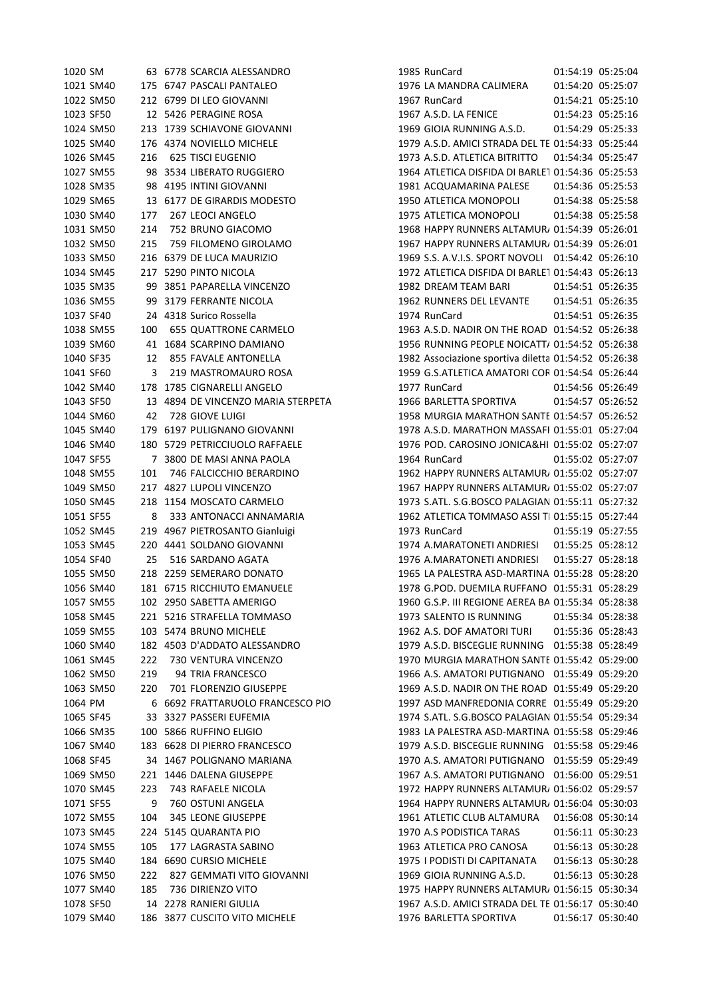| 1020 SM                |     | 63 6778 SCARCIA ALESSANDRO         | 1985 RunCard                                         | 01:54:19 05:25:04 |                   |
|------------------------|-----|------------------------------------|------------------------------------------------------|-------------------|-------------------|
| 1021 SM40              |     | 175 6747 PASCALI PANTALEO          | 1976 LA MANDRA CALIMERA                              | 01:54:20 05:25:07 |                   |
| 1022 SM50              |     | 212 6799 DI LEO GIOVANNI           | 1967 RunCard                                         | 01:54:21 05:25:10 |                   |
| 1023 SF50              |     | 12 5426 PERAGINE ROSA              | 1967 A.S.D. LA FENICE                                | 01:54:23 05:25:16 |                   |
| 1024 SM50              |     | 213 1739 SCHIAVONE GIOVANNI        | 1969 GIOIA RUNNING A.S.D.                            | 01:54:29 05:25:33 |                   |
| 1025 SM40              |     | 176 4374 NOVIELLO MICHELE          | 1979 A.S.D. AMICI STRADA DEL TE 01:54:33 05:25:44    |                   |                   |
| 1026 SM45              | 216 | <b>625 TISCI EUGENIO</b>           | 1973 A.S.D. ATLETICA BITRITTO                        | 01:54:34 05:25:47 |                   |
| 1027 SM55              |     | 98 3534 LIBERATO RUGGIERO          | 1964 ATLETICA DISFIDA DI BARLET 01:54:36 05:25:53    |                   |                   |
| 1028 SM35              |     | 98 4195 INTINI GIOVANNI            | 1981 ACQUAMARINA PALESE                              | 01:54:36 05:25:53 |                   |
| 1029 SM65              |     | 13 6177 DE GIRARDIS MODESTO        | 1950 ATLETICA MONOPOLI                               | 01:54:38 05:25:58 |                   |
| 1030 SM40              | 177 | 267 LEOCI ANGELO                   | 1975 ATLETICA MONOPOLI                               | 01:54:38 05:25:58 |                   |
| 1031 SM50              | 214 | 752 BRUNO GIACOMO                  | 1968 HAPPY RUNNERS ALTAMUR, 01:54:39 05:26:01        |                   |                   |
| 1032 SM50              | 215 | 759 FILOMENO GIROLAMO              | 1967 HAPPY RUNNERS ALTAMUR 01:54:39 05:26:01         |                   |                   |
| 1033 SM50              |     | 216 6379 DE LUCA MAURIZIO          | 1969 S.S. A.V.I.S. SPORT NOVOLI 01:54:42 05:26:10    |                   |                   |
| 1034 SM45              |     | 217 5290 PINTO NICOLA              | 1972 ATLETICA DISFIDA DI BARLE1 01:54:43 05:26:13    |                   |                   |
| 1035 SM35              |     | 99 3851 PAPARELLA VINCENZO         | 1982 DREAM TEAM BARI                                 | 01:54:51 05:26:35 |                   |
| 1036 SM55              |     | 99 3179 FERRANTE NICOLA            | 1962 RUNNERS DEL LEVANTE                             | 01:54:51 05:26:35 |                   |
| 1037 SF40              |     | 24 4318 Surico Rossella            | 1974 RunCard                                         | 01:54:51 05:26:35 |                   |
| 1038 SM55              | 100 | <b>655 QUATTRONE CARMELO</b>       | 1963 A.S.D. NADIR ON THE ROAD 01:54:52 05:26:38      |                   |                   |
|                        |     |                                    | 1956 RUNNING PEOPLE NOICATT/ 01:54:52 05:26:38       |                   |                   |
| 1039 SM60<br>1040 SF35 |     | 41 1684 SCARPINO DAMIANO           |                                                      |                   |                   |
|                        | 12  | 855 FAVALE ANTONELLA               | 1982 Associazione sportiva diletta 01:54:52 05:26:38 |                   |                   |
| 1041 SF60              | 3   | 219 MASTROMAURO ROSA               | 1959 G.S.ATLETICA AMATORI COR 01:54:54 05:26:44      |                   |                   |
| 1042 SM40              |     | 178 1785 CIGNARELLI ANGELO         | 1977 RunCard                                         | 01:54:56 05:26:49 |                   |
| 1043 SF50              |     | 13 4894 DE VINCENZO MARIA STERPETA | 1966 BARLETTA SPORTIVA                               | 01:54:57 05:26:52 |                   |
| 1044 SM60              | 42  | 728 GIOVE LUIGI                    | 1958 MURGIA MARATHON SANTE 01:54:57 05:26:52         |                   |                   |
| 1045 SM40              |     | 179 6197 PULIGNANO GIOVANNI        | 1978 A.S.D. MARATHON MASSAFI 01:55:01 05:27:04       |                   |                   |
| 1046 SM40              |     | 180 5729 PETRICCIUOLO RAFFAELE     | 1976 POD. CAROSINO JONICA&HI 01:55:02 05:27:07       |                   |                   |
| 1047 SF55              |     | 7 3800 DE MASI ANNA PAOLA          | 1964 RunCard                                         | 01:55:02 05:27:07 |                   |
| 1048 SM55              | 101 | 746 FALCICCHIO BERARDINO           | 1962 HAPPY RUNNERS ALTAMUR, 01:55:02 05:27:07        |                   |                   |
| 1049 SM50              |     | 217 4827 LUPOLI VINCENZO           | 1967 HAPPY RUNNERS ALTAMUR/ 01:55:02 05:27:07        |                   |                   |
| 1050 SM45              |     | 218 1154 MOSCATO CARMELO           | 1973 S.ATL. S.G.BOSCO PALAGIAN 01:55:11 05:27:32     |                   |                   |
| 1051 SF55              | 8   | 333 ANTONACCI ANNAMARIA            | 1962 ATLETICA TOMMASO ASSI TI 01:55:15 05:27:44      |                   |                   |
| 1052 SM45              |     | 219 4967 PIETROSANTO Gianluigi     | 1973 RunCard                                         | 01:55:19 05:27:55 |                   |
| 1053 SM45              |     | 220 4441 SOLDANO GIOVANNI          | 1974 A.MARATONETI ANDRIESI                           | 01:55:25 05:28:12 |                   |
| 1054 SF40              | 25  | 516 SARDANO AGATA                  | 1976 A.MARATONETI ANDRIESI                           | 01:55:27 05:28:18 |                   |
| 1055 SM50              |     | 218 2259 SEMERARO DONATO           | 1965 LA PALESTRA ASD-MARTINA 01:55:28 05:28:20       |                   |                   |
| 1056 SM40              |     | 181 6715 RICCHIUTO EMANUELE        | 1978 G.POD. DUEMILA RUFFANO 01:55:31 05:28:29        |                   |                   |
| 1057 SM55              |     | 102 2950 SABETTA AMERIGO           | 1960 G.S.P. III REGIONE AEREA BA 01:55:34 05:28:38   |                   |                   |
| 1058 SM45              |     | 221 5216 STRAFELLA TOMMASO         | 1973 SALENTO IS RUNNING                              | 01:55:34 05:28:38 |                   |
| 1059 SM55              |     | 103 5474 BRUNO MICHELE             | 1962 A.S. DOF AMATORI TURI                           | 01:55:36 05:28:43 |                   |
| 1060 SM40              |     | 182 4503 D'ADDATO ALESSANDRO       | 1979 A.S.D. BISCEGLIE RUNNING 01:55:38 05:28:49      |                   |                   |
| 1061 SM45              | 222 | 730 VENTURA VINCENZO               | 1970 MURGIA MARATHON SANTE 01:55:42 05:29:00         |                   |                   |
| 1062 SM50              | 219 | 94 TRIA FRANCESCO                  | 1966 A.S. AMATORI PUTIGNANO 01:55:49 05:29:20        |                   |                   |
| 1063 SM50              | 220 | 701 FLORENZIO GIUSEPPE             | 1969 A.S.D. NADIR ON THE ROAD 01:55:49 05:29:20      |                   |                   |
| 1064 PM                |     | 6 6692 FRATTARUOLO FRANCESCO PIO   | 1997 ASD MANFREDONIA CORRE 01:55:49 05:29:20         |                   |                   |
| 1065 SF45              |     | 33 3327 PASSERI EUFEMIA            | 1974 S.ATL. S.G.BOSCO PALAGIAN 01:55:54 05:29:34     |                   |                   |
| 1066 SM35              |     | 100 5866 RUFFINO ELIGIO            | 1983 LA PALESTRA ASD-MARTINA 01:55:58 05:29:46       |                   |                   |
| 1067 SM40              |     | 183 6628 DI PIERRO FRANCESCO       | 1979 A.S.D. BISCEGLIE RUNNING 01:55:58 05:29:46      |                   |                   |
| 1068 SF45              |     | 34 1467 POLIGNANO MARIANA          | 1970 A.S. AMATORI PUTIGNANO 01:55:59 05:29:49        |                   |                   |
| 1069 SM50              |     | 221 1446 DALENA GIUSEPPE           | 1967 A.S. AMATORI PUTIGNANO 01:56:00 05:29:51        |                   |                   |
|                        |     |                                    |                                                      |                   |                   |
| 1070 SM45              | 223 | 743 RAFAELE NICOLA                 | 1972 HAPPY RUNNERS ALTAMUR, 01:56:02 05:29:57        |                   |                   |
| 1071 SF55              | 9   | 760 OSTUNI ANGELA                  | 1964 HAPPY RUNNERS ALTAMUR, 01:56:04 05:30:03        |                   |                   |
| 1072 SM55              | 104 | 345 LEONE GIUSEPPE                 | 1961 ATLETIC CLUB ALTAMURA                           | 01:56:08 05:30:14 |                   |
| 1073 SM45              |     | 224 5145 QUARANTA PIO              | 1970 A.S PODISTICA TARAS                             |                   | 01:56:11 05:30:23 |
| 1074 SM55              | 105 | 177 LAGRASTA SABINO                | 1963 ATLETICA PRO CANOSA                             | 01:56:13 05:30:28 |                   |
| 1075 SM40              |     | 184 6690 CURSIO MICHELE            | 1975 I PODISTI DI CAPITANATA                         | 01:56:13 05:30:28 |                   |
| 1076 SM50              | 222 | 827 GEMMATI VITO GIOVANNI          | 1969 GIOIA RUNNING A.S.D.                            | 01:56:13 05:30:28 |                   |
| 1077 SM40              | 185 | 736 DIRIENZO VITO                  | 1975 HAPPY RUNNERS ALTAMUR/ 01:56:15 05:30:34        |                   |                   |
| 1078 SF50              |     | 14 2278 RANIERI GIULIA             | 1967 A.S.D. AMICI STRADA DEL TE 01:56:17 05:30:40    |                   |                   |
| 1079 SM40              |     | 186 3877 CUSCITO VITO MICHELE      | 1976 BARLETTA SPORTIVA                               | 01:56:17 05:30:40 |                   |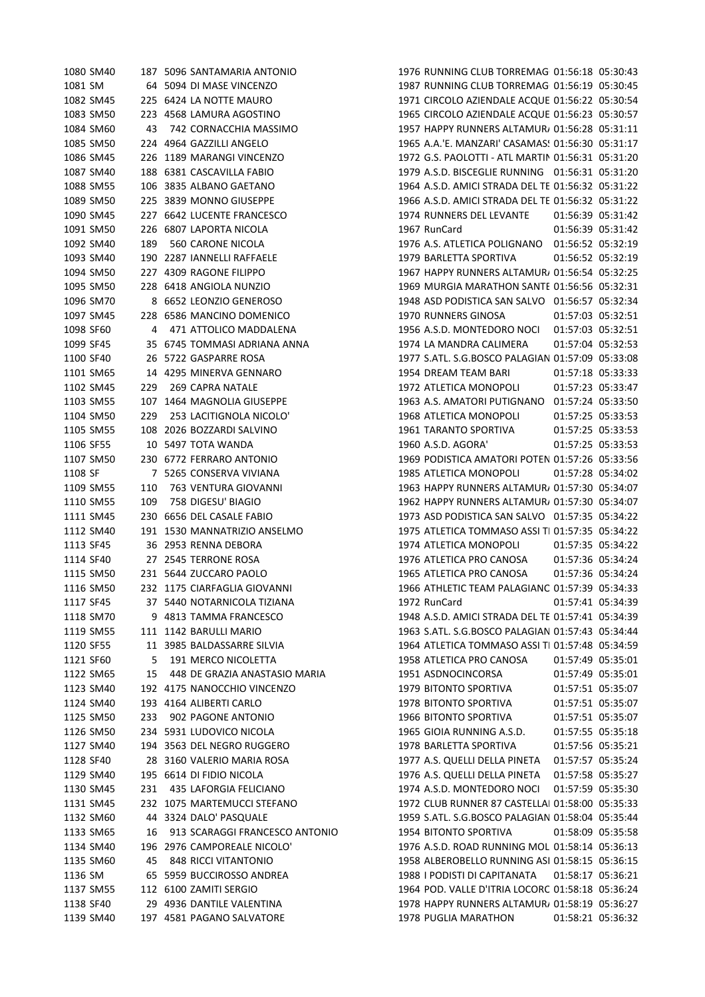|           | 1080 SM40 |     | 187 5096 SANTAMARIA ANTONIO    | 1976 RUNNING CLUB TORREMAG 01:56:18 05:30:43      |                   |                   |
|-----------|-----------|-----|--------------------------------|---------------------------------------------------|-------------------|-------------------|
| 1081 SM   |           |     | 64 5094 DI MASE VINCENZO       | 1987 RUNNING CLUB TORREMAG 01:56:19 05:30:45      |                   |                   |
|           | 1082 SM45 |     | 225 6424 LA NOTTE MAURO        | 1971 CIRCOLO AZIENDALE ACQUE 01:56:22 05:30:54    |                   |                   |
|           | 1083 SM50 |     | 223 4568 LAMURA AGOSTINO       | 1965 CIRCOLO AZIENDALE ACQUE 01:56:23 05:30:57    |                   |                   |
|           | 1084 SM60 | 43  | 742 CORNACCHIA MASSIMO         | 1957 HAPPY RUNNERS ALTAMUR, 01:56:28 05:31:11     |                   |                   |
|           | 1085 SM50 |     | 224 4964 GAZZILLI ANGELO       | 1965 A.A.'E. MANZARI' CASAMAS: 01:56:30 05:31:17  |                   |                   |
|           | 1086 SM45 |     | 226 1189 MARANGI VINCENZO      | 1972 G.S. PAOLOTTI - ATL MARTIN 01:56:31 05:31:20 |                   |                   |
|           | 1087 SM40 |     | 188 6381 CASCAVILLA FABIO      | 1979 A.S.D. BISCEGLIE RUNNING 01:56:31 05:31:20   |                   |                   |
|           | 1088 SM55 |     | 106 3835 ALBANO GAETANO        | 1964 A.S.D. AMICI STRADA DEL TE 01:56:32 05:31:22 |                   |                   |
|           | 1089 SM50 |     | 225 3839 MONNO GIUSEPPE        | 1966 A.S.D. AMICI STRADA DEL TE 01:56:32 05:31:22 |                   |                   |
|           | 1090 SM45 |     | 227 6642 LUCENTE FRANCESCO     | 1974 RUNNERS DEL LEVANTE                          | 01:56:39 05:31:42 |                   |
|           | 1091 SM50 |     | 226 6807 LAPORTA NICOLA        | 1967 RunCard                                      | 01:56:39 05:31:42 |                   |
|           | 1092 SM40 | 189 | 560 CARONE NICOLA              | 1976 A.S. ATLETICA POLIGNANO 01:56:52 05:32:19    |                   |                   |
|           | 1093 SM40 |     | 190 2287 IANNELLI RAFFAELE     | 1979 BARLETTA SPORTIVA                            |                   | 01:56:52 05:32:19 |
|           | 1094 SM50 |     | 227 4309 RAGONE FILIPPO        | 1967 HAPPY RUNNERS ALTAMUR/ 01:56:54 05:32:25     |                   |                   |
|           | 1095 SM50 |     | 228 6418 ANGIOLA NUNZIO        | 1969 MURGIA MARATHON SANTE 01:56:56 05:32:31      |                   |                   |
|           | 1096 SM70 |     | 8 6652 LEONZIO GENEROSO        | 1948 ASD PODISTICA SAN SALVO 01:56:57 05:32:34    |                   |                   |
|           | 1097 SM45 |     | 228 6586 MANCINO DOMENICO      | 1970 RUNNERS GINOSA                               | 01:57:03 05:32:51 |                   |
| 1098 SF60 |           | 4   | 471 ATTOLICO MADDALENA         | 1956 A.S.D. MONTEDORO NOCI                        | 01:57:03 05:32:51 |                   |
| 1099 SF45 |           |     | 35 6745 TOMMASI ADRIANA ANNA   | 1974 LA MANDRA CALIMERA                           |                   | 01:57:04 05:32:53 |
| 1100 SF40 |           |     | 26 5722 GASPARRE ROSA          | 1977 S.ATL. S.G.BOSCO PALAGIAN 01:57:09 05:33:08  |                   |                   |
|           | 1101 SM65 |     | 14 4295 MINERVA GENNARO        | 1954 DREAM TEAM BARI                              | 01:57:18 05:33:33 |                   |
|           |           |     | <b>269 CAPRA NATALE</b>        | 1972 ATLETICA MONOPOLI                            |                   | 01:57:23 05:33:47 |
|           | 1102 SM45 | 229 |                                |                                                   |                   |                   |
|           | 1103 SM55 |     | 107 1464 MAGNOLIA GIUSEPPE     | 1963 A.S. AMATORI PUTIGNANO 01:57:24 05:33:50     |                   |                   |
|           | 1104 SM50 | 229 | 253 LACITIGNOLA NICOLO'        | 1968 ATLETICA MONOPOLI                            |                   | 01:57:25 05:33:53 |
|           | 1105 SM55 |     | 108 2026 BOZZARDI SALVINO      | 1961 TARANTO SPORTIVA                             | 01:57:25 05:33:53 |                   |
| 1106 SF55 |           |     | 10 5497 TOTA WANDA             | 1960 A.S.D. AGORA'                                | 01:57:25 05:33:53 |                   |
|           | 1107 SM50 |     | 230 6772 FERRARO ANTONIO       | 1969 PODISTICA AMATORI POTEN 01:57:26 05:33:56    |                   |                   |
| 1108 SF   |           |     | 7 5265 CONSERVA VIVIANA        | 1985 ATLETICA MONOPOLI                            |                   | 01:57:28 05:34:02 |
|           | 1109 SM55 | 110 | 763 VENTURA GIOVANNI           | 1963 HAPPY RUNNERS ALTAMUR, 01:57:30 05:34:07     |                   |                   |
|           | 1110 SM55 | 109 | 758 DIGESU' BIAGIO             | 1962 HAPPY RUNNERS ALTAMUR, 01:57:30 05:34:07     |                   |                   |
|           | 1111 SM45 |     | 230 6656 DEL CASALE FABIO      | 1973 ASD PODISTICA SAN SALVO 01:57:35 05:34:22    |                   |                   |
|           | 1112 SM40 |     | 191 1530 MANNATRIZIO ANSELMO   | 1975 ATLETICA TOMMASO ASSI TI 01:57:35 05:34:22   |                   |                   |
| 1113 SF45 |           |     | 36 2953 RENNA DEBORA           | 1974 ATLETICA MONOPOLI                            |                   | 01:57:35 05:34:22 |
| 1114 SF40 |           |     | 27 2545 TERRONE ROSA           | 1976 ATLETICA PRO CANOSA                          |                   | 01:57:36 05:34:24 |
|           | 1115 SM50 |     | 231 5644 ZUCCARO PAOLO         | 1965 ATLETICA PRO CANOSA                          |                   | 01:57:36 05:34:24 |
|           | 1116 SM50 |     | 232 1175 CIARFAGLIA GIOVANNI   | 1966 ATHLETIC TEAM PALAGIANC 01:57:39 05:34:33    |                   |                   |
| 1117 SF45 |           |     | 37 5440 NOTARNICOLA TIZIANA    | 1972 RunCard                                      | 01:57:41 05:34:39 |                   |
|           | 1118 SM70 |     | 9 4813 TAMMA FRANCESCO         | 1948 A.S.D. AMICI STRADA DEL TE 01:57:41 05:34:39 |                   |                   |
|           | 1119 SM55 |     | 111 1142 BARULLI MARIO         | 1963 S.ATL, S.G.BOSCO PALAGIAN 01:57:43 05:34:44  |                   |                   |
| 1120 SF55 |           |     | 11 3985 BALDASSARRE SILVIA     | 1964 ATLETICA TOMMASO ASSI TI 01:57:48 05:34:59   |                   |                   |
| 1121 SF60 |           | 5   | 191 MERCO NICOLETTA            | 1958 ATLETICA PRO CANOSA                          |                   | 01:57:49 05:35:01 |
|           | 1122 SM65 | 15  | 448 DE GRAZIA ANASTASIO MARIA  | 1951 ASDNOCINCORSA                                |                   | 01:57:49 05:35:01 |
|           | 1123 SM40 |     | 192 4175 NANOCCHIO VINCENZO    | 1979 BITONTO SPORTIVA                             |                   | 01:57:51 05:35:07 |
|           | 1124 SM40 |     | 193 4164 ALIBERTI CARLO        | 1978 BITONTO SPORTIVA                             |                   | 01:57:51 05:35:07 |
|           | 1125 SM50 | 233 | 902 PAGONE ANTONIO             | 1966 BITONTO SPORTIVA                             |                   | 01:57:51 05:35:07 |
|           | 1126 SM50 |     | 234 5931 LUDOVICO NICOLA       | 1965 GIOIA RUNNING A.S.D.                         |                   | 01:57:55 05:35:18 |
|           | 1127 SM40 |     | 194 3563 DEL NEGRO RUGGERO     | 1978 BARLETTA SPORTIVA                            |                   | 01:57:56 05:35:21 |
| 1128 SF40 |           |     | 28 3160 VALERIO MARIA ROSA     | 1977 A.S. QUELLI DELLA PINETA                     |                   | 01:57:57 05:35:24 |
|           | 1129 SM40 |     | 195 6614 DI FIDIO NICOLA       | 1976 A.S. QUELLI DELLA PINETA                     |                   | 01:57:58 05:35:27 |
|           | 1130 SM45 | 231 | 435 LAFORGIA FELICIANO         | 1974 A.S.D. MONTEDORO NOCI                        |                   | 01:57:59 05:35:30 |
|           | 1131 SM45 |     | 232 1075 MARTEMUCCI STEFANO    | 1972 CLUB RUNNER 87 CASTELLAI 01:58:00 05:35:33   |                   |                   |
|           | 1132 SM60 |     | 44 3324 DALO' PASQUALE         | 1959 S.ATL. S.G.BOSCO PALAGIAN 01:58:04 05:35:44  |                   |                   |
|           | 1133 SM65 | 16  | 913 SCARAGGI FRANCESCO ANTONIO | 1954 BITONTO SPORTIVA                             |                   | 01:58:09 05:35:58 |
|           | 1134 SM40 |     | 196 2976 CAMPOREALE NICOLO'    | 1976 A.S.D. ROAD RUNNING MOL 01:58:14 05:36:13    |                   |                   |
|           | 1135 SM60 | 45  | 848 RICCI VITANTONIO           | 1958 ALBEROBELLO RUNNING ASI 01:58:15 05:36:15    |                   |                   |
| 1136 SM   |           |     | 65 5959 BUCCIROSSO ANDREA      | 1988 I PODISTI DI CAPITANATA                      |                   | 01:58:17 05:36:21 |
|           | 1137 SM55 |     | 112 6100 ZAMITI SERGIO         | 1964 POD. VALLE D'ITRIA LOCORC 01:58:18 05:36:24  |                   |                   |
| 1138 SF40 |           |     | 29 4936 DANTILE VALENTINA      | 1978 HAPPY RUNNERS ALTAMUR, 01:58:19 05:36:27     |                   |                   |
|           | 1139 SM40 |     | 197 4581 PAGANO SALVATORE      | 1978 PUGLIA MARATHON                              |                   | 01:58:21 05:36:32 |
|           |           |     |                                |                                                   |                   |                   |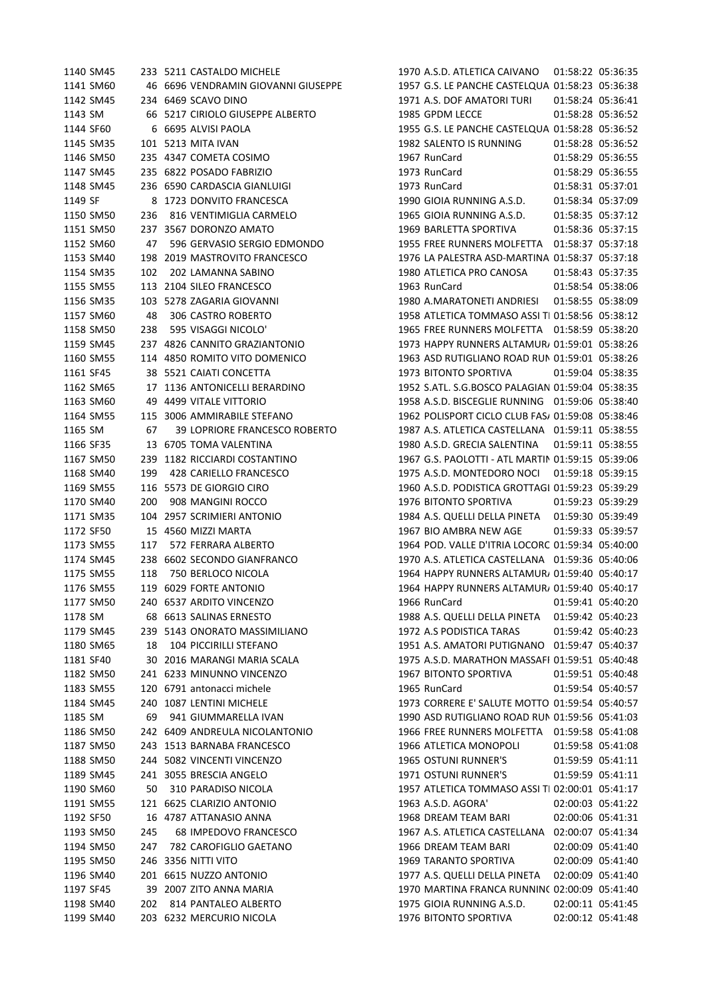|         | 1140 SM45 |     | 233 5211 CASTALDO MICHELE           | 1970 A.S.D. ATLETICA CAIVANO                      | 01:58:22 05:36:35 |
|---------|-----------|-----|-------------------------------------|---------------------------------------------------|-------------------|
|         | 1141 SM60 |     | 46 6696 VENDRAMIN GIOVANNI GIUSEPPE | 1957 G.S. LE PANCHE CASTELQUA 01:58:23 05:36:38   |                   |
|         | 1142 SM45 |     | 234 6469 SCAVO DINO                 | 1971 A.S. DOF AMATORI TURI                        | 01:58:24 05:36:41 |
| 1143 SM |           |     | 66 5217 CIRIOLO GIUSEPPE ALBERTO    | 1985 GPDM LECCE                                   | 01:58:28 05:36:52 |
|         | 1144 SF60 |     | 6 6695 ALVISI PAOLA                 | 1955 G.S. LE PANCHE CASTELQUA 01:58:28 05:36:52   |                   |
|         | 1145 SM35 |     | 101 5213 MITA IVAN                  | 1982 SALENTO IS RUNNING                           | 01:58:28 05:36:52 |
|         | 1146 SM50 |     | 235 4347 COMETA COSIMO              | 1967 RunCard                                      | 01:58:29 05:36:55 |
|         | 1147 SM45 |     | 235 6822 POSADO FABRIZIO            | 1973 RunCard                                      | 01:58:29 05:36:55 |
|         | 1148 SM45 |     | 236 6590 CARDASCIA GIANLUIGI        | 1973 RunCard                                      | 01:58:31 05:37:01 |
| 1149 SF |           |     | 8 1723 DONVITO FRANCESCA            | 1990 GIOIA RUNNING A.S.D.                         | 01:58:34 05:37:09 |
|         | 1150 SM50 | 236 | 816 VENTIMIGLIA CARMELO             | 1965 GIOIA RUNNING A.S.D.                         | 01:58:35 05:37:12 |
|         | 1151 SM50 |     | 237 3567 DORONZO AMATO              | 1969 BARLETTA SPORTIVA                            | 01:58:36 05:37:15 |
|         | 1152 SM60 | 47  | 596 GERVASIO SERGIO EDMONDO         | 1955 FREE RUNNERS MOLFETTA  01:58:37 05:37:18     |                   |
|         | 1153 SM40 |     | 198 2019 MASTROVITO FRANCESCO       | 1976 LA PALESTRA ASD-MARTINA 01:58:37 05:37:18    |                   |
|         | 1154 SM35 | 102 | 202 LAMANNA SABINO                  | 1980 ATLETICA PRO CANOSA                          | 01:58:43 05:37:35 |
|         | 1155 SM55 |     | 113 2104 SILEO FRANCESCO            | 1963 RunCard                                      | 01:58:54 05:38:06 |
|         | 1156 SM35 |     | 103 5278 ZAGARIA GIOVANNI           | 1980 A.MARATONETI ANDRIESI                        | 01:58:55 05:38:09 |
|         | 1157 SM60 | 48  | 306 CASTRO ROBERTO                  | 1958 ATLETICA TOMMASO ASSI TI 01:58:56 05:38:12   |                   |
|         | 1158 SM50 | 238 | 595 VISAGGI NICOLO'                 | 1965 FREE RUNNERS MOLFETTA   01:58:59  05:38:20   |                   |
|         | 1159 SM45 |     | 237 4826 CANNITO GRAZIANTONIO       | 1973 HAPPY RUNNERS ALTAMUR, 01:59:01 05:38:26     |                   |
|         | 1160 SM55 |     | 114 4850 ROMITO VITO DOMENICO       | 1963 ASD RUTIGLIANO ROAD RUN 01:59:01 05:38:26    |                   |
|         | 1161 SF45 |     | 38 5521 CAIATI CONCETTA             | 1973 BITONTO SPORTIVA                             | 01:59:04 05:38:35 |
|         | 1162 SM65 |     | 17 1136 ANTONICELLI BERARDINO       | 1952 S.ATL. S.G.BOSCO PALAGIAN 01:59:04 05:38:35  |                   |
|         | 1163 SM60 |     | 49 4499 VITALE VITTORIO             | 1958 A.S.D. BISCEGLIE RUNNING 01:59:06 05:38:40   |                   |
|         | 1164 SM55 |     | 115 3006 AMMIRABILE STEFANO         | 1962 POLISPORT CICLO CLUB FAS/ 01:59:08 05:38:46  |                   |
|         |           |     |                                     |                                                   |                   |
| 1165 SM |           | 67  | 39 LOPRIORE FRANCESCO ROBERTO       | 1987 A.S. ATLETICA CASTELLANA 01:59:11 05:38:55   |                   |
|         | 1166 SF35 |     | 13 6705 TOMA VALENTINA              | 1980 A.S.D. GRECIA SALENTINA                      | 01:59:11 05:38:55 |
|         | 1167 SM50 |     | 239 1182 RICCIARDI COSTANTINO       | 1967 G.S. PAOLOTTI - ATL MARTIN 01:59:15 05:39:06 |                   |
|         | 1168 SM40 | 199 | 428 CARIELLO FRANCESCO              | 1975 A.S.D. MONTEDORO NOCI                        | 01:59:18 05:39:15 |
|         | 1169 SM55 |     | 116 5573 DE GIORGIO CIRO            | 1960 A.S.D. PODISTICA GROTTAGI 01:59:23 05:39:29  |                   |
|         | 1170 SM40 | 200 | 908 MANGINI ROCCO                   | 1976 BITONTO SPORTIVA                             | 01:59:23 05:39:29 |
|         | 1171 SM35 |     | 104 2957 SCRIMIERI ANTONIO          | 1984 A.S. QUELLI DELLA PINETA                     | 01:59:30 05:39:49 |
|         | 1172 SF50 |     | 15 4560 MIZZI MARTA                 | 1967 BIO AMBRA NEW AGE                            | 01:59:33 05:39:57 |
|         | 1173 SM55 | 117 | 572 FERRARA ALBERTO                 | 1964 POD. VALLE D'ITRIA LOCORC 01:59:34 05:40:00  |                   |
|         | 1174 SM45 |     | 238 6602 SECONDO GIANFRANCO         | 1970 A.S. ATLETICA CASTELLANA 01:59:36 05:40:06   |                   |
|         | 1175 SM55 | 118 | 750 BERLOCO NICOLA                  | 1964 HAPPY RUNNERS ALTAMUR, 01:59:40 05:40:17     |                   |
|         | 1176 SM55 |     | 119 6029 FORTE ANTONIO              | 1964 HAPPY RUNNERS ALTAMUR, 01:59:40 05:40:17     |                   |
|         | 1177 SM50 |     | 240 6537 ARDITO VINCENZO            | 1966 RunCard                                      | 01:59:41 05:40:20 |
| 1178 SM |           |     | 68 6613 SALINAS ERNESTO             | 1988 A.S. QUELLI DELLA PINETA                     | 01:59:42 05:40:23 |
|         | 1179 SM45 |     | 239 5143 ONORATO MASSIMILIANO       | 1972 A.S PODISTICA TARAS                          | 01:59:42 05:40:23 |
|         | 1180 SM65 | 18  | 104 PICCIRILLI STEFANO              | 1951 A.S. AMATORI PUTIGNANO 01:59:47 05:40:37     |                   |
|         | 1181 SF40 |     | 30 2016 MARANGI MARIA SCALA         | 1975 A.S.D. MARATHON MASSAFI 01:59:51 05:40:48    |                   |
|         | 1182 SM50 |     | 241 6233 MINUNNO VINCENZO           | 1967 BITONTO SPORTIVA                             | 01:59:51 05:40:48 |
|         | 1183 SM55 |     | 120 6791 antonacci michele          | 1965 RunCard                                      | 01:59:54 05:40:57 |
|         | 1184 SM45 |     | 240 1087 LENTINI MICHELE            | 1973 CORRERE E' SALUTE MOTTO 01:59:54 05:40:57    |                   |
| 1185 SM |           | 69  | 941 GIUMMARELLA IVAN                | 1990 ASD RUTIGLIANO ROAD RUN 01:59:56 05:41:03    |                   |
|         | 1186 SM50 |     | 242 6409 ANDREULA NICOLANTONIO      | 1966 FREE RUNNERS MOLFETTA  01:59:58 05:41:08     |                   |
|         | 1187 SM50 |     | 243 1513 BARNABA FRANCESCO          | 1966 ATLETICA MONOPOLI                            | 01:59:58 05:41:08 |
|         | 1188 SM50 |     | 244 5082 VINCENTI VINCENZO          | 1965 OSTUNI RUNNER'S                              | 01:59:59 05:41:11 |
|         | 1189 SM45 |     | 241 3055 BRESCIA ANGELO             | 1971 OSTUNI RUNNER'S                              | 01:59:59 05:41:11 |
|         | 1190 SM60 | 50  | 310 PARADISO NICOLA                 | 1957 ATLETICA TOMMASO ASSI TI 02:00:01 05:41:17   |                   |
|         | 1191 SM55 |     | 121 6625 CLARIZIO ANTONIO           | 1963 A.S.D. AGORA'                                | 02:00:03 05:41:22 |
|         | 1192 SF50 |     | 16 4787 ATTANASIO ANNA              | 1968 DREAM TEAM BARI                              | 02:00:06 05:41:31 |
|         | 1193 SM50 | 245 | 68 IMPEDOVO FRANCESCO               | 1967 A.S. ATLETICA CASTELLANA 02:00:07 05:41:34   |                   |
|         | 1194 SM50 | 247 | 782 CAROFIGLIO GAETANO              | 1966 DREAM TEAM BARI                              | 02:00:09 05:41:40 |
|         | 1195 SM50 |     | 246 3356 NITTI VITO                 | 1969 TARANTO SPORTIVA                             | 02:00:09 05:41:40 |
|         | 1196 SM40 |     | 201 6615 NUZZO ANTONIO              | 1977 A.S. QUELLI DELLA PINETA                     | 02:00:09 05:41:40 |
|         |           |     |                                     | 1970 MARTINA FRANCA RUNNINC 02:00:09 05:41:40     |                   |
|         | 1197 SF45 |     | 39 2007 ZITO ANNA MARIA             |                                                   |                   |
|         | 1198 SM40 | 202 | 814 PANTALEO ALBERTO                | 1975 GIOIA RUNNING A.S.D.                         | 02:00:11 05:41:45 |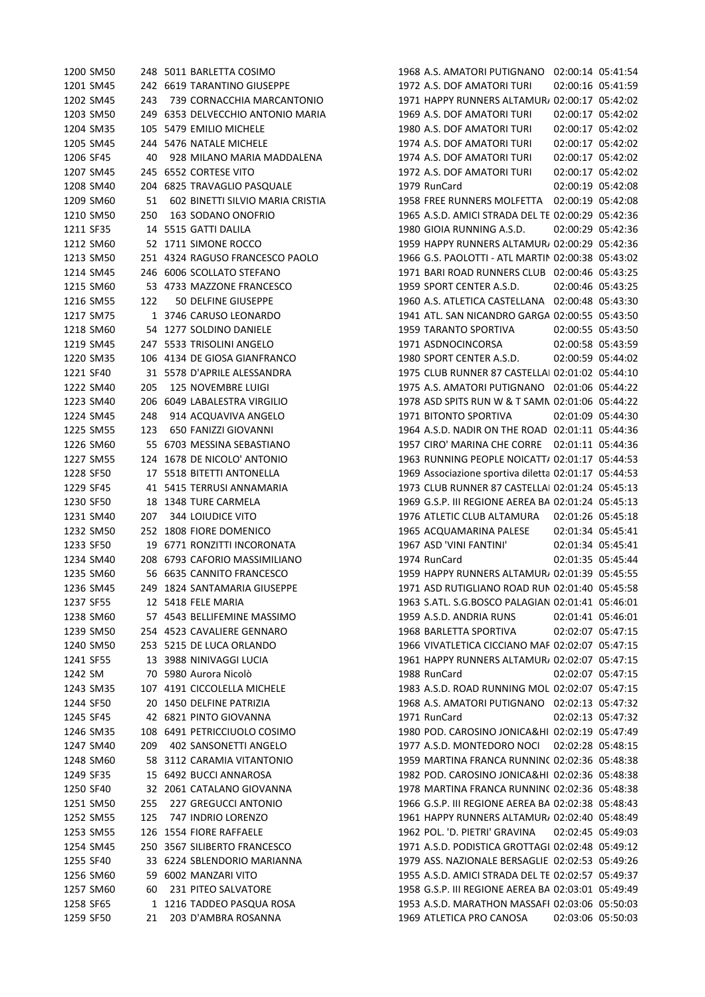|           | 1200 SM50 | 248          | 5011 BARLETTA COSIMO              |
|-----------|-----------|--------------|-----------------------------------|
|           | 1201 SM45 | 242          | <b>6619 TARANTINO GIUSEPPE</b>    |
|           | 1202 SM45 | 243          | 739 CORNACCHIA MARCANTONIO        |
|           | 1203 SM50 |              | 249 6353 DELVECCHIO ANTONIO MARIA |
|           | 1204 SM35 | 105          | 5479 EMILIO MICHELE               |
|           | 1205 SM45 | 244          | 5476 NATALE MICHELE               |
| 1206 SF45 |           | 40 -         | 928 MILANO MARIA MADDALENA        |
|           | 1207 SM45 |              | 245 6552 CORTESE VITO             |
|           | 1208 SM40 | 204          | 6825 TRAVAGLIO PASQUALE           |
|           | 1209 SM60 | 51           | 602 BINETTI SILVIO MARIA CRISTIA  |
|           | 1210 SM50 | 250          | 163 SODANO ONOFRIO                |
| 1211 SF35 |           | 14           | 5515 GATTI DALILA                 |
|           | 1212 SM60 |              | 52 1711 SIMONE ROCCO              |
|           | 1213 SM50 |              | 251 4324 RAGUSO FRANCESCO PAOLO   |
|           | 1214 SM45 |              | 246 6006 SCOLLATO STEFANO         |
|           | 1215 SM60 | 53           | 4733 MAZZONE FRANCESCO            |
|           | 1216 SM55 | 122          | 50 DELFINE GIUSEPPE               |
|           | 1217 SM75 | $\mathbf{1}$ | 3746 CARUSO LEONARDO              |
|           | 1218 SM60 | 54           | 1277 SOLDINO DANIELE              |
|           | 1219 SM45 |              | 247 5533 TRISOLINI ANGELO         |
|           | 1220 SM35 |              | 106 4134 DE GIOSA GIANFRANCO      |
|           |           |              | 5578 D'APRILE ALESSANDRA          |
| 1221 SF40 |           | 31           |                                   |
|           | 1222 SM40 | 205          | <b>125 NOVEMBRE LUIGI</b>         |
|           | 1223 SM40 |              | 206 6049 LABALESTRA VIRGILIO      |
|           | 1224 SM45 | 248          | 914 ACQUAVIVA ANGELO              |
|           | 1225 SM55 | 123          | 650 FANIZZI GIOVANNI              |
|           | 1226 SM60 | 55           | 6703 MESSINA SEBASTIANO           |
|           | 1227 SM55 | 124          | 1678 DE NICOLO' ANTONIO           |
| 1228 SF50 |           | 17           | 5518 BITETTI ANTONELLA            |
| 1229 SF45 |           | 41           | 5415 TERRUSI ANNAMARIA            |
| 1230 SF50 |           | 18           | 1348 TURE CARMELA                 |
|           | 1231 SM40 | 207          | 344 LOIUDICE VITO                 |
|           | 1232 SM50 | 252          | 1808 FIORE DOMENICO               |
| 1233 SF50 |           | 19           | 6771 RONZITTI INCORONATA          |
|           | 1234 SM40 | 208          | 6793 CAFORIO MASSIMILIANO         |
|           | 1235 SM60 |              | 56 6635 CANNITO FRANCESCO         |
|           | 1236 SM45 |              | 249 1824 SANTAMARIA GIUSEPPE      |
| 1237 SF55 |           |              | 12 5418 FELE MARIA                |
|           | 1238 SM60 |              | 57 4543 BELLIFEMINE MASSIMO       |
|           | 1239 SM50 |              | 254 4523 CAVALIERE GENNARO        |
|           | 1240 SM50 |              | 253 5215 DE LUCA ORLANDO          |
|           | 1241 SF55 |              | 13 3988 NINIVAGGI LUCIA           |
| 1242 SM   |           |              | 70 5980 Aurora Nicolò             |
|           | 1243 SM35 |              | 107 4191 CICCOLELLA MICHELE       |
|           | 1244 SF50 |              | 20 1450 DELFINE PATRIZIA          |
| 1245 SF45 |           |              | 42 6821 PINTO GIOVANNA            |
|           | 1246 SM35 |              | 108 6491 PETRICCIUOLO COSIMO      |
|           | 1247 SM40 |              | 209 402 SANSONETTI ANGELO         |
|           | 1248 SM60 | 58           | 3112 CARAMIA VITANTONIO           |
| 1249 SF35 |           | 15           | 6492 BUCCI ANNAROSA               |
| 1250 SF40 |           | 32           | 2061 CATALANO GIOVANNA            |
|           | 1251 SM50 |              | 255 227 GREGUCCI ANTONIO          |
|           | 1252 SM55 | 125          | 747 INDRIO LORENZO                |
|           | 1253 SM55 |              | 126 1554 FIORE RAFFAELE           |
|           | 1254 SM45 |              | 250 3567 SILIBERTO FRANCESCO      |
| 1255 SF40 |           | 33           | 6224 SBLENDORIO MARIANNA          |
|           | 1256 SM60 | 59           | 6002 MANZARI VITO                 |
|           | 1257 SM60 | 60 —         | 231 PITEO SALVATORE               |
| 1258 SF65 |           | 1            | 1216 TADDEO PASQUA ROSA           |
| 1259 SF50 |           | 21           | 203 D'AMBRA ROSANNA               |
|           |           |              |                                   |

1968 A.S. AMATORI PUTIGNANO 02:00:14 05:41:54 1972 A.S. DOF AMATORI TURI 02:00:16 05:41:59 1202 SM45 243 739 CORNACCHIA MARCANTONIO 1971 HAPPY RUNNERS ALTAMURA02:00:17 05:42:02 1969 A.S. DOF AMATORI TURI 02:00:17 05:42:02 1204 SM35 105 5479 EMILIO MICHELE 1980 A.S. DOF AMATORI TURI 02:00:17 05:42:02 1205 SM45 244 5476 NATALE MICHELE 1974 A.S. DOF AMATORI TURI 02:00:17 05:42:02 1974 A.S. DOF AMATORI TURI 02:00:17 05:42:02 1972 A.S. DOF AMATORI TURI 02:00:17 05:42:02 1979 RunCard 02:00:19 05:42:08 1958 FREE RUNNERS MOLFETTA 02:00:19 05:42:08 1210 SM50 250 163 SODANO ONOFRIO 1965 A.S.D. AMICI STRADA DEL TESORO 02:00:29 05:42:36 1211 SF35 14 5515 GATTI DALILA 1980 GIOIA RUNNING A.S.D. 02:00:29 05:42:36 1959 HAPPY RUNNERS ALTAMUR/ 02:00:29 05:42:36 1966 G.S. PAOLOTTI - ATL MARTIN 02:00:38 05:43:02 1971 BARI ROAD RUNNERS CLUB 02:00:46 05:43:25 1959 SPORT CENTER A.S.D. 02:00:46 05:43:25 1216 SM55 122 50 DELFINE GIUSEPPE 1960 A.S. ATLETICA CASTELLANA 02:00:48 05:43:30 1941 ATL. SAN NICANDRO GARGA 02:00:55 05:43:50 1218 SM60 54 1277 SOLDINO DANIELE 1959 TARANTO SPORTIVA 02:00:55 05:43:50 1971 ASDNOCINCORSA 02:00:58 05:43:59 1980 SPORT CENTER A.S.D. 02:00:59 05:44:02 1975 CLUB RUNNER 87 CASTELLAI 02:01:02 05:44:10 1222 SM40 205 125 NOVEMBRE LUIGI 1975 A.S. AMATORI PUTIGNANO 02:01:06 05:44:22 1978 ASD SPITS RUN W & T SAMN 02:01:06 05:44:22 1971 BITONTO SPORTIVA 02:01:09 05:44:30 1964 A.S.D. NADIR ON THE ROAD 02:01:11 05:44:36 1226 SM60 55 6703 MESSINA SEBASTIANO 1957 CIRO' MARINA CHE CORRE 02:01:11 05:44:36 1963 RUNNING PEOPLE NOICATT/ 02:01:17 05:44:53 1969 Associazione sportiva diletta 02:01:17 05:44:53 1973 CLUB RUNNER 87 CASTELLAI 02:01:24 05:45:13 1969 G.S.P. III REGIONE AEREA BA 02:01:24 05:45:13 1231 SM40 207 344 LOIUDICE VITO 1976 ATLETIC CLUB ALTAMURA 02:01:26 05:45:18 1965 ACQUAMARINA PALESE 02:01:34 05:45:41 1967 ASD 'VINI FANTINI' 02:01:34 05:45:41  $1974$  RunCard  $02.01.35$   $05.45.44$ 1959 HAPPY RUNNERS ALTAMUR/ 02:01:39 05:45:55 1971 ASD RUTIGLIANO ROAD RUN 02:01:40 05:45:58 1963 S.ATL. S.G.BOSCO PALAGIAN 02:01:41 05:46:01 1959 A.S.D. ANDRIA RUNS 02:01:41 05:46:01 1239 SM50 254 4523 CAVALIERE GENNARO 1968 BARLETTA SPORTIVA 02:02:07 05:47:15 1240 SM50 253 5215 DE LUCA ORLANDO 1966 VIVATLETICA CICCIANO MARATHON 02:02:07 05:47:15 1961 HAPPY RUNNERS ALTAMUR/ 02:02:07 05:47:15 1242 SM 70 5980 Aurora Nicolò 1988 RunCard 02:02:07 05:47:15 1983 A.S.D. ROAD RUNNING MOL 02:02:07 05:47:15 1244 SF50 20 1450 DELFINE PATRIZIA 1968 A.S. AMATORI PUTIGNANO 02:02:13 05:47:32 1245 SF45 42 6821 PINTO GIOVANNA 1971 RunCard 02:02:13 05:47:32 1980 POD. CAROSINO JONICA&HI 02:02:19 05:47:49 1977 A.S.D. MONTEDORO NOCI 02:02:28 05:48:15 1959 MARTINA FRANCA RUNNING 02:02:36 05:48:38 1982 POD. CAROSINO JONICA&HI 02:02:36 05:48:38 1978 MARTINA FRANCA RUNNING 02:02:36 05:48:38 1966 G.S.P. III REGIONE AEREA BA 02:02:38 05:48:43 1961 HAPPY RUNNERS ALTAMUR/ 02:02:40 05:48:49 1253 SM55 126 1554 FIORE RAFFAELE 1962 POL. 'D. PIETRI' GRAVINA 02:02:45 05:49:03 1971 A.S.D. PODISTICA GROTTAGI 02:02:48 05:49:12 1979 ASS. NAZIONALE BERSAGLIEI 02:02:53 05:49:26 1955 A.S.D. AMICI STRADA DEL TE 02:02:57 05:49:37 1958 G.S.P. III REGIONE AEREA BA 02:03:01 05:49:49 1953 A.S.D. MARATHON MASSAFI 02:03:06 05:50:03 1259 SF50 21 203 D'AMBRA ROSANNA 1969 ATLETICA PRO CANOSA 02:03:06 05:50:03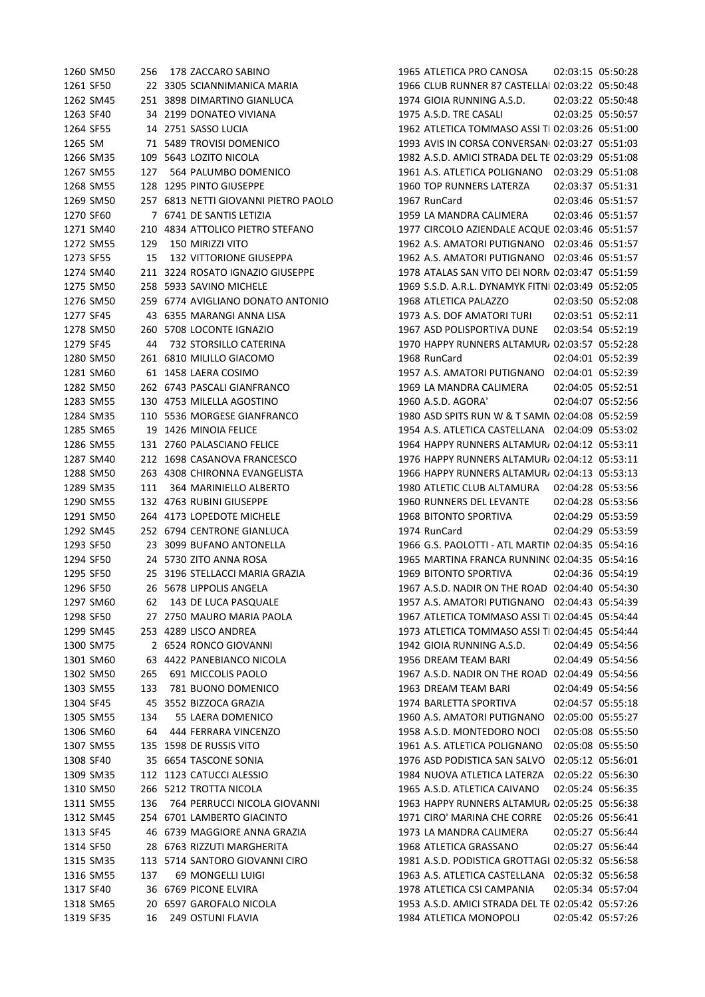|           | 1260 SM50              | 256 | 178 ZACCARO SABINO                                      | 1965 ATLETICA PRO CANOSA                           | 02:03:15 05:50:28 |                                        |
|-----------|------------------------|-----|---------------------------------------------------------|----------------------------------------------------|-------------------|----------------------------------------|
| 1261 SF50 |                        |     | 22 3305 SCIANNIMANICA MARIA                             | 1966 CLUB RUNNER 87 CASTELLAI 02:03:22 05:50:48    |                   |                                        |
|           | 1262 SM45              |     | 251 3898 DIMARTINO GIANLUCA                             | 1974 GIOIA RUNNING A.S.D.                          |                   | 02:03:22 05:50:48                      |
| 1263 SF40 |                        |     | 34 2199 DONATEO VIVIANA                                 | 1975 A.S.D. TRE CASALI                             |                   | 02:03:25 05:50:57                      |
| 1264 SF55 |                        |     | 14 2751 SASSO LUCIA                                     | 1962 ATLETICA TOMMASO ASSI TI 02:03:26 05:51:00    |                   |                                        |
| 1265 SM   |                        |     | 71 5489 TROVISI DOMENICO                                | 1993 AVIS IN CORSA CONVERSAN 02:03:27 05:51:03     |                   |                                        |
|           | 1266 SM35              |     | 109 5643 LOZITO NICOLA                                  | 1982 A.S.D. AMICI STRADA DEL TE 02:03:29 05:51:08  |                   |                                        |
|           | 1267 SM55              | 127 | 564 PALUMBO DOMENICO                                    | 1961 A.S. ATLETICA POLIGNANO 02:03:29 05:51:08     |                   |                                        |
|           | 1268 SM55              |     | 128 1295 PINTO GIUSEPPE                                 | 1960 TOP RUNNERS LATERZA                           |                   | 02:03:37 05:51:31                      |
|           | 1269 SM50              |     | 257 6813 NETTI GIOVANNI PIETRO PAOLO                    | 1967 RunCard                                       |                   | 02:03:46 05:51:57                      |
| 1270 SF60 |                        |     | 7 6741 DE SANTIS LETIZIA                                | 1959 LA MANDRA CALIMERA                            |                   | 02:03:46 05:51:57                      |
|           | 1271 SM40              |     | 210 4834 ATTOLICO PIETRO STEFANO                        | 1977 CIRCOLO AZIENDALE ACQUE 02:03:46 05:51:57     |                   |                                        |
|           | 1272 SM55              | 129 | 150 MIRIZZI VITO                                        | 1962 A.S. AMATORI PUTIGNANO 02:03:46 05:51:57      |                   |                                        |
| 1273 SF55 |                        | 15  | <b>132 VITTORIONE GIUSEPPA</b>                          | 1962 A.S. AMATORI PUTIGNANO 02:03:46 05:51:57      |                   |                                        |
|           | 1274 SM40              |     | 211 3224 ROSATO IGNAZIO GIUSEPPE                        | 1978 ATALAS SAN VITO DEI NORN 02:03:47 05:51:59    |                   |                                        |
|           | 1275 SM50              |     | 258 5933 SAVINO MICHELE                                 | 1969 S.S.D. A.R.L. DYNAMYK FITNI 02:03:49 05:52:05 |                   |                                        |
|           | 1276 SM50              |     | 259 6774 AVIGLIANO DONATO ANTONIO                       | 1968 ATLETICA PALAZZO                              | 02:03:50 05:52:08 |                                        |
| 1277 SF45 |                        |     | 43 6355 MARANGI ANNA LISA                               | 1973 A.S. DOF AMATORI TURI                         |                   | 02:03:51 05:52:11                      |
|           | 1278 SM50              |     | 260 5708 LOCONTE IGNAZIO                                | 1967 ASD POLISPORTIVA DUNE                         | 02:03:54 05:52:19 |                                        |
| 1279 SF45 |                        | 44  | 732 STORSILLO CATERINA                                  | 1970 HAPPY RUNNERS ALTAMUR/ 02:03:57 05:52:28      |                   |                                        |
|           | 1280 SM50              |     | 261 6810 MILILLO GIACOMO                                | 1968 RunCard                                       |                   | 02:04:01 05:52:39                      |
|           | 1281 SM60              |     | 61 1458 LAERA COSIMO                                    | 1957 A.S. AMATORI PUTIGNANO 02:04:01 05:52:39      |                   |                                        |
|           | 1282 SM50              |     | 262 6743 PASCALI GIANFRANCO                             | 1969 LA MANDRA CALIMERA                            |                   | 02:04:05 05:52:51                      |
|           | 1283 SM55              |     | 130 4753 MILELLA AGOSTINO                               | 1960 A.S.D. AGORA'                                 | 02:04:07 05:52:56 |                                        |
|           | 1284 SM35              |     | 110 5536 MORGESE GIANFRANCO                             | 1980 ASD SPITS RUN W & T SAMN 02:04:08 05:52:59    |                   |                                        |
|           | 1285 SM65              |     | 19 1426 MINOIA FELICE                                   | 1954 A.S. ATLETICA CASTELLANA 02:04:09 05:53:02    |                   |                                        |
|           | 1286 SM55              |     | 131 2760 PALASCIANO FELICE                              | 1964 HAPPY RUNNERS ALTAMUR/ 02:04:12 05:53:11      |                   |                                        |
|           | 1287 SM40              |     | 212 1698 CASANOVA FRANCESCO                             | 1976 HAPPY RUNNERS ALTAMUR/ 02:04:12 05:53:11      |                   |                                        |
|           | 1288 SM50              |     | 263 4308 CHIRONNA EVANGELISTA                           | 1966 HAPPY RUNNERS ALTAMUR/ 02:04:13 05:53:13      |                   |                                        |
|           | 1289 SM35              | 111 | 364 MARINIELLO ALBERTO                                  | 1980 ATLETIC CLUB ALTAMURA                         | 02:04:28 05:53:56 |                                        |
|           | 1290 SM55              |     | 132 4763 RUBINI GIUSEPPE                                | 1960 RUNNERS DEL LEVANTE                           | 02:04:28 05:53:56 |                                        |
|           |                        |     |                                                         | 1968 BITONTO SPORTIVA                              |                   |                                        |
|           | 1291 SM50<br>1292 SM45 |     | 264 4173 LOPEDOTE MICHELE<br>252 6794 CENTRONE GIANLUCA | 1974 RunCard                                       |                   | 02:04:29 05:53:59<br>02:04:29 05:53:59 |
|           |                        |     |                                                         |                                                    |                   |                                        |
| 1293 SF50 |                        |     | 23 3099 BUFANO ANTONELLA                                | 1966 G.S. PAOLOTTI - ATL MARTIN 02:04:35 05:54:16  |                   |                                        |
| 1294 SF50 |                        |     | 24 5730 ZITO ANNA ROSA                                  | 1965 MARTINA FRANCA RUNNINC 02:04:35 05:54:16      |                   |                                        |
| 1295 SF50 |                        |     | 25 3196 STELLACCI MARIA GRAZIA                          | 1969 BITONTO SPORTIVA                              |                   | 02:04:36 05:54:19                      |
| 1296 SF50 |                        |     | 26 5678 LIPPOLIS ANGELA                                 | 1967 A.S.D. NADIR ON THE ROAD 02:04:40 05:54:30    |                   |                                        |
|           | 1297 SM60              | 62  | 143 DE LUCA PASQUALE                                    | 1957 A.S. AMATORI PUTIGNANO 02:04:43 05:54:39      |                   |                                        |
| 1298 SF50 |                        |     | 27 2750 MAURO MARIA PAOLA                               | 1967 ATLETICA TOMMASO ASSI TI 02:04:45 05:54:44    |                   |                                        |
|           | 1299 SM45              |     | 253 4289 LISCO ANDREA                                   | 1973 ATLETICA TOMMASO ASSI TI 02:04:45 05:54:44    |                   |                                        |
|           | 1300 SM75              |     | 2 6524 RONCO GIOVANNI                                   | 1942 GIOIA RUNNING A.S.D.                          |                   | 02:04:49 05:54:56                      |
|           | 1301 SM60              |     | 63 4422 PANEBIANCO NICOLA                               | 1956 DREAM TEAM BARI                               |                   | 02:04:49 05:54:56                      |
|           | 1302 SM50              | 265 | 691 MICCOLIS PAOLO                                      | 1967 A.S.D. NADIR ON THE ROAD 02:04:49 05:54:56    |                   |                                        |
|           | 1303 SM55              | 133 | 781 BUONO DOMENICO                                      | 1963 DREAM TEAM BARI                               |                   | 02:04:49 05:54:56                      |
| 1304 SF45 |                        |     | 45 3552 BIZZOCA GRAZIA                                  | 1974 BARLETTA SPORTIVA                             |                   | 02:04:57 05:55:18                      |
|           | 1305 SM55              | 134 | 55 LAERA DOMENICO                                       | 1960 A.S. AMATORI PUTIGNANO                        |                   | 02:05:00 05:55:27                      |
|           | 1306 SM60              | 64  | 444 FERRARA VINCENZO                                    | 1958 A.S.D. MONTEDORO NOCI                         |                   | 02:05:08 05:55:50                      |
|           | 1307 SM55              |     | 135 1598 DE RUSSIS VITO                                 | 1961 A.S. ATLETICA POLIGNANO                       |                   | 02:05:08 05:55:50                      |
| 1308 SF40 |                        |     | 35 6654 TASCONE SONIA                                   | 1976 ASD PODISTICA SAN SALVO                       | 02:05:12 05:56:01 |                                        |
|           | 1309 SM35              |     | 112 1123 CATUCCI ALESSIO                                | 1984 NUOVA ATLETICA LATERZA                        | 02:05:22 05:56:30 |                                        |
|           | 1310 SM50              |     | 266 5212 TROTTA NICOLA                                  | 1965 A.S.D. ATLETICA CAIVANO                       |                   | 02:05:24 05:56:35                      |
|           | 1311 SM55              | 136 | 764 PERRUCCI NICOLA GIOVANNI                            | 1963 HAPPY RUNNERS ALTAMUR/ 02:05:25 05:56:38      |                   |                                        |
|           | 1312 SM45              |     | 254 6701 LAMBERTO GIACINTO                              | 1971 CIRO' MARINA CHE CORRE                        | 02:05:26 05:56:41 |                                        |
| 1313 SF45 |                        |     | 46 6739 MAGGIORE ANNA GRAZIA                            | 1973 LA MANDRA CALIMERA                            |                   | 02:05:27 05:56:44                      |
| 1314 SF50 |                        |     | 28 6763 RIZZUTI MARGHERITA                              | 1968 ATLETICA GRASSANO                             |                   | 02:05:27 05:56:44                      |
|           | 1315 SM35              |     | 113 5714 SANTORO GIOVANNI CIRO                          | 1981 A.S.D. PODISTICA GROTTAGI 02:05:32 05:56:58   |                   |                                        |
|           | 1316 SM55              | 137 | 69 MONGELLI LUIGI                                       | 1963 A.S. ATLETICA CASTELLANA 02:05:32 05:56:58    |                   |                                        |
| 1317 SF40 |                        |     | 36 6769 PICONE ELVIRA                                   | 1978 ATLETICA CSI CAMPANIA                         |                   | 02:05:34 05:57:04                      |
|           | 1318 SM65              |     | 20 6597 GAROFALO NICOLA                                 | 1953 A.S.D. AMICI STRADA DEL TE 02:05:42 05:57:26  |                   |                                        |
| 1319 SF35 |                        | 16  | 249 OSTUNI FLAVIA                                       | 1984 ATLETICA MONOPOLI                             |                   | 02:05:42 05:57:26                      |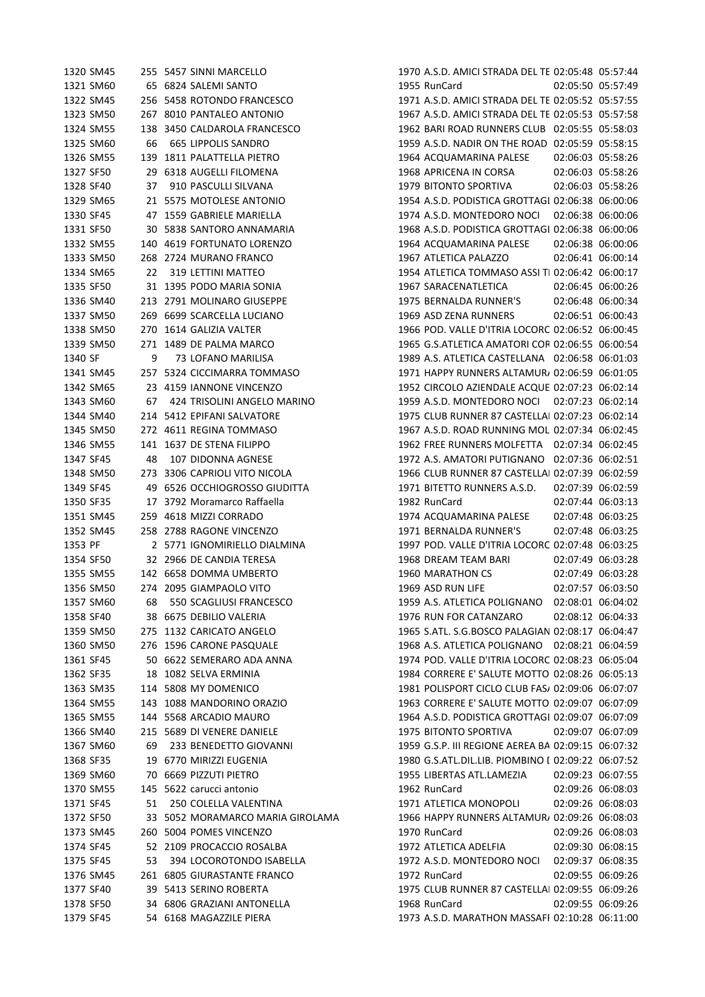| 1320 SM45 |    | 255 5457 SINNI MARCELLO          | 1970 A.S.D. AMICI STRADA DEL TE 02:05:48 05:57:44  |
|-----------|----|----------------------------------|----------------------------------------------------|
| 1321 SM60 |    | 65 6824 SALEMI SANTO             | 1955 RunCard<br>02:05:50 05:57:49                  |
| 1322 SM45 |    | 256 5458 ROTONDO FRANCESCO       | 1971 A.S.D. AMICI STRADA DEL TE 02:05:52 05:57:55  |
| 1323 SM50 |    | 267 8010 PANTALEO ANTONIO        | 1967 A.S.D. AMICI STRADA DEL TE 02:05:53 05:57:58  |
| 1324 SM55 |    | 138 3450 CALDAROLA FRANCESCO     | 1962 BARI ROAD RUNNERS CLUB 02:05:55 05:58:03      |
| 1325 SM60 | 66 | <b>665 LIPPOLIS SANDRO</b>       | 1959 A.S.D. NADIR ON THE ROAD 02:05:59 05:58:15    |
| 1326 SM55 |    | 139 1811 PALATTELLA PIETRO       | 1964 ACQUAMARINA PALESE<br>02:06:03 05:58:26       |
| 1327 SF50 |    | 29 6318 AUGELLI FILOMENA         | 1968 APRICENA IN CORSA<br>02:06:03 05:58:26        |
| 1328 SF40 | 37 | 910 PASCULLI SILVANA             | 1979 BITONTO SPORTIVA<br>02:06:03 05:58:26         |
| 1329 SM65 |    | 21 5575 MOTOLESE ANTONIO         | 1954 A.S.D. PODISTICA GROTTAGI 02:06:38 06:00:06   |
| 1330 SF45 |    | 47 1559 GABRIELE MARIELLA        | 1974 A.S.D. MONTEDORO NOCI 02:06:38 06:00:06       |
| 1331 SF50 |    | 30 5838 SANTORO ANNAMARIA        | 1968 A.S.D. PODISTICA GROTTAGI 02:06:38 06:00:06   |
| 1332 SM55 |    | 140 4619 FORTUNATO LORENZO       | 1964 ACQUAMARINA PALESE<br>02:06:38 06:00:06       |
| 1333 SM50 |    | 268 2724 MURANO FRANCO           | 1967 ATLETICA PALAZZO<br>02:06:41 06:00:14         |
| 1334 SM65 | 22 | 319 LETTINI MATTEO               | 1954 ATLETICA TOMMASO ASSI TI 02:06:42 06:00:17    |
| 1335 SF50 |    | 31 1395 PODO MARIA SONIA         | 1967 SARACENATLETICA<br>02:06:45 06:00:26          |
| 1336 SM40 |    | 213 2791 MOLINARO GIUSEPPE       | 1975 BERNALDA RUNNER'S<br>02:06:48 06:00:34        |
| 1337 SM50 |    | 269 6699 SCARCELLA LUCIANO       | 1969 ASD ZENA RUNNERS<br>02:06:51 06:00:43         |
| 1338 SM50 |    | 270 1614 GALIZIA VALTER          | 1966 POD. VALLE D'ITRIA LOCORC 02:06:52 06:00:45   |
| 1339 SM50 |    | 271 1489 DE PALMA MARCO          | 1965 G.S.ATLETICA AMATORI COR 02:06:55 06:00:54    |
| 1340 SF   | 9  | 73 LOFANO MARILISA               | 1989 A.S. ATLETICA CASTELLANA 02:06:58 06:01:03    |
| 1341 SM45 |    | 257 5324 CICCIMARRA TOMMASO      | 1971 HAPPY RUNNERS ALTAMUR, 02:06:59 06:01:05      |
| 1342 SM65 |    | 23 4159 IANNONE VINCENZO         | 1952 CIRCOLO AZIENDALE ACQUE 02:07:23 06:02:14     |
| 1343 SM60 | 67 | 424 TRISOLINI ANGELO MARINO      | 1959 A.S.D. MONTEDORO NOCI 02:07:23 06:02:14       |
| 1344 SM40 |    | 214 5412 EPIFANI SALVATORE       | 1975 CLUB RUNNER 87 CASTELLAI 02:07:23 06:02:14    |
| 1345 SM50 |    | 272 4611 REGINA TOMMASO          | 1967 A.S.D. ROAD RUNNING MOL 02:07:34 06:02:45     |
| 1346 SM55 |    | 141 1637 DE STENA FILIPPO        | 1962 FREE RUNNERS MOLFETTA  02:07:34  06:02:45     |
| 1347 SF45 | 48 | 107 DIDONNA AGNESE               | 1972 A.S. AMATORI PUTIGNANO 02:07:36 06:02:51      |
| 1348 SM50 |    | 273 3306 CAPRIOLI VITO NICOLA    | 1966 CLUB RUNNER 87 CASTELLAI 02:07:39 06:02:59    |
| 1349 SF45 |    | 49 6526 OCCHIOGROSSO GIUDITTA    | 1971 BITETTO RUNNERS A.S.D.<br>02:07:39 06:02:59   |
| 1350 SF35 |    | 17 3792 Moramarco Raffaella      | 1982 RunCard<br>02:07:44 06:03:13                  |
| 1351 SM45 |    | 259 4618 MIZZI CORRADO           | 1974 ACQUAMARINA PALESE<br>02:07:48 06:03:25       |
| 1352 SM45 |    | 258 2788 RAGONE VINCENZO         | 1971 BERNALDA RUNNER'S<br>02:07:48 06:03:25        |
| 1353 PF   |    | 2 5771 IGNOMIRIELLO DIALMINA     | 1997 POD. VALLE D'ITRIA LOCORC 02:07:48 06:03:25   |
| 1354 SF50 |    | 32 2966 DE CANDIA TERESA         | 1968 DREAM TEAM BARI<br>02:07:49 06:03:28          |
| 1355 SM55 |    | 142 6658 DOMMA UMBERTO           | 02:07:49 06:03:28<br>1960 MARATHON CS              |
| 1356 SM50 |    | 274 2095 GIAMPAOLO VITO          | 1969 ASD RUN LIFE<br>02:07:57 06:03:50             |
| 1357 SM60 | 68 | 550 SCAGLIUSI FRANCESCO          | 1959 A.S. ATLETICA POLIGNANO 02:08:01 06:04:02     |
| 1358 SF40 |    | 38 6675 DEBILIO VALERIA          | 1976 RUN FOR CATANZARO<br>02:08:12 06:04:33        |
| 1359 SM50 |    | 275 1132 CARICATO ANGELO         | 1965 S.ATL. S.G.BOSCO PALAGIAN 02:08:17 06:04:47   |
| 1360 SM50 |    | 276 1596 CARONE PASQUALE         | 1968 A.S. ATLETICA POLIGNANO  02:08:21  06:04:59   |
| 1361 SF45 |    | 50 6622 SEMERARO ADA ANNA        | 1974 POD. VALLE D'ITRIA LOCORC 02:08:23 06:05:04   |
| 1362 SF35 |    | 18 1082 SELVA ERMINIA            | 1984 CORRERE E' SALUTE MOTTO 02:08:26 06:05:13     |
| 1363 SM35 |    | 114 5808 MY DOMENICO             | 1981 POLISPORT CICLO CLUB FAS/ 02:09:06 06:07:07   |
| 1364 SM55 |    | 143 1088 MANDORINO ORAZIO        | 1963 CORRERE E' SALUTE MOTTO 02:09:07 06:07:09     |
| 1365 SM55 |    | 144 5568 ARCADIO MAURO           | 1964 A.S.D. PODISTICA GROTTAGI 02:09:07 06:07:09   |
| 1366 SM40 |    | 215 5689 DI VENERE DANIELE       | 1975 BITONTO SPORTIVA<br>02:09:07 06:07:09         |
| 1367 SM60 | 69 | 233 BENEDETTO GIOVANNI           | 1959 G.S.P. III REGIONE AEREA BA 02:09:15 06:07:32 |
| 1368 SF35 |    | 19 6770 MIRIZZI EUGENIA          | 1980 G.S.ATL.DIL.LIB. PIOMBINO I 02:09:22 06:07:52 |
| 1369 SM60 |    | 70 6669 PIZZUTI PIETRO           | 1955 LIBERTAS ATL.LAMEZIA<br>02:09:23 06:07:55     |
| 1370 SM55 |    | 145 5622 carucci antonio         | 02:09:26 06:08:03<br>1962 RunCard                  |
| 1371 SF45 | 51 | 250 COLELLA VALENTINA            | 1971 ATLETICA MONOPOLI<br>02:09:26 06:08:03        |
| 1372 SF50 |    | 33 5052 MORAMARCO MARIA GIROLAMA | 1966 HAPPY RUNNERS ALTAMUR/ 02:09:26 06:08:03      |
| 1373 SM45 |    | 260 5004 POMES VINCENZO          | 1970 RunCard<br>02:09:26 06:08:03                  |
| 1374 SF45 |    | 52 2109 PROCACCIO ROSALBA        | 1972 ATLETICA ADELFIA<br>02:09:30 06:08:15         |
|           | 53 |                                  | 1972 A.S.D. MONTEDORO NOCI 02:09:37 06:08:35       |
| 1375 SF45 |    | 394 LOCOROTONDO ISABELLA         | 02:09:55 06:09:26                                  |
| 1376 SM45 |    | 261 6805 GIURASTANTE FRANCO      | 1972 RunCard                                       |
| 1377 SF40 |    | 39 5413 SERINO ROBERTA           | 1975 CLUB RUNNER 87 CASTELLAI 02:09:55 06:09:26    |
| 1378 SF50 |    | 34 6806 GRAZIANI ANTONELLA       | 1968 RunCard<br>02:09:55 06:09:26                  |
| 1379 SF45 |    | 54 6168 MAGAZZILE PIERA          | 1973 A.S.D. MARATHON MASSAFI 02:10:28 06:11:00     |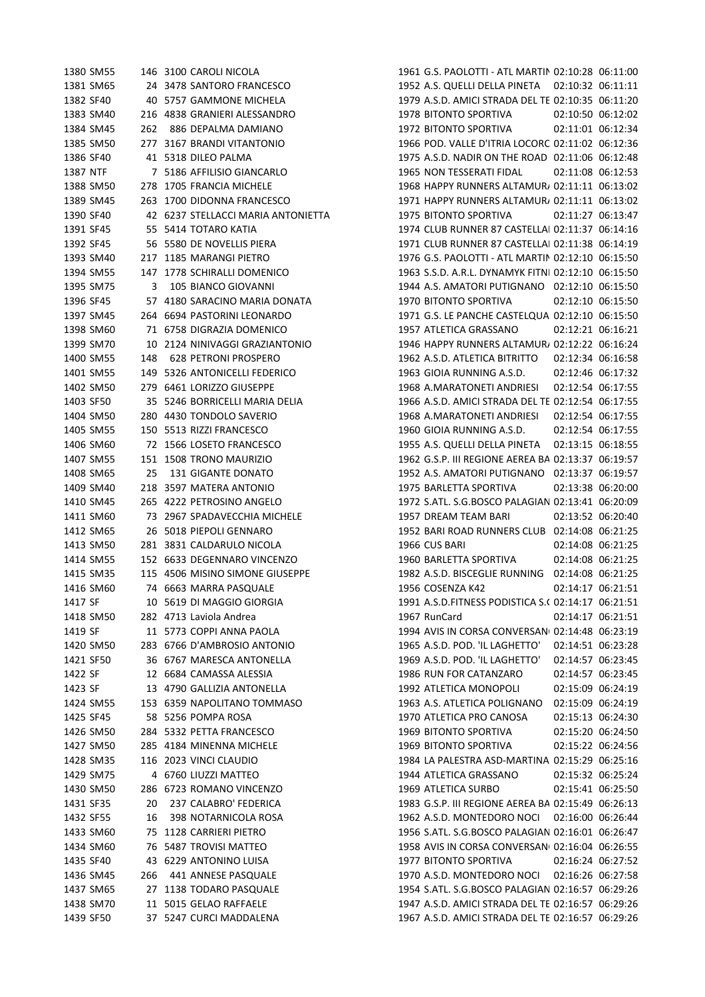1380 SM55 146 3100 CAROLI NICOLA 1961 G.S. PAOLOTTI - ATL MARTIN 02:10:28 06:11:00 SM65 24 3478 SANTORO FRANCESCO 1952 A.S. QUELLI DELLA PINETA 02:10:32 06:11:11 SF40 40 5757 GAMMONE MICHELA 1979 A.S.D. AMICI STRADA DEL TESORO 02:10:35 06:11:20 SM40 216 4838 GRANIERI ALESSANDRO 1978 BITONTO SPORTIVA 02:10:50 06:12:02 SM45 262 886 DEPALMA DAMIANO 1972 BITONTO SPORTIVA 02:11:01 06:12:34 SM50 277 3167 BRANDI VITANTONIO 1966 POD. VALLE D'ITRIA LOCOROTONDO 02:11:02 06:12:36 1386 SF40 41 5318 DILEO PALMA 1975 A.S.D. NADIR ON THE ROAD 02:11:06 06:12:48 NTF 7 5186 AFFILISIO GIANCARLO 1965 NON TESSERATI FIDAL 02:11:08 06:12:53 SM50 278 1705 FRANCIA MICHELE 1968 HAPPY RUNNERS ALTAMURA02:11:11 06:13:02 1389 SM45 263 1700 DIDONNA FRANCESCO 1971 HAPPY RUNNERS ALTAMUR 02:11:11 06:13:02 SF40 42 6237 STELLACCI MARIA ANTONIETTA 1975 BITONTO SPORTIVA 02:11:27 06:13:47 1391 SF45 55 5414 TOTARO KATIA 1974 CLUB RUNNER 87 CASTELLAI 02:11:37 06:14:16 1392 SF45 56 5580 DE NOVELLIS PIERA 1971 CLUB RUNNER 87 CASTELLAI 02:11:38 06:14:19 SM40 217 1185 MARANGI PIETRO 1976 G.S. PAOLOTTI - ATL MARTINA02:12:10 06:15:50 1394 SM55 147 1778 SCHIRALLI DOMENICO 1963 S.S.D. A.R.L. DYNAMYK FITNI 02:12:10 06:15:50 SM75 3 105 BIANCO GIOVANNI 1944 A.S. AMATORI PUTIGNANO 02:12:10 06:15:50 SF45 57 4180 SARACINO MARIA DONATA 1970 BITONTO SPORTIVA 02:12:10 06:15:50 1397 SM45 264 6694 PASTORINI LEONARDO 1971 G.S. LE PANCHE CASTELQUA 02:12:10 06:15:50 SM60 71 6758 DIGRAZIA DOMENICO 1957 ATLETICA GRASSANO 02:12:21 06:16:21 SM70 10 2124 NINIVAGGI GRAZIANTONIO 1946 HAPPY RUNNERS ALTAMURA02:12:22 06:16:24 SM55 148 628 PETRONI PROSPERO 1962 A.S.D. ATLETICA BITRITTO 02:12:34 06:16:58 SM55 149 5326 ANTONICELLI FEDERICO 1963 GIOIA RUNNING A.S.D. 02:12:46 06:17:32 SM50 279 6461 LORIZZO GIUSEPPE 1968 A.MARATONETI ANDRIESI 02:12:54 06:17:55 SF50 35 5246 BORRICELLI MARIA DELIA 1966 A.S.D. AMICI STRADA DEL TESORO 02:12:54 06:17:55 SM50 280 4430 TONDOLO SAVERIO 1968 A.MARATONETI ANDRIESI 02:12:54 06:17:55 SM55 150 5513 RIZZI FRANCESCO 1960 GIOIA RUNNING A.S.D. 02:12:54 06:17:55 SM60 72 1566 LOSETO FRANCESCO 1955 A.S. QUELLI DELLA PINETA 02:13:15 06:18:55 SM55 151 1508 TRONO MAURIZIO 1962 G.S.P. III REGIONE AEREA BARI02:13:37 06:19:57 SM65 25 131 GIGANTE DONATO 1952 A.S. AMATORI PUTIGNANO 02:13:37 06:19:57 SM40 218 3597 MATERA ANTONIO 1975 BARLETTA SPORTIVA 02:13:38 06:20:00 1410 SM45 265 4222 PETROSINO ANGELO 1972 S.ATL. S.G.BOSCO PALAGIAN 02:13:41 06:20:09 SM60 73 2967 SPADAVECCHIA MICHELE 1957 DREAM TEAM BARI 02:13:52 06:20:40 SM65 26 5018 PIEPOLI GENNARO 1952 BARI ROAD RUNNERS CLUB 02:14:08 06:21:25 SM50 281 3831 CALDARULO NICOLA 1966 CUS BARI 02:14:08 06:21:25 SM55 152 6633 DEGENNARO VINCENZO 1960 BARLETTA SPORTIVA 02:14:08 06:21:25 SM35 115 4506 MISINO SIMONE GIUSEPPE 1982 A.S.D. BISCEGLIE RUNNING 02:14:08 06:21:25 SM60 74 6663 MARRA PASQUALE 1956 COSENZA K42 02:14:17 06:21:51 1417 SF 10 5619 DI MAGGIO GIORGIA 1991 A.S.D.FITNESS PODISTICA S.( 02:14:17 06:21:51 SM50 282 4713 Laviola Andrea 1967 RunCard 02:14:17 06:21:51 1419 SF 11 5773 COPPI ANNA PAOLA 1994 AVIS IN CORSA CONVERSANO 02:14:48 06:23:19 SM50 283 6766 D'AMBROSIO ANTONIO 1965 A.S.D. POD. 'IL LAGHETTO' 02:14:51 06:23:28 SF50 36 6767 MARESCA ANTONELLA 1969 A.S.D. POD. 'IL LAGHETTO' 02:14:57 06:23:45 SF 12 6684 CAMASSA ALESSIA 1986 RUN FOR CATANZARO 02:14:57 06:23:45 SF 13 4790 GALLIZIA ANTONELLA 1992 ATLETICA MONOPOLI 02:15:09 06:24:19 SM55 153 6359 NAPOLITANO TOMMASO 1963 A.S. ATLETICA POLIGNANO 02:15:09 06:24:19 SF45 58 5256 POMPA ROSA 1970 ATLETICA PRO CANOSA 02:15:13 06:24:30 SM50 284 5332 PETTA FRANCESCO 1969 BITONTO SPORTIVA 02:15:20 06:24:50 SM50 285 4184 MINENNA MICHELE 1969 BITONTO SPORTIVA 02:15:22 06:24:56 SM35 116 2023 VINCI CLAUDIO 1984 LA PALESTRA ASD-MARTINA FRANCA 02:15:29 06:25:16 SM75 4 6760 LIUZZI MATTEO 1944 ATLETICA GRASSANO 02:15:32 06:25:24 SM50 286 6723 ROMANO VINCENZO 1969 ATLETICA SURBO 02:15:41 06:25:50 SF35 20 237 CALABRO' FEDERICA 1983 G.S.P. III REGIONE AEREA BARI02:15:49 06:26:13 SF55 16 398 NOTARNICOLA ROSA 1962 A.S.D. MONTEDORO NOCI 02:16:00 06:26:44 1433 SM60 75 1128 CARRIERI PIETRO 1956 S.ATL. S.G.BOSCO PALAGIAN 02:16:01 06:26:47 1434 SM60 76 5487 TROVISI MATTEO 1958 AVIS IN CORSA CONVERSANI 02:16:04 06:26:55 SF40 43 6229 ANTONINO LUISA 1977 BITONTO SPORTIVA 02:16:24 06:27:52 SM45 266 441 ANNESE PASQUALE 1970 A.S.D. MONTEDORO NOCI 02:16:26 06:27:58 1437 SM65 27 1138 TODARO PASQUALE 1954 S.ATL. S.G.BOSCO PALAGIAN 02:16:57 06:29:26 1438 SM70 11 5015 GELAO RAFFAELE 1947 A.S.D. AMICI STRADA DEL TE 02:16:57 06:29:26 SF50 37 5247 CURCI MADDALENA 1967 A.S.D. AMICI STRADA DEL TESORO 02:16:57 06:29:26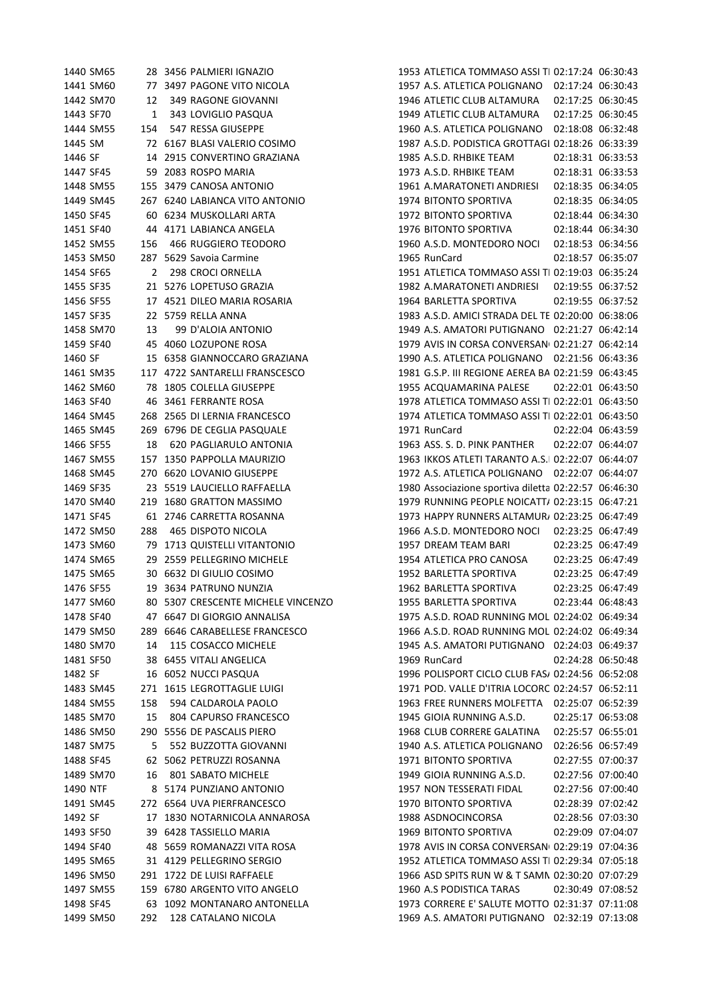| 1440 SM65 |                | 28 3456 PALMIERI IGNAZIO           | 1953 ATLETICA TOMMASO ASSI TI 02:17:24 06:30:43      |
|-----------|----------------|------------------------------------|------------------------------------------------------|
| 1441 SM60 |                | 77 3497 PAGONE VITO NICOLA         | 1957 A.S. ATLETICA POLIGNANO  02:17:24  06:30:43     |
| 1442 SM70 | 12             | 349 RAGONE GIOVANNI                | 02:17:25 06:30:45<br>1946 ATLETIC CLUB ALTAMURA      |
| 1443 SF70 | 1              | 343 LOVIGLIO PASQUA                | 1949 ATLETIC CLUB ALTAMURA<br>02:17:25 06:30:45      |
| 1444 SM55 | 154            | 547 RESSA GIUSEPPE                 | 02:18:08 06:32:48<br>1960 A.S. ATLETICA POLIGNANO    |
| 1445 SM   |                | 72 6167 BLASI VALERIO COSIMO       | 1987 A.S.D. PODISTICA GROTTAGI 02:18:26 06:33:39     |
| 1446 SF   |                | 14 2915 CONVERTINO GRAZIANA        | 1985 A.S.D. RHBIKE TEAM<br>02:18:31 06:33:53         |
| 1447 SF45 |                | 59 2083 ROSPO MARIA                | 1973 A.S.D. RHBIKE TEAM<br>02:18:31 06:33:53         |
| 1448 SM55 |                | 155 3479 CANOSA ANTONIO            | 02:18:35 06:34:05<br>1961 A.MARATONETI ANDRIESI      |
| 1449 SM45 |                | 267 6240 LABIANCA VITO ANTONIO     | 1974 BITONTO SPORTIVA<br>02:18:35 06:34:05           |
| 1450 SF45 |                | 60 6234 MUSKOLLARI ARTA            | 1972 BITONTO SPORTIVA<br>02:18:44 06:34:30           |
| 1451 SF40 |                | 44 4171 LABIANCA ANGELA            | 1976 BITONTO SPORTIVA<br>02:18:44 06:34:30           |
| 1452 SM55 | 156            | 466 RUGGIERO TEODORO               | 1960 A.S.D. MONTEDORO NOCI<br>02:18:53 06:34:56      |
| 1453 SM50 |                | 287 5629 Savoia Carmine            | 1965 RunCard<br>02:18:57 06:35:07                    |
| 1454 SF65 | $\overline{2}$ | 298 CROCI ORNELLA                  | 1951 ATLETICA TOMMASO ASSI TI 02:19:03 06:35:24      |
| 1455 SF35 |                | 21 5276 LOPETUSO GRAZIA            | 1982 A.MARATONETI ANDRIESI<br>02:19:55 06:37:52      |
| 1456 SF55 |                | 17 4521 DILEO MARIA ROSARIA        | 1964 BARLETTA SPORTIVA<br>02:19:55 06:37:52          |
| 1457 SF35 |                | 22 5759 RELLA ANNA                 | 1983 A.S.D. AMICI STRADA DEL TE 02:20:00 06:38:06    |
| 1458 SM70 | 13             | 99 D'ALOIA ANTONIO                 | 1949 A.S. AMATORI PUTIGNANO 02:21:27 06:42:14        |
| 1459 SF40 |                | 45 4060 LOZUPONE ROSA              | 1979 AVIS IN CORSA CONVERSAN( 02:21:27 06:42:14      |
| 1460 SF   |                | 15 6358 GIANNOCCARO GRAZIANA       | 1990 A.S. ATLETICA POLIGNANO 02:21:56 06:43:36       |
|           |                |                                    |                                                      |
| 1461 SM35 |                | 117 4722 SANTARELLI FRANSCESCO     | 1981 G.S.P. III REGIONE AEREA BA 02:21:59 06:43:45   |
| 1462 SM60 |                | 78 1805 COLELLA GIUSEPPE           | 1955 ACQUAMARINA PALESE<br>02:22:01 06:43:50         |
| 1463 SF40 |                | 46 3461 FERRANTE ROSA              | 1978 ATLETICA TOMMASO ASSI TI 02:22:01 06:43:50      |
| 1464 SM45 |                | 268 2565 DI LERNIA FRANCESCO       | 1974 ATLETICA TOMMASO ASSI TI 02:22:01 06:43:50      |
| 1465 SM45 |                | 269 6796 DE CEGLIA PASQUALE        | 1971 RunCard<br>02:22:04 06:43:59                    |
| 1466 SF55 | 18             | 620 PAGLIARULO ANTONIA             | 1963 ASS. S. D. PINK PANTHER<br>02:22:07 06:44:07    |
| 1467 SM55 |                | 157 1350 PAPPOLLA MAURIZIO         | 1963 IKKOS ATLETI TARANTO A.S.I 02:22:07 06:44:07    |
| 1468 SM45 |                | 270 6620 LOVANIO GIUSEPPE          | 1972 A.S. ATLETICA POLIGNANO 02:22:07 06:44:07       |
| 1469 SF35 |                | 23 5519 LAUCIELLO RAFFAELLA        | 1980 Associazione sportiva diletta 02:22:57 06:46:30 |
| 1470 SM40 |                | 219 1680 GRATTON MASSIMO           | 1979 RUNNING PEOPLE NOICATT/ 02:23:15 06:47:21       |
| 1471 SF45 |                | 61 2746 CARRETTA ROSANNA           | 1973 HAPPY RUNNERS ALTAMUR, 02:23:25 06:47:49        |
| 1472 SM50 | 288            | <b>465 DISPOTO NICOLA</b>          | 1966 A.S.D. MONTEDORO NOCI<br>02:23:25 06:47:49      |
| 1473 SM60 |                | 79 1713 QUISTELLI VITANTONIO       | 02:23:25 06:47:49<br>1957 DREAM TEAM BARI            |
| 1474 SM65 |                | 29 2559 PELLEGRINO MICHELE         | 1954 ATLETICA PRO CANOSA<br>02:23:25 06:47:49        |
| 1475 SM65 |                | 30 6632 DI GIULIO COSIMO           | 02:23:25 06:47:49<br>1952 BARLETTA SPORTIVA          |
| 1476 SF55 |                | 19 3634 PATRUNO NUNZIA             | 1962 BARLETTA SPORTIVA<br>02:23:25 06:47:49          |
| 1477 SM60 |                | 80 5307 CRESCENTE MICHELE VINCENZO | 1955 BARLETTA SPORTIVA<br>02:23:44 06:48:43          |
| 1478 SF40 |                | 47 6647 DI GIORGIO ANNALISA        | 1975 A.S.D. ROAD RUNNING MOL 02:24:02 06:49:34       |
| 1479 SM50 |                | 289 6646 CARABELLESE FRANCESCO     | 1966 A.S.D. ROAD RUNNING MOL 02:24:02 06:49:34       |
| 1480 SM70 | 14             | 115 COSACCO MICHELE                | 1945 A.S. AMATORI PUTIGNANO 02:24:03 06:49:37        |
| 1481 SF50 |                | 38 6455 VITALI ANGELICA            | 1969 RunCard<br>02:24:28 06:50:48                    |
| 1482 SF   |                | 16 6052 NUCCI PASQUA               | 1996 POLISPORT CICLO CLUB FAS/ 02:24:56 06:52:08     |
| 1483 SM45 | 271            | 1615 LEGROTTAGLIE LUIGI            | 1971 POD. VALLE D'ITRIA LOCORC 02:24:57 06:52:11     |
| 1484 SM55 | 158            | 594 CALDAROLA PAOLO                | 1963 FREE RUNNERS MOLFETTA  02:25:07 06:52:39        |
| 1485 SM70 | 15             | 804 CAPURSO FRANCESCO              | 1945 GIOIA RUNNING A.S.D.<br>02:25:17 06:53:08       |
| 1486 SM50 |                | 290 5556 DE PASCALIS PIERO         | 1968 CLUB CORRERE GALATINA<br>02:25:57 06:55:01      |
| 1487 SM75 | 5.             | 552 BUZZOTTA GIOVANNI              | 1940 A.S. ATLETICA POLIGNANO<br>02:26:56 06:57:49    |
| 1488 SF45 | 62             | 5062 PETRUZZI ROSANNA              | 1971 BITONTO SPORTIVA<br>02:27:55 07:00:37           |
| 1489 SM70 | 16             | 801 SABATO MICHELE                 | 1949 GIOIA RUNNING A.S.D.<br>02:27:56 07:00:40       |
| 1490 NTF  |                | 8 5174 PUNZIANO ANTONIO            | 1957 NON TESSERATI FIDAL<br>02:27:56 07:00:40        |
| 1491 SM45 |                | 272 6564 UVA PIERFRANCESCO         | 1970 BITONTO SPORTIVA<br>02:28:39 07:02:42           |
| 1492 SF   |                | 17 1830 NOTARNICOLA ANNAROSA       | 1988 ASDNOCINCORSA<br>02:28:56 07:03:30              |
| 1493 SF50 |                | 39 6428 TASSIELLO MARIA            | 1969 BITONTO SPORTIVA<br>02:29:09 07:04:07           |
| 1494 SF40 |                | 48 5659 ROMANAZZI VITA ROSA        | 1978 AVIS IN CORSA CONVERSAN( 02:29:19 07:04:36      |
| 1495 SM65 |                | 31 4129 PELLEGRINO SERGIO          | 1952 ATLETICA TOMMASO ASSI TI 02:29:34 07:05:18      |
| 1496 SM50 |                | 291 1722 DE LUISI RAFFAELE         | 1966 ASD SPITS RUN W & T SAMN 02:30:20 07:07:29      |
| 1497 SM55 |                | 159 6780 ARGENTO VITO ANGELO       | 1960 A.S PODISTICA TARAS<br>02:30:49 07:08:52        |
| 1498 SF45 |                | 63 1092 MONTANARO ANTONELLA        | 1973 CORRERE E' SALUTE MOTTO 02:31:37 07:11:08       |
| 1499 SM50 | 292            | 128 CATALANO NICOLA                | 1969 A.S. AMATORI PUTIGNANO 02:32:19 07:13:08        |
|           |                |                                    |                                                      |